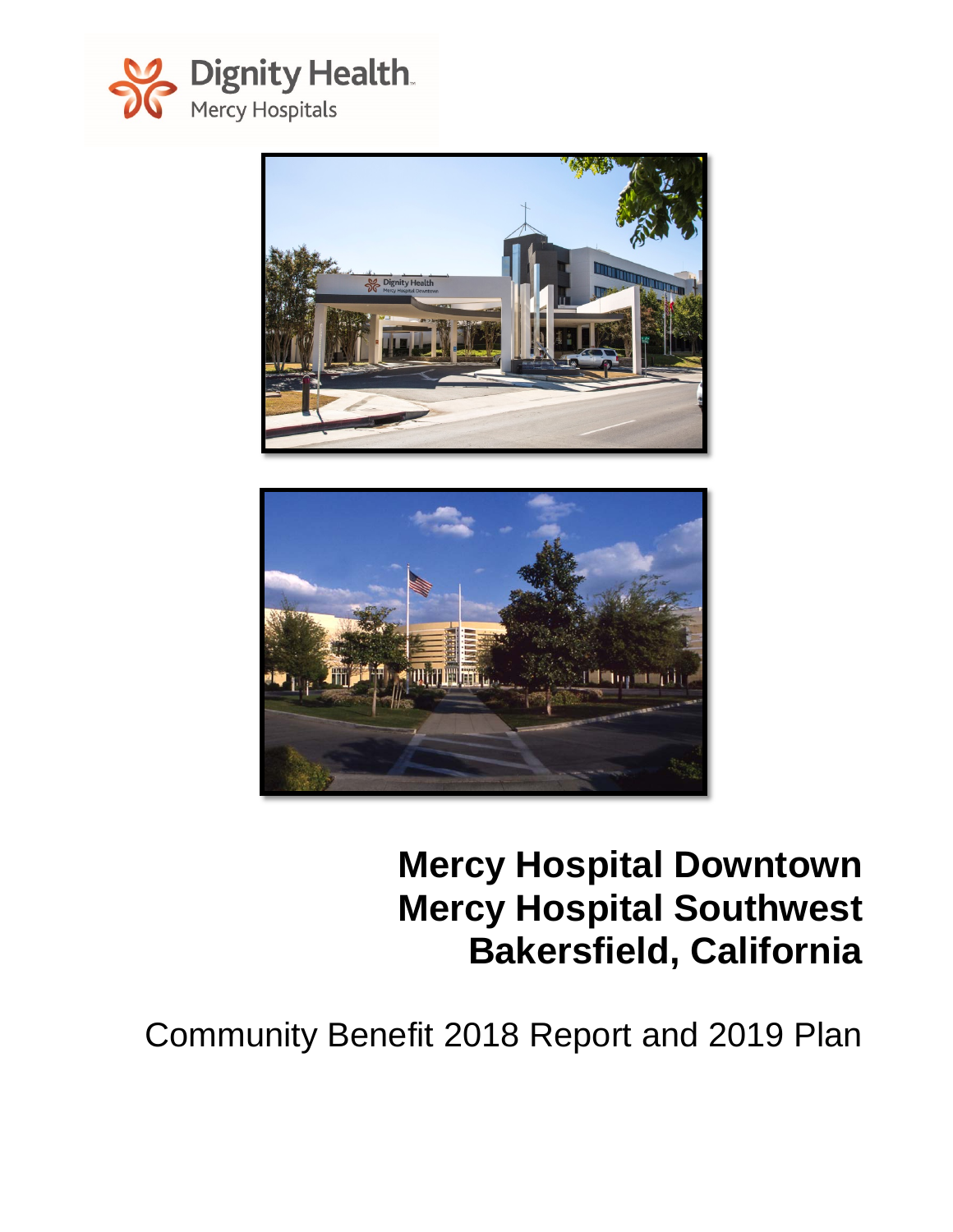





# **Mercy Hospital Downtown Mercy Hospital Southwest Bakersfield, California**

Community Benefit 2018 Report and 2019 Plan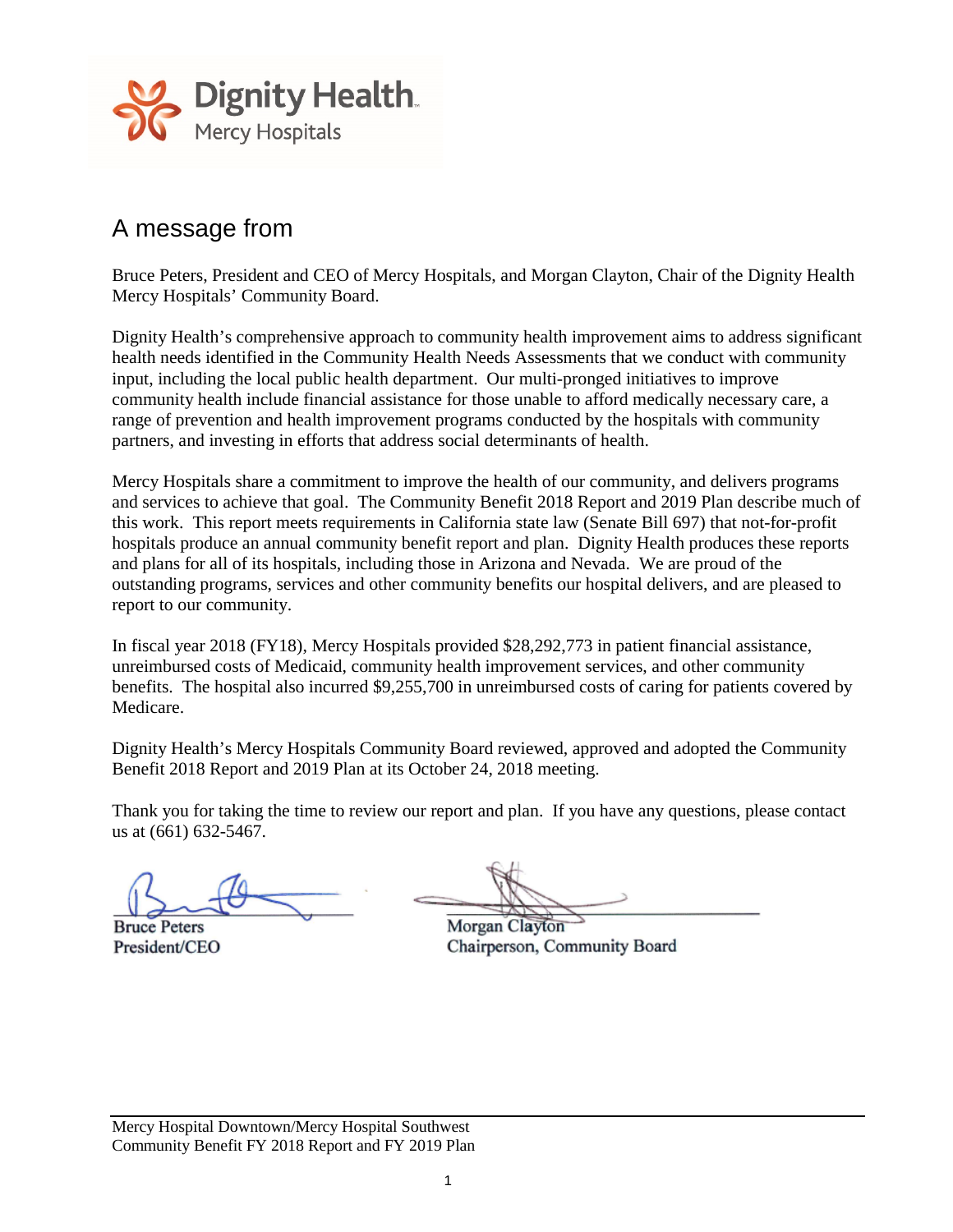

# A message from

Bruce Peters, President and CEO of Mercy Hospitals, and Morgan Clayton, Chair of the Dignity Health Mercy Hospitals' Community Board.

Dignity Health's comprehensive approach to community health improvement aims to address significant health needs identified in the Community Health Needs Assessments that we conduct with community input, including the local public health department. Our multi-pronged initiatives to improve community health include financial assistance for those unable to afford medically necessary care, a range of prevention and health improvement programs conducted by the hospitals with community partners, and investing in efforts that address social determinants of health.

Mercy Hospitals share a commitment to improve the health of our community, and delivers programs and services to achieve that goal. The Community Benefit 2018 Report and 2019 Plan describe much of this work. This report meets requirements in California state law (Senate Bill 697) that not-for-profit hospitals produce an annual community benefit report and plan. Dignity Health produces these reports and plans for all of its hospitals, including those in Arizona and Nevada. We are proud of the outstanding programs, services and other community benefits our hospital delivers, and are pleased to report to our community.

In fiscal year 2018 (FY18), Mercy Hospitals provided \$28,292,773 in patient financial assistance, unreimbursed costs of Medicaid, community health improvement services, and other community benefits. The hospital also incurred \$9,255,700 in unreimbursed costs of caring for patients covered by Medicare.

Dignity Health's Mercy Hospitals Community Board reviewed, approved and adopted the Community Benefit 2018 Report and 2019 Plan at its October 24, 2018 meeting.

Thank you for taking the time to review our report and plan. If you have any questions, please contact us at (661) 632-5467.

**Bruce Peters** President/CEO

Morgan Clayton Chairperson, Community Board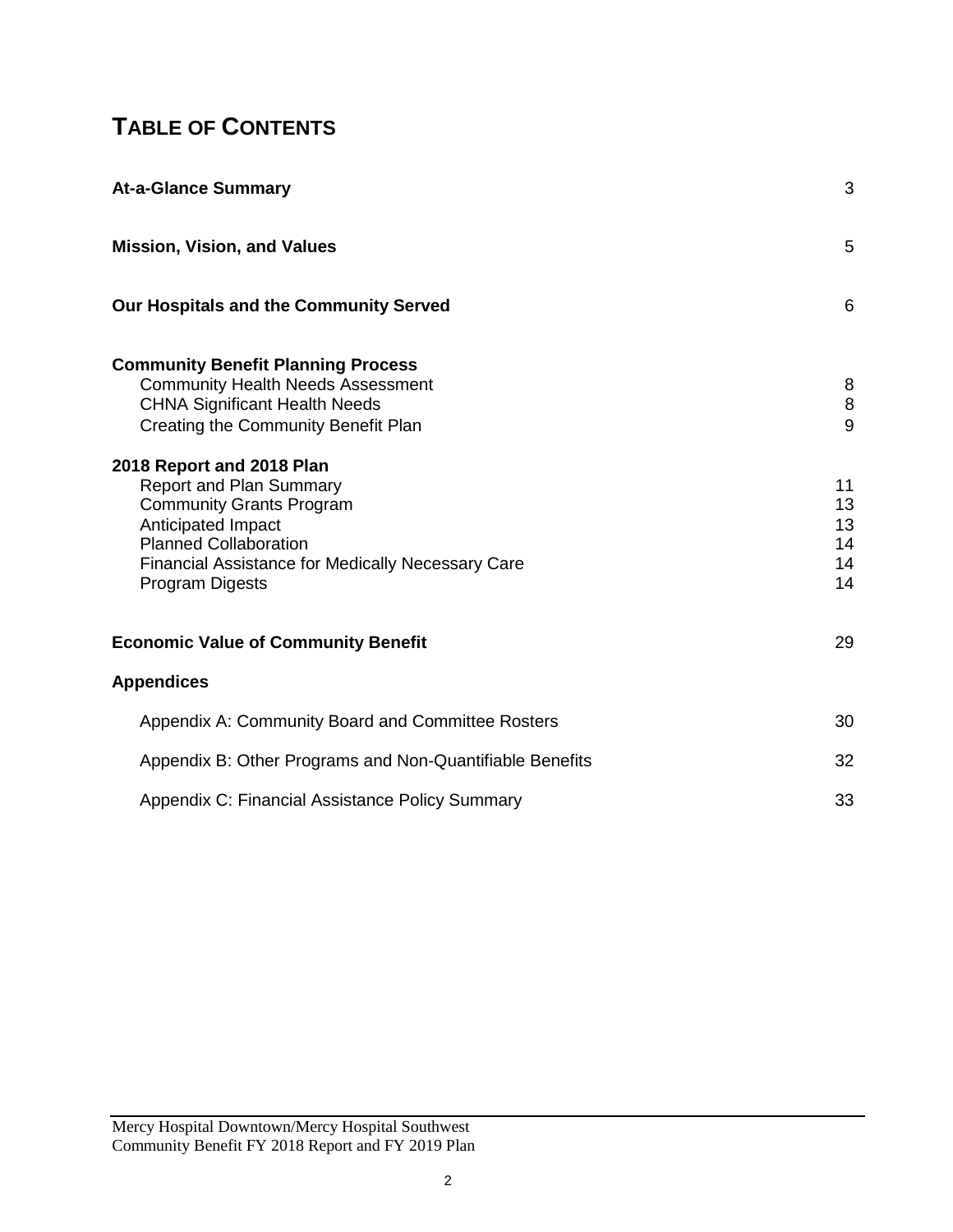# **TABLE OF CONTENTS**

| <b>At-a-Glance Summary</b>                                                                                                                                                                                                                                                                                                                                                                                  | 3                                               |
|-------------------------------------------------------------------------------------------------------------------------------------------------------------------------------------------------------------------------------------------------------------------------------------------------------------------------------------------------------------------------------------------------------------|-------------------------------------------------|
| <b>Mission, Vision, and Values</b>                                                                                                                                                                                                                                                                                                                                                                          | 5                                               |
| Our Hospitals and the Community Served                                                                                                                                                                                                                                                                                                                                                                      | 6                                               |
| <b>Community Benefit Planning Process</b><br><b>Community Health Needs Assessment</b><br><b>CHNA Significant Health Needs</b><br>Creating the Community Benefit Plan<br>2018 Report and 2018 Plan<br><b>Report and Plan Summary</b><br><b>Community Grants Program</b><br>Anticipated Impact<br><b>Planned Collaboration</b><br><b>Financial Assistance for Medically Necessary Care</b><br>Program Digests | 8<br>8<br>9<br>11<br>13<br>13<br>14<br>14<br>14 |
| <b>Economic Value of Community Benefit</b>                                                                                                                                                                                                                                                                                                                                                                  | 29                                              |
| <b>Appendices</b>                                                                                                                                                                                                                                                                                                                                                                                           |                                                 |
| Appendix A: Community Board and Committee Rosters                                                                                                                                                                                                                                                                                                                                                           | 30                                              |
| Appendix B: Other Programs and Non-Quantifiable Benefits                                                                                                                                                                                                                                                                                                                                                    | 32                                              |
| Appendix C: Financial Assistance Policy Summary                                                                                                                                                                                                                                                                                                                                                             | 33                                              |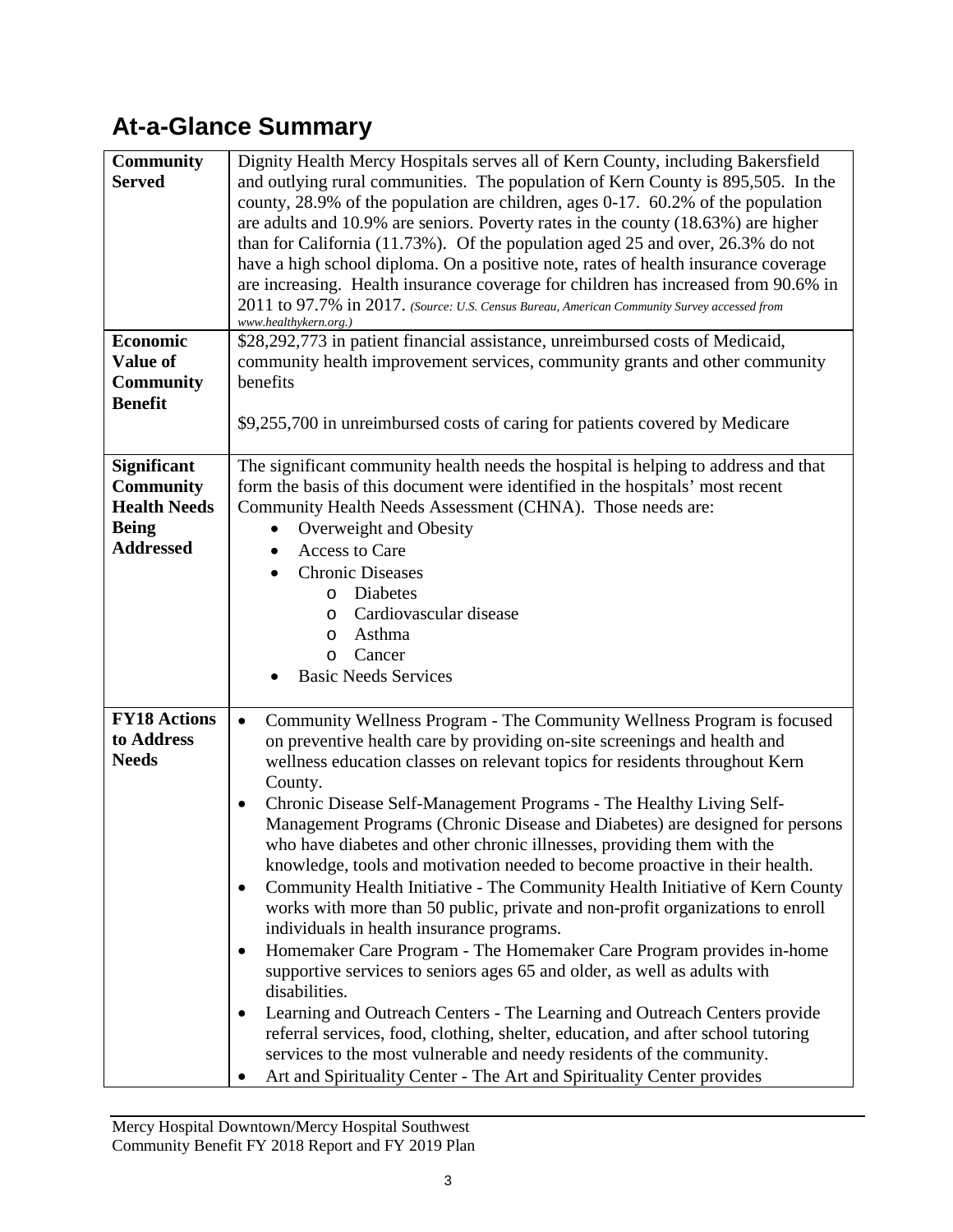# **At-a-Glance Summary**

| <b>Community</b><br><b>Served</b><br><b>Economic</b><br>Value of<br><b>Community</b><br><b>Benefit</b> | Dignity Health Mercy Hospitals serves all of Kern County, including Bakersfield<br>and outlying rural communities. The population of Kern County is 895,505. In the<br>county, 28.9% of the population are children, ages 0-17. 60.2% of the population<br>are adults and $10.9\%$ are seniors. Poverty rates in the county $(18.63\%)$ are higher<br>than for California $(11.73\%)$ . Of the population aged 25 and over, 26.3% do not<br>have a high school diploma. On a positive note, rates of health insurance coverage<br>are increasing. Health insurance coverage for children has increased from 90.6% in<br>2011 to 97.7% in 2017. (Source: U.S. Census Bureau, American Community Survey accessed from<br>www.healthykern.org.)<br>\$28,292,773 in patient financial assistance, unreimbursed costs of Medicaid,<br>community health improvement services, community grants and other community<br>benefits                                                                                                                                                                                                                                                                                                                                                                                |
|--------------------------------------------------------------------------------------------------------|---------------------------------------------------------------------------------------------------------------------------------------------------------------------------------------------------------------------------------------------------------------------------------------------------------------------------------------------------------------------------------------------------------------------------------------------------------------------------------------------------------------------------------------------------------------------------------------------------------------------------------------------------------------------------------------------------------------------------------------------------------------------------------------------------------------------------------------------------------------------------------------------------------------------------------------------------------------------------------------------------------------------------------------------------------------------------------------------------------------------------------------------------------------------------------------------------------------------------------------------------------------------------------------------------------|
|                                                                                                        | \$9,255,700 in unreimbursed costs of caring for patients covered by Medicare                                                                                                                                                                                                                                                                                                                                                                                                                                                                                                                                                                                                                                                                                                                                                                                                                                                                                                                                                                                                                                                                                                                                                                                                                            |
| <b>Significant</b><br><b>Community</b><br><b>Health Needs</b><br><b>Being</b><br><b>Addressed</b>      | The significant community health needs the hospital is helping to address and that<br>form the basis of this document were identified in the hospitals' most recent<br>Community Health Needs Assessment (CHNA). Those needs are:<br>Overweight and Obesity<br>Access to Care<br><b>Chronic Diseases</b><br>Diabetes<br>O<br>Cardiovascular disease<br>O<br>Asthma<br>O<br>Cancer<br>$\circ$<br><b>Basic Needs Services</b>                                                                                                                                                                                                                                                                                                                                                                                                                                                                                                                                                                                                                                                                                                                                                                                                                                                                             |
| <b>FY18 Actions</b><br>to Address<br><b>Needs</b>                                                      | Community Wellness Program - The Community Wellness Program is focused<br>$\bullet$<br>on preventive health care by providing on-site screenings and health and<br>wellness education classes on relevant topics for residents throughout Kern<br>County.<br>Chronic Disease Self-Management Programs - The Healthy Living Self-<br>٠<br>Management Programs (Chronic Disease and Diabetes) are designed for persons<br>who have diabetes and other chronic illnesses, providing them with the<br>knowledge, tools and motivation needed to become proactive in their health.<br>Community Health Initiative - The Community Health Initiative of Kern County<br>٠<br>works with more than 50 public, private and non-profit organizations to enroll<br>individuals in health insurance programs.<br>Homemaker Care Program - The Homemaker Care Program provides in-home<br>$\bullet$<br>supportive services to seniors ages 65 and older, as well as adults with<br>disabilities.<br>Learning and Outreach Centers - The Learning and Outreach Centers provide<br>referral services, food, clothing, shelter, education, and after school tutoring<br>services to the most vulnerable and needy residents of the community.<br>Art and Spirituality Center - The Art and Spirituality Center provides |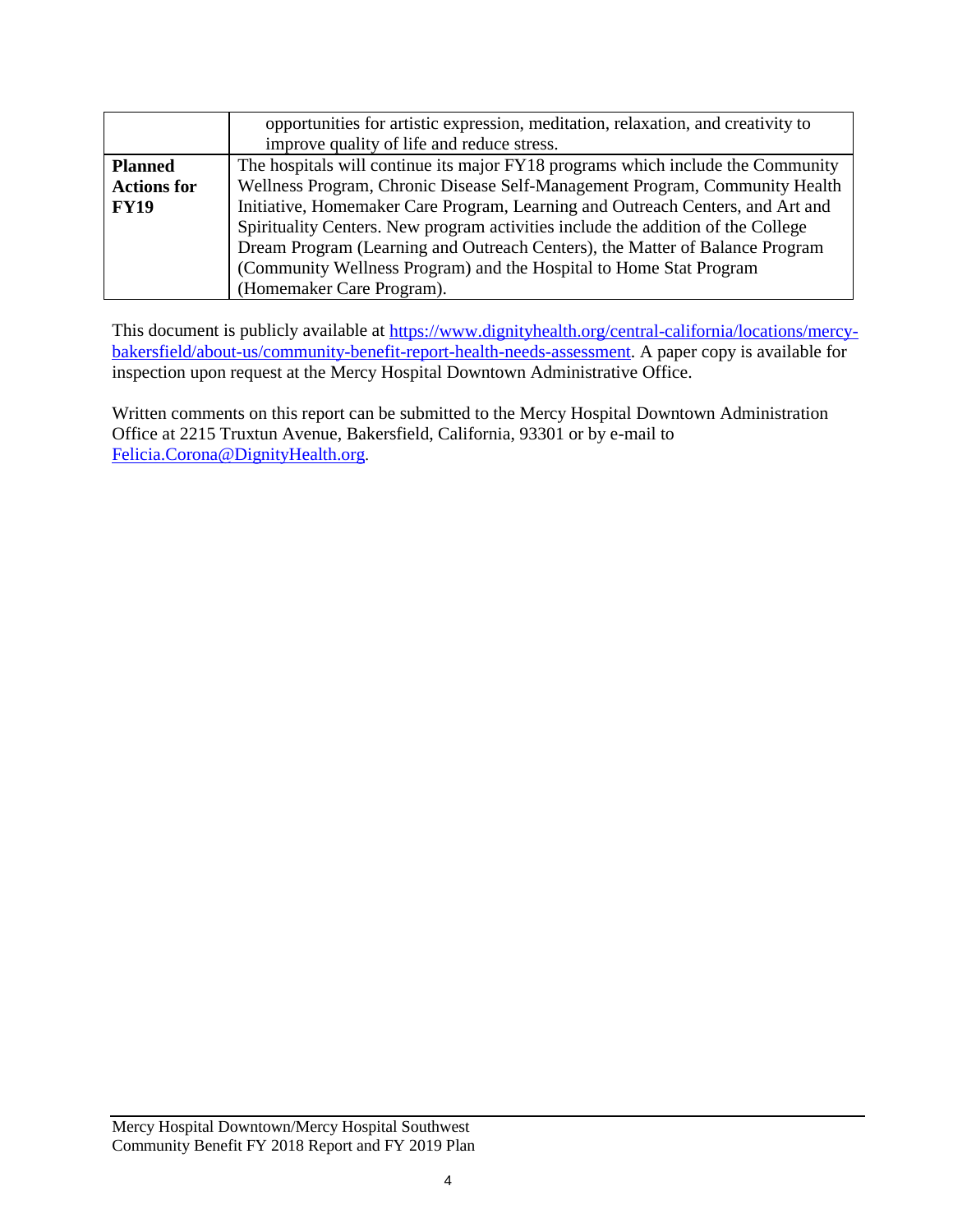|                    | opportunities for artistic expression, meditation, relaxation, and creativity to |
|--------------------|----------------------------------------------------------------------------------|
|                    | improve quality of life and reduce stress.                                       |
| <b>Planned</b>     | The hospitals will continue its major FY18 programs which include the Community  |
| <b>Actions for</b> | Wellness Program, Chronic Disease Self-Management Program, Community Health      |
| <b>FY19</b>        | Initiative, Homemaker Care Program, Learning and Outreach Centers, and Art and   |
|                    | Spirituality Centers. New program activities include the addition of the College |
|                    | Dream Program (Learning and Outreach Centers), the Matter of Balance Program     |
|                    | (Community Wellness Program) and the Hospital to Home Stat Program               |
|                    | (Homemaker Care Program).                                                        |

This document is publicly available at [https://www.dignityhealth.org/central-california/locations/mercy](https://www.dignityhealth.org/central-california/locations/mercy-bakersfield/about-us/community-benefit-report-health-needs-assessment)[bakersfield/about-us/community-benefit-report-health-needs-assessment.](https://www.dignityhealth.org/central-california/locations/mercy-bakersfield/about-us/community-benefit-report-health-needs-assessment) A paper copy is available for inspection upon request at the Mercy Hospital Downtown Administrative Office.

Written comments on this report can be submitted to the Mercy Hospital Downtown Administration Office at 2215 Truxtun Avenue, Bakersfield, California, 93301 or by e-mail to [Felicia.Corona@DignityHealth.org.](mailto:Felicia.Corona@DignityHealth.org)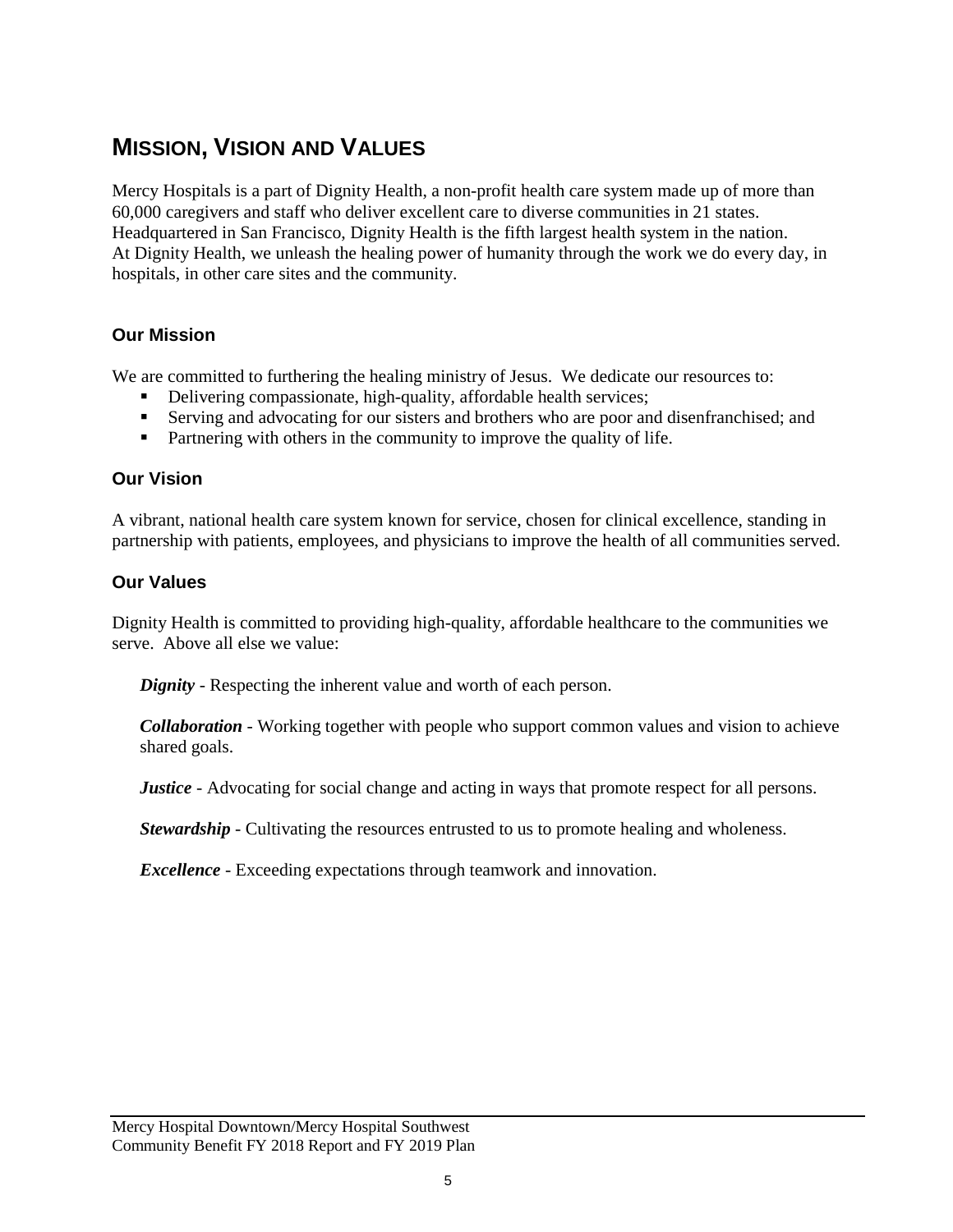# **MISSION, VISION AND VALUES**

Mercy Hospitals is a part of Dignity Health, a non-profit health care system made up of more than 60,000 caregivers and staff who deliver excellent care to diverse communities in 21 states. Headquartered in San Francisco, Dignity Health is the fifth largest health system in the nation. At Dignity Health, we unleash the healing power of humanity through the work we do every day, in hospitals, in other care sites and the community.

### **Our Mission**

We are committed to furthering the healing ministry of Jesus. We dedicate our resources to:

- Delivering compassionate, high-quality, affordable health services;
- Serving and advocating for our sisters and brothers who are poor and disenfranchised; and
- Partnering with others in the community to improve the quality of life.

#### **Our Vision**

A vibrant, national health care system known for service, chosen for clinical excellence, standing in partnership with patients, employees, and physicians to improve the health of all communities served.

#### **Our Values**

Dignity Health is committed to providing high-quality, affordable healthcare to the communities we serve. Above all else we value:

*Dignity* - Respecting the inherent value and worth of each person.

*Collaboration* - Working together with people who support common values and vision to achieve shared goals.

*Justice* - Advocating for social change and acting in ways that promote respect for all persons.

**Stewardship** - Cultivating the resources entrusted to us to promote healing and wholeness.

*Excellence* - Exceeding expectations through teamwork and innovation.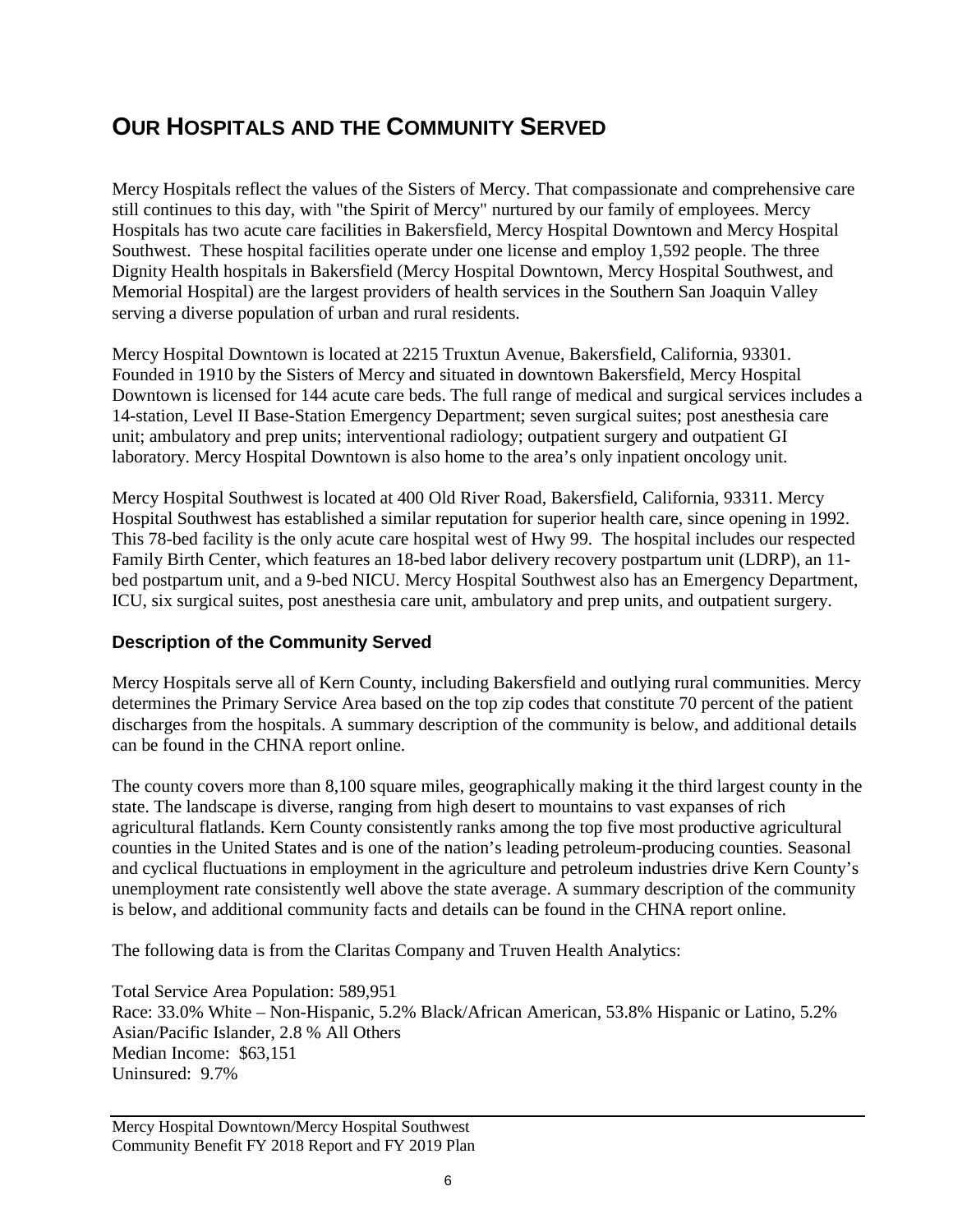# **OUR HOSPITALS AND THE COMMUNITY SERVED**

Mercy Hospitals reflect the values of the Sisters of Mercy. That compassionate and comprehensive care still continues to this day, with "the Spirit of Mercy" nurtured by our family of employees. Mercy Hospitals has two acute care facilities in Bakersfield, Mercy Hospital Downtown and Mercy Hospital Southwest. These hospital facilities operate under one license and employ 1,592 people. The three Dignity Health hospitals in Bakersfield (Mercy Hospital Downtown, Mercy Hospital Southwest, and Memorial Hospital) are the largest providers of health services in the Southern San Joaquin Valley serving a diverse population of urban and rural residents.

Mercy Hospital Downtown is located at 2215 Truxtun Avenue, Bakersfield, California, 93301. Founded in 1910 by the Sisters of Mercy and situated in downtown Bakersfield, Mercy Hospital Downtown is licensed for 144 acute care beds. The full range of medical and surgical services includes a 14-station, Level II Base-Station Emergency Department; seven surgical suites; post anesthesia care unit; ambulatory and prep units; interventional radiology; outpatient surgery and outpatient GI laboratory. Mercy Hospital Downtown is also home to the area's only inpatient oncology unit.

Mercy Hospital Southwest is located at 400 Old River Road, Bakersfield, California, 93311. Mercy Hospital Southwest has established a similar reputation for superior health care, since opening in 1992. This 78-bed facility is the only acute care hospital west of Hwy 99. The hospital includes our respected Family Birth Center, which features an 18-bed labor delivery recovery postpartum unit (LDRP), an 11 bed postpartum unit, and a 9-bed NICU. Mercy Hospital Southwest also has an Emergency Department, ICU, six surgical suites, post anesthesia care unit, ambulatory and prep units, and outpatient surgery.

#### **Description of the Community Served**

Mercy Hospitals serve all of Kern County, including Bakersfield and outlying rural communities. Mercy determines the Primary Service Area based on the top zip codes that constitute 70 percent of the patient discharges from the hospitals. A summary description of the community is below, and additional details can be found in the CHNA report online.

The county covers more than 8,100 square miles, geographically making it the third largest county in the state. The landscape is diverse, ranging from high desert to mountains to vast expanses of rich agricultural flatlands. Kern County consistently ranks among the top five most productive agricultural counties in the United States and is one of the nation's leading petroleum-producing counties. Seasonal and cyclical fluctuations in employment in the agriculture and petroleum industries drive Kern County's unemployment rate consistently well above the state average. A summary description of the community is below, and additional community facts and details can be found in the CHNA report online.

The following data is from the Claritas Company and Truven Health Analytics:

Total Service Area Population: 589,951 Race: 33.0% White – Non-Hispanic, 5.2% Black/African American, 53.8% Hispanic or Latino, 5.2% Asian/Pacific Islander, 2.8 % All Others Median Income: \$63,151 Uninsured: 9.7%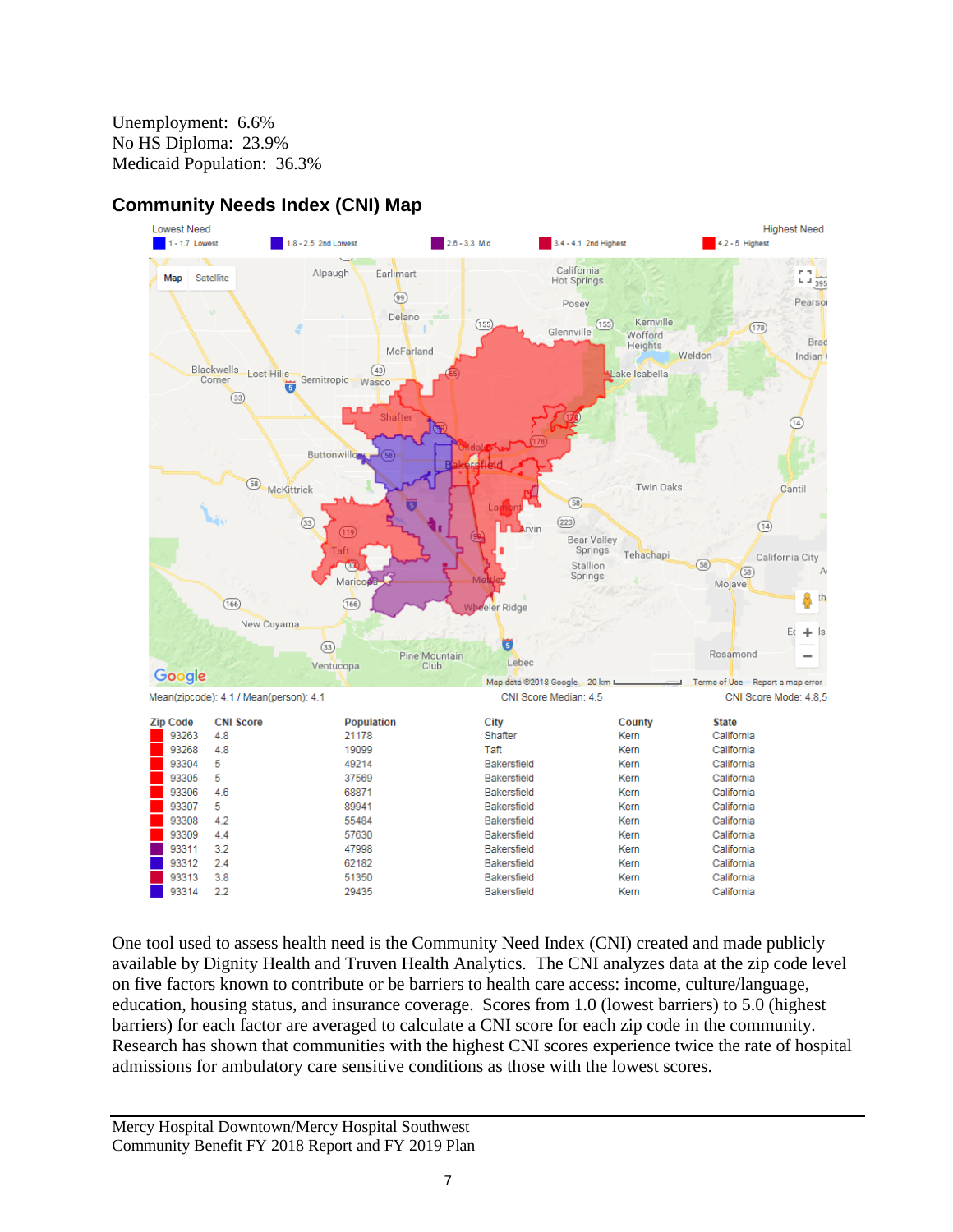Unemployment: 6.6% No HS Diploma: 23.9% Medicaid Population: 36.3%



### **Community Needs Index (CNI) Map**

One tool used to assess health need is the Community Need Index (CNI) created and made publicly available by Dignity Health and Truven Health Analytics. The CNI analyzes data at the zip code level on five factors known to contribute or be barriers to health care access: income, culture/language, education, housing status, and insurance coverage. Scores from 1.0 (lowest barriers) to 5.0 (highest barriers) for each factor are averaged to calculate a CNI score for each zip code in the community. Research has shown that communities with the highest CNI scores experience twice the rate of hospital admissions for ambulatory care sensitive conditions as those with the lowest scores.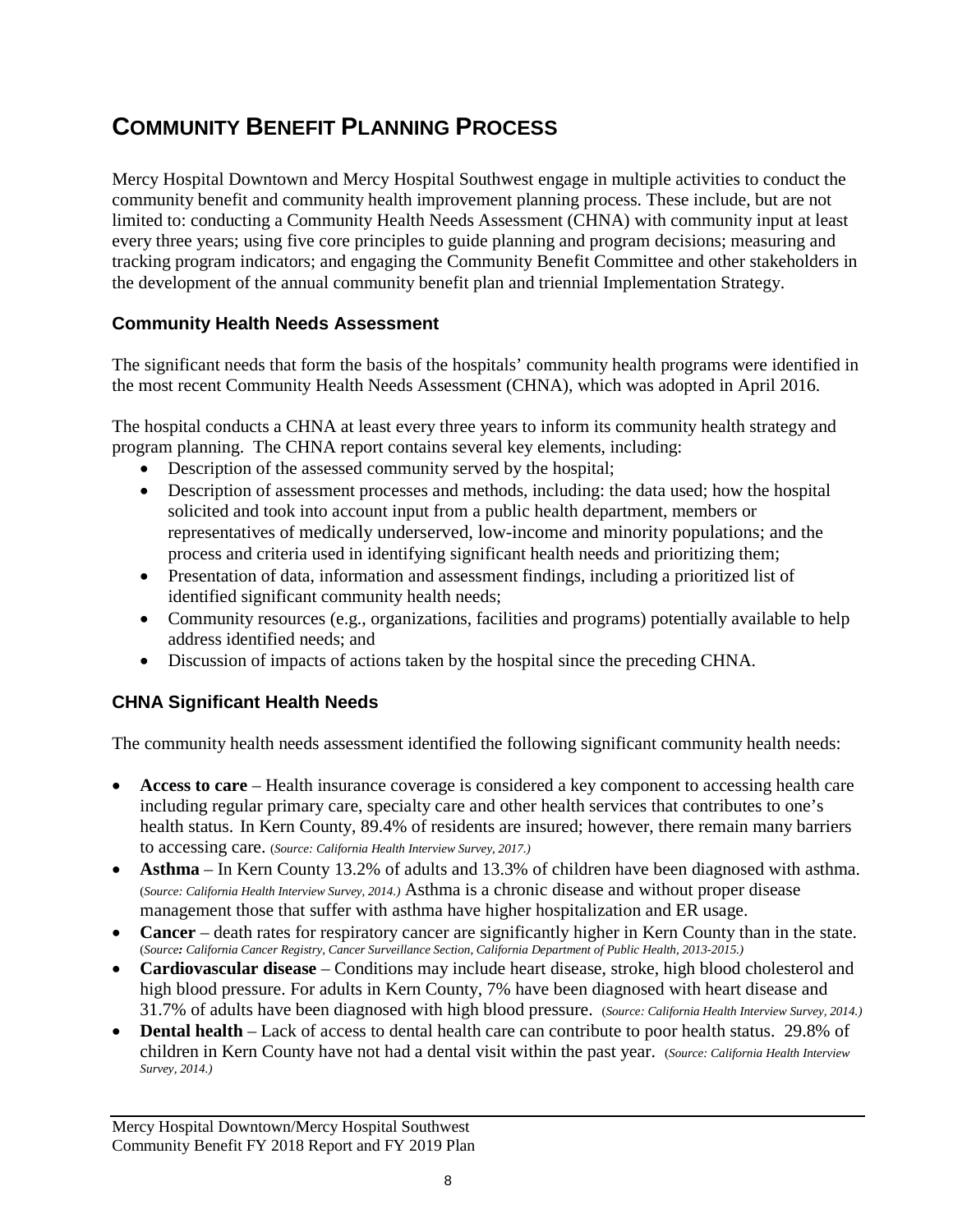# **COMMUNITY BENEFIT PLANNING PROCESS**

Mercy Hospital Downtown and Mercy Hospital Southwest engage in multiple activities to conduct the community benefit and community health improvement planning process. These include, but are not limited to: conducting a Community Health Needs Assessment (CHNA) with community input at least every three years; using five core principles to guide planning and program decisions; measuring and tracking program indicators; and engaging the Community Benefit Committee and other stakeholders in the development of the annual community benefit plan and triennial Implementation Strategy.

### **Community Health Needs Assessment**

The significant needs that form the basis of the hospitals' community health programs were identified in the most recent Community Health Needs Assessment (CHNA), which was adopted in April 2016.

The hospital conducts a CHNA at least every three years to inform its community health strategy and program planning. The CHNA report contains several key elements, including:

- Description of the assessed community served by the hospital;
- Description of assessment processes and methods, including: the data used; how the hospital solicited and took into account input from a public health department, members or representatives of medically underserved, low-income and minority populations; and the process and criteria used in identifying significant health needs and prioritizing them;
- Presentation of data, information and assessment findings, including a prioritized list of identified significant community health needs;
- Community resources (e.g., organizations, facilities and programs) potentially available to help address identified needs; and
- Discussion of impacts of actions taken by the hospital since the preceding CHNA.

### **CHNA Significant Health Needs**

The community health needs assessment identified the following significant community health needs:

- **Access to care** Health insurance coverage is considered a key component to accessing health care including regular primary care, specialty care and other health services that contributes to one's health status. In Kern County, 89.4% of residents are insured; however, there remain many barriers to accessing care. (*Source: California Health Interview Survey, 2017.)*
- **Asthma** In Kern County 13.2% of adults and 13.3% of children have been diagnosed with asthma. (*Source: California Health Interview Survey, 2014.)* Asthma is a chronic disease and without proper disease management those that suffer with asthma have higher hospitalization and ER usage.
- **Cancer** death rates for respiratory cancer are significantly higher in Kern County than in the state. (*Source: California Cancer Registry, Cancer Surveillance Section, California Department of Public Health, 2013-2015.)*
- **Cardiovascular disease** Conditions may include heart disease, stroke, high blood cholesterol and high blood pressure. For adults in Kern County, 7% have been diagnosed with heart disease and 31.7% of adults have been diagnosed with high blood pressure. (*Source: California Health Interview Survey, 2014.)*
- **Dental health** Lack of access to dental health care can contribute to poor health status. 29.8% of children in Kern County have not had a dental visit within the past year. (*Source: California Health Interview Survey, 2014.)*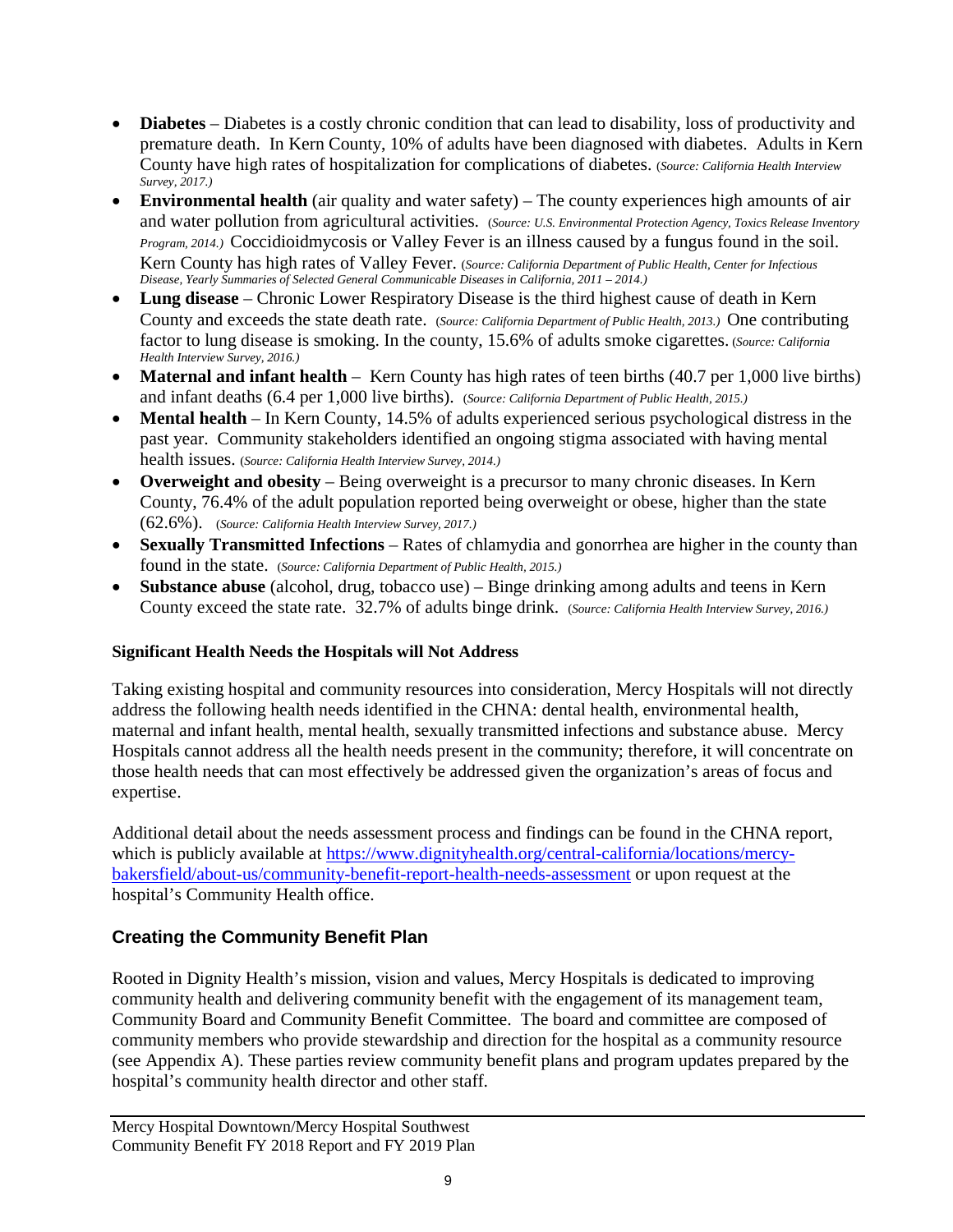- **Diabetes** Diabetes is a costly chronic condition that can lead to disability, loss of productivity and premature death. In Kern County, 10% of adults have been diagnosed with diabetes. Adults in Kern County have high rates of hospitalization for complications of diabetes. (*Source: California Health Interview Survey, 2017.)*
- **Environmental health** (air quality and water safety) The county experiences high amounts of air and water pollution from agricultural activities. (*Source: U.S. Environmental Protection Agency, Toxics Release Inventory Program, 2014.)* Coccidioidmycosis or Valley Fever is an illness caused by a fungus found in the soil. Kern County has high rates of Valley Fever. (*Source: California Department of Public Health, Center for Infectious Disease, Yearly Summaries of Selected General Communicable Diseases in California, 2011 – 2014.)*
- **Lung disease** Chronic Lower Respiratory Disease is the third highest cause of death in Kern County and exceeds the state death rate. (*Source: California Department of Public Health, 2013.)* One contributing factor to lung disease is smoking. In the county, 15.6% of adults smoke cigarettes. (*Source: California Health Interview Survey, 2016.)*
- **Maternal and infant health** Kern County has high rates of teen births (40.7 per 1,000 live births) and infant deaths (6.4 per 1,000 live births). (*Source: California Department of Public Health, 2015.)*
- **Mental health** In Kern County, 14.5% of adults experienced serious psychological distress in the past year. Community stakeholders identified an ongoing stigma associated with having mental health issues. (*Source: California Health Interview Survey, 2014.)*
- **Overweight and obesity** Being overweight is a precursor to many chronic diseases. In Kern County, 76.4% of the adult population reported being overweight or obese, higher than the state (62.6%). (*Source: California Health Interview Survey, 2017.)*
- **Sexually Transmitted Infections** Rates of chlamydia and gonorrhea are higher in the county than found in the state. (*Source: California Department of Public Health, 2015.)*
- **Substance abuse** (alcohol, drug, tobacco use) Binge drinking among adults and teens in Kern County exceed the state rate. 32.7% of adults binge drink. (*Source: California Health Interview Survey, 2016.)*

#### **Significant Health Needs the Hospitals will Not Address**

Taking existing hospital and community resources into consideration, Mercy Hospitals will not directly address the following health needs identified in the CHNA: dental health, environmental health, maternal and infant health, mental health, sexually transmitted infections and substance abuse. Mercy Hospitals cannot address all the health needs present in the community; therefore, it will concentrate on those health needs that can most effectively be addressed given the organization's areas of focus and expertise.

Additional detail about the needs assessment process and findings can be found in the CHNA report, which is publicly available at [https://www.dignityhealth.org/central-california/locations/mercy](https://www.dignityhealth.org/central-california/locations/mercy-bakersfield/about-us/community-benefit-report-health-needs-assessment)[bakersfield/about-us/community-benefit-report-health-needs-assessment](https://www.dignityhealth.org/central-california/locations/mercy-bakersfield/about-us/community-benefit-report-health-needs-assessment) or upon request at the hospital's Community Health office.

### **Creating the Community Benefit Plan**

Rooted in Dignity Health's mission, vision and values, Mercy Hospitals is dedicated to improving community health and delivering community benefit with the engagement of its management team, Community Board and Community Benefit Committee. The board and committee are composed of community members who provide stewardship and direction for the hospital as a community resource (see Appendix A). These parties review community benefit plans and program updates prepared by the hospital's community health director and other staff.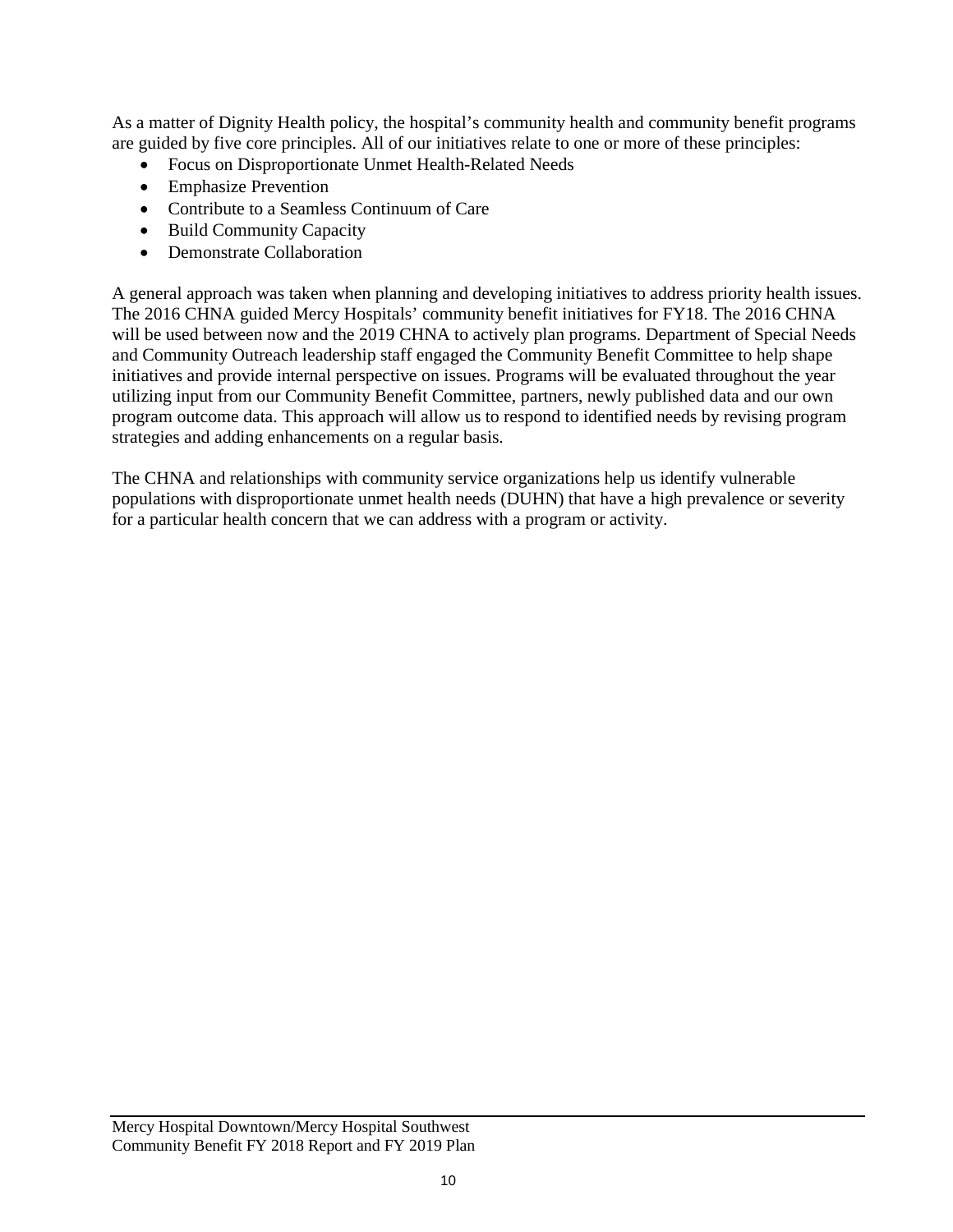As a matter of Dignity Health policy, the hospital's community health and community benefit programs are guided by five core principles. All of our initiatives relate to one or more of these principles:

- Focus on Disproportionate Unmet Health-Related Needs
- Emphasize Prevention
- Contribute to a Seamless Continuum of Care
- Build Community Capacity
- Demonstrate Collaboration

A general approach was taken when planning and developing initiatives to address priority health issues. The 2016 CHNA guided Mercy Hospitals' community benefit initiatives for FY18. The 2016 CHNA will be used between now and the 2019 CHNA to actively plan programs. Department of Special Needs and Community Outreach leadership staff engaged the Community Benefit Committee to help shape initiatives and provide internal perspective on issues. Programs will be evaluated throughout the year utilizing input from our Community Benefit Committee, partners, newly published data and our own program outcome data. This approach will allow us to respond to identified needs by revising program strategies and adding enhancements on a regular basis.

The CHNA and relationships with community service organizations help us identify vulnerable populations with disproportionate unmet health needs (DUHN) that have a high prevalence or severity for a particular health concern that we can address with a program or activity.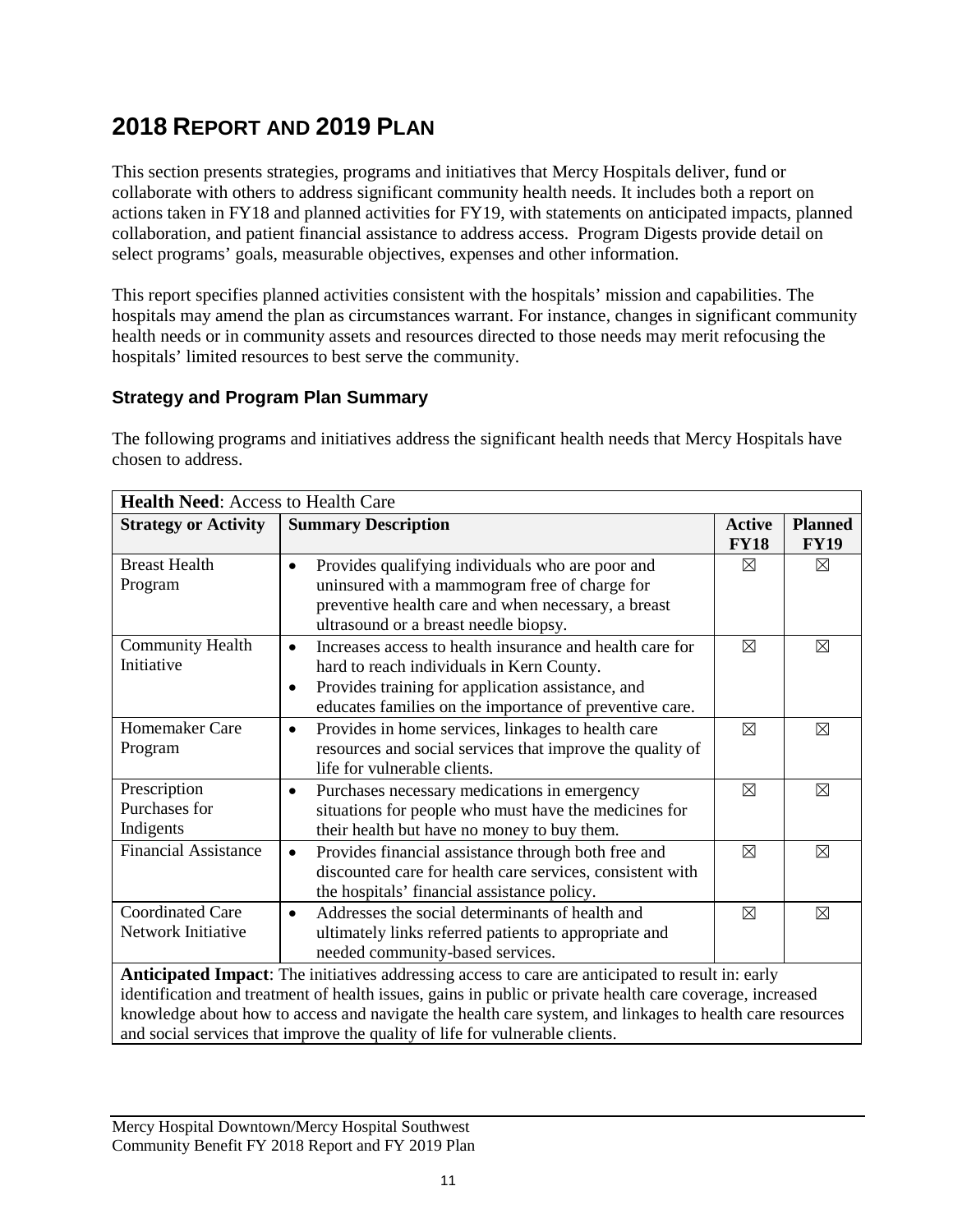# **2018 REPORT AND 2019 PLAN**

This section presents strategies, programs and initiatives that Mercy Hospitals deliver, fund or collaborate with others to address significant community health needs. It includes both a report on actions taken in FY18 and planned activities for FY19, with statements on anticipated impacts, planned collaboration, and patient financial assistance to address access. Program Digests provide detail on select programs' goals, measurable objectives, expenses and other information.

This report specifies planned activities consistent with the hospitals' mission and capabilities. The hospitals may amend the plan as circumstances warrant. For instance, changes in significant community health needs or in community assets and resources directed to those needs may merit refocusing the hospitals' limited resources to best serve the community.

### **Strategy and Program Plan Summary**

The following programs and initiatives address the significant health needs that Mercy Hospitals have chosen to address.

| <b>Health Need: Access to Health Care</b>                                                                                                                                                                                                                                                                                                                                                                         |                                                                                                                                                                                                                                                 |                              |                               |
|-------------------------------------------------------------------------------------------------------------------------------------------------------------------------------------------------------------------------------------------------------------------------------------------------------------------------------------------------------------------------------------------------------------------|-------------------------------------------------------------------------------------------------------------------------------------------------------------------------------------------------------------------------------------------------|------------------------------|-------------------------------|
| <b>Strategy or Activity</b>                                                                                                                                                                                                                                                                                                                                                                                       | <b>Summary Description</b>                                                                                                                                                                                                                      | <b>Active</b><br><b>FY18</b> | <b>Planned</b><br><b>FY19</b> |
| <b>Breast Health</b><br>Program                                                                                                                                                                                                                                                                                                                                                                                   | Provides qualifying individuals who are poor and<br>uninsured with a mammogram free of charge for<br>preventive health care and when necessary, a breast<br>ultrasound or a breast needle biopsy.                                               | $\boxtimes$                  | $\boxtimes$                   |
| Community Health<br>Initiative                                                                                                                                                                                                                                                                                                                                                                                    | Increases access to health insurance and health care for<br>$\bullet$<br>hard to reach individuals in Kern County.<br>Provides training for application assistance, and<br>$\bullet$<br>educates families on the importance of preventive care. | $\boxtimes$                  | $\boxtimes$                   |
| Homemaker Care<br>Program                                                                                                                                                                                                                                                                                                                                                                                         | Provides in home services, linkages to health care<br>$\bullet$<br>resources and social services that improve the quality of<br>life for vulnerable clients.                                                                                    | $\boxtimes$                  | ⊠                             |
| Prescription<br>Purchases for<br>Indigents                                                                                                                                                                                                                                                                                                                                                                        | Purchases necessary medications in emergency<br>$\bullet$<br>situations for people who must have the medicines for<br>their health but have no money to buy them.                                                                               | $\boxtimes$                  | ⊠                             |
| <b>Financial Assistance</b>                                                                                                                                                                                                                                                                                                                                                                                       | Provides financial assistance through both free and<br>$\bullet$<br>discounted care for health care services, consistent with<br>the hospitals' financial assistance policy.                                                                    | $\boxtimes$                  | $\boxtimes$                   |
| <b>Coordinated Care</b><br>Network Initiative                                                                                                                                                                                                                                                                                                                                                                     | Addresses the social determinants of health and<br>$\bullet$<br>ultimately links referred patients to appropriate and<br>needed community-based services.                                                                                       | $\boxtimes$                  | $\boxtimes$                   |
| <b>Anticipated Impact:</b> The initiatives addressing access to care are anticipated to result in: early<br>identification and treatment of health issues, gains in public or private health care coverage, increased<br>knowledge about how to access and navigate the health care system, and linkages to health care resources<br>and social services that improve the quality of life for vulnerable clients. |                                                                                                                                                                                                                                                 |                              |                               |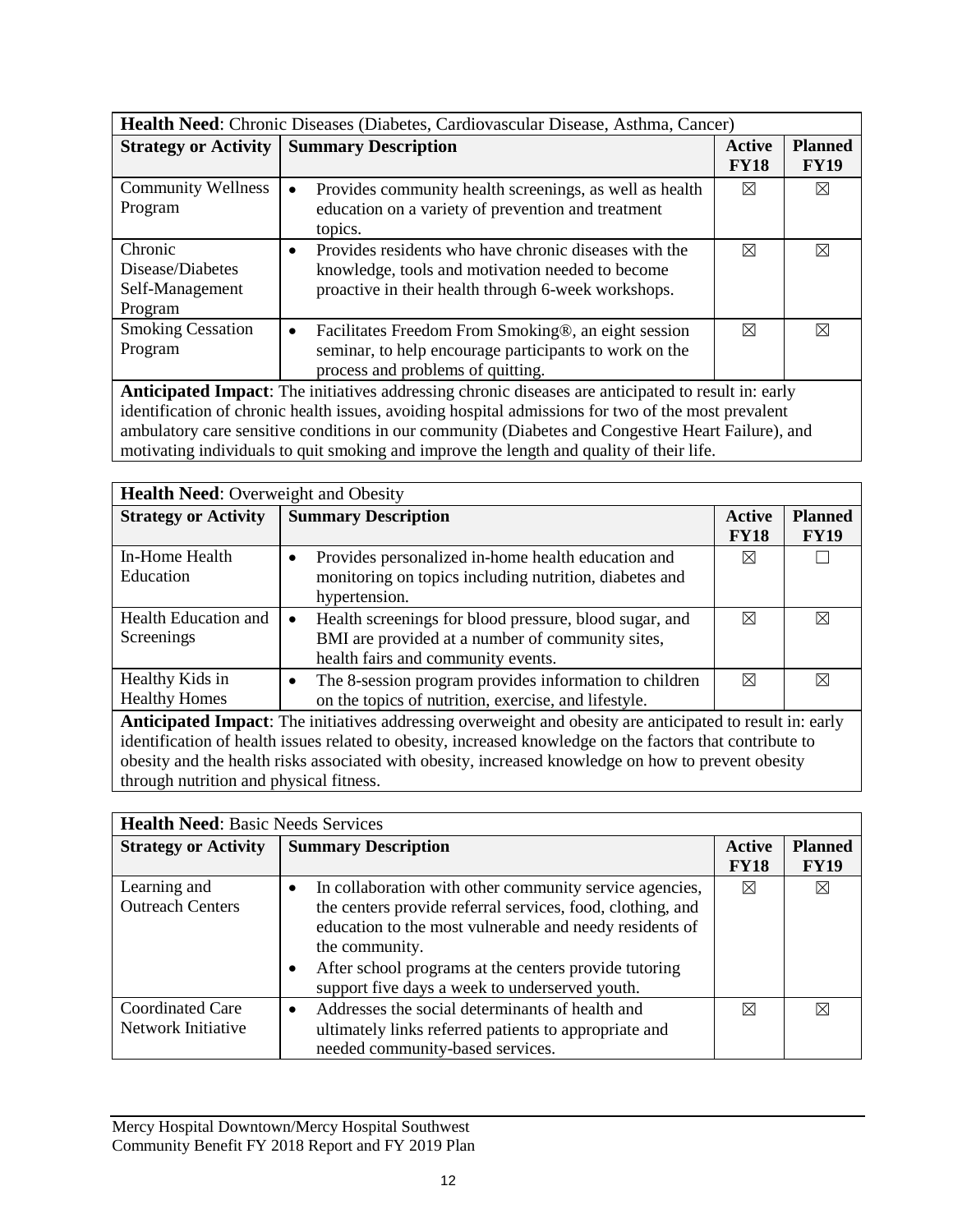| <b>Health Need:</b> Chronic Diseases (Diabetes, Cardiovascular Disease, Asthma, Cancer)                                                                                                                                                                                                               |                                                                                                                                                                               |                       |                               |
|-------------------------------------------------------------------------------------------------------------------------------------------------------------------------------------------------------------------------------------------------------------------------------------------------------|-------------------------------------------------------------------------------------------------------------------------------------------------------------------------------|-----------------------|-------------------------------|
| <b>Strategy or Activity</b>                                                                                                                                                                                                                                                                           | <b>Summary Description</b>                                                                                                                                                    | Active<br><b>FY18</b> | <b>Planned</b><br><b>FY19</b> |
| <b>Community Wellness</b><br>Program                                                                                                                                                                                                                                                                  | Provides community health screenings, as well as health<br>$\bullet$<br>education on a variety of prevention and treatment<br>topics.                                         | ⊠                     | ⊠                             |
| Chronic<br>Disease/Diabetes<br>Self-Management<br>Program                                                                                                                                                                                                                                             | Provides residents who have chronic diseases with the<br>$\bullet$<br>knowledge, tools and motivation needed to become<br>proactive in their health through 6-week workshops. | ⊠                     | ⊠                             |
| <b>Smoking Cessation</b><br>Program                                                                                                                                                                                                                                                                   | Facilitates Freedom From Smoking®, an eight session<br>$\bullet$<br>seminar, to help encourage participants to work on the<br>process and problems of quitting.               | ⊠                     | ⊠                             |
| <b>Anticipated Impact:</b> The initiatives addressing chronic diseases are anticipated to result in: early                                                                                                                                                                                            |                                                                                                                                                                               |                       |                               |
| identification of chronic health issues, avoiding hospital admissions for two of the most prevalent<br>ambulatory care sensitive conditions in our community (Diabetes and Congestive Heart Failure), and<br>motivating individuals to quit smoking and improve the length and quality of their life. |                                                                                                                                                                               |                       |                               |

| <b>Health Need:</b> Overweight and Obesity                                                                                                                                                                             |                                                                                                                                                               |                              |                               |
|------------------------------------------------------------------------------------------------------------------------------------------------------------------------------------------------------------------------|---------------------------------------------------------------------------------------------------------------------------------------------------------------|------------------------------|-------------------------------|
| <b>Strategy or Activity</b>                                                                                                                                                                                            | <b>Summary Description</b>                                                                                                                                    | <b>Active</b><br><b>FY18</b> | <b>Planned</b><br><b>FY19</b> |
| In-Home Health<br>Education                                                                                                                                                                                            | Provides personalized in-home health education and<br>٠<br>monitoring on topics including nutrition, diabetes and<br>hypertension.                            | ⊠                            |                               |
| <b>Health Education and</b><br>Screenings                                                                                                                                                                              | Health screenings for blood pressure, blood sugar, and<br>$\bullet$<br>BMI are provided at a number of community sites,<br>health fairs and community events. | ⊠                            | ⊠                             |
| Healthy Kids in<br><b>Healthy Homes</b>                                                                                                                                                                                | The 8-session program provides information to children<br>$\bullet$<br>on the topics of nutrition, exercise, and lifestyle.                                   | ⊠                            | ⊠                             |
| Anticipated Impact: The initiatives addressing overweight and obesity are anticipated to result in: early<br>identification of health issues related to obesity, increased knowledge on the factors that contribute to |                                                                                                                                                               |                              |                               |

obesity and the health risks associated with obesity, increased knowledge on how to prevent obesity through nutrition and physical fitness.

| <b>Health Need: Basic Needs Services</b>      |                                                                                                                                                                                                                                                                                                                            |                       |                               |
|-----------------------------------------------|----------------------------------------------------------------------------------------------------------------------------------------------------------------------------------------------------------------------------------------------------------------------------------------------------------------------------|-----------------------|-------------------------------|
| <b>Strategy or Activity</b>                   | <b>Summary Description</b>                                                                                                                                                                                                                                                                                                 | Active<br><b>FY18</b> | <b>Planned</b><br><b>FY19</b> |
| Learning and<br><b>Outreach Centers</b>       | In collaboration with other community service agencies,<br>$\bullet$<br>the centers provide referral services, food, clothing, and<br>education to the most vulnerable and needy residents of<br>the community.<br>After school programs at the centers provide tutoring<br>support five days a week to underserved youth. | ⊠                     | ⊠                             |
| <b>Coordinated Care</b><br>Network Initiative | Addresses the social determinants of health and<br>$\bullet$<br>ultimately links referred patients to appropriate and<br>needed community-based services.                                                                                                                                                                  | ⊠                     | $\boxtimes$                   |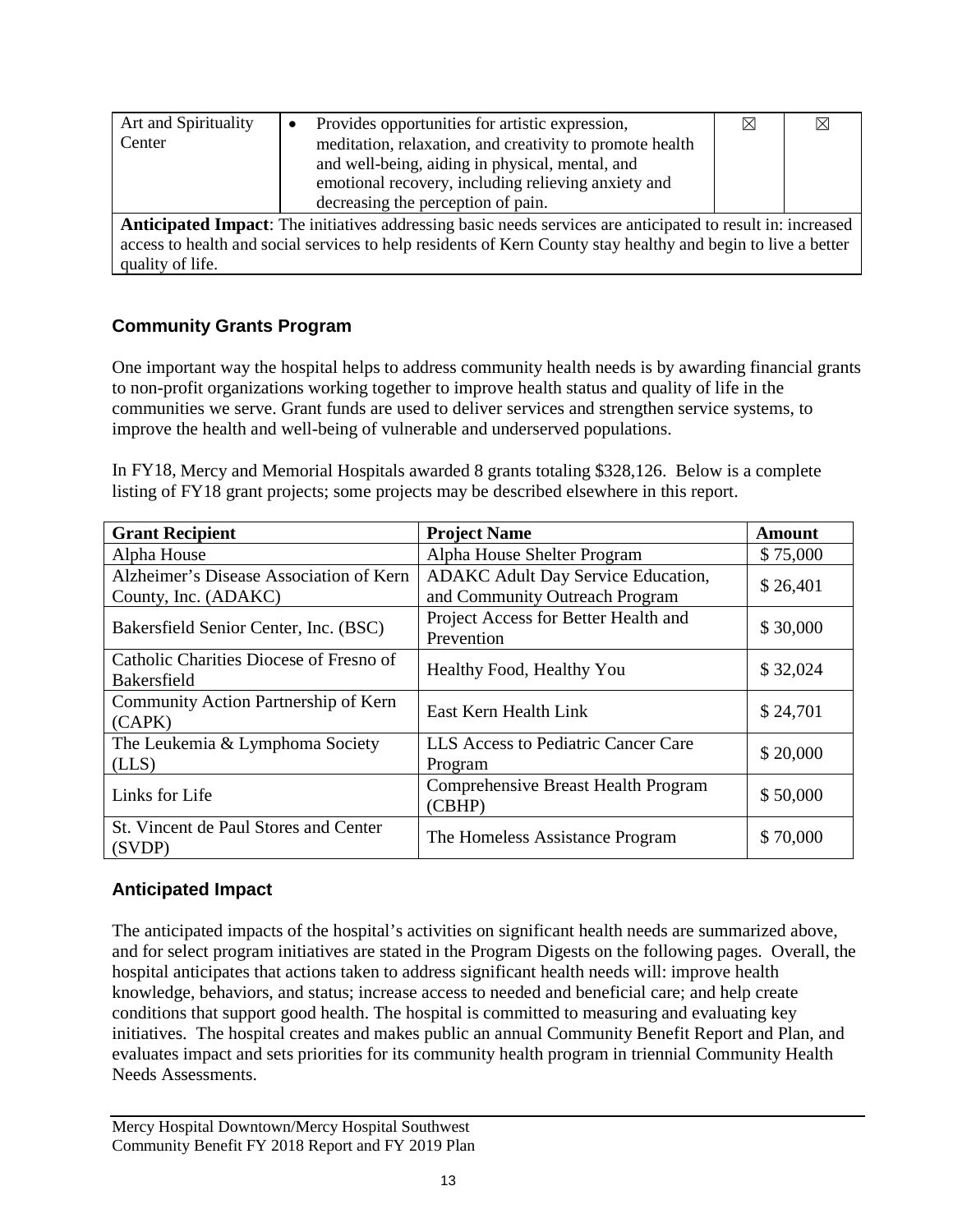| Art and Spirituality | Provides opportunities for artistic expression,                                                                    | ⊠ |  |
|----------------------|--------------------------------------------------------------------------------------------------------------------|---|--|
| Center               | meditation, relaxation, and creativity to promote health                                                           |   |  |
|                      | and well-being, aiding in physical, mental, and                                                                    |   |  |
|                      | emotional recovery, including relieving anxiety and                                                                |   |  |
|                      | decreasing the perception of pain.                                                                                 |   |  |
|                      | <b>Anticipated Impact:</b> The initiatives addressing basic needs services are anticipated to result in: increased |   |  |
|                      | access to health and social services to help residents of Kern County stay healthy and begin to live a better      |   |  |
| quality of life.     |                                                                                                                    |   |  |

### **Community Grants Program**

One important way the hospital helps to address community health needs is by awarding financial grants to non-profit organizations working together to improve health status and quality of life in the communities we serve. Grant funds are used to deliver services and strengthen service systems, to improve the health and well-being of vulnerable and underserved populations.

In FY18, Mercy and Memorial Hospitals awarded 8 grants totaling \$328,126. Below is a complete listing of FY18 grant projects; some projects may be described elsewhere in this report.

| <b>Grant Recipient</b>                                          | <b>Project Name</b>                                                         | Amount   |
|-----------------------------------------------------------------|-----------------------------------------------------------------------------|----------|
| Alpha House                                                     | Alpha House Shelter Program                                                 | \$75,000 |
| Alzheimer's Disease Association of Kern<br>County, Inc. (ADAKC) | <b>ADAKC</b> Adult Day Service Education,<br>and Community Outreach Program | \$26,401 |
| Bakersfield Senior Center, Inc. (BSC)                           | Project Access for Better Health and<br>Prevention                          | \$30,000 |
| Catholic Charities Diocese of Fresno of<br><b>Bakersfield</b>   | Healthy Food, Healthy You                                                   | \$32,024 |
| Community Action Partnership of Kern<br>(CAPK)                  | East Kern Health Link                                                       | \$24,701 |
| The Leukemia & Lymphoma Society<br>(LLS)                        | LLS Access to Pediatric Cancer Care<br>Program                              | \$20,000 |
| Links for Life                                                  | <b>Comprehensive Breast Health Program</b><br>(CBHP)                        | \$50,000 |
| St. Vincent de Paul Stores and Center<br>(SVDP)                 | The Homeless Assistance Program                                             | \$70,000 |

#### **Anticipated Impact**

The anticipated impacts of the hospital's activities on significant health needs are summarized above, and for select program initiatives are stated in the Program Digests on the following pages. Overall, the hospital anticipates that actions taken to address significant health needs will: improve health knowledge, behaviors, and status; increase access to needed and beneficial care; and help create conditions that support good health. The hospital is committed to measuring and evaluating key initiatives. The hospital creates and makes public an annual Community Benefit Report and Plan, and evaluates impact and sets priorities for its community health program in triennial Community Health Needs Assessments.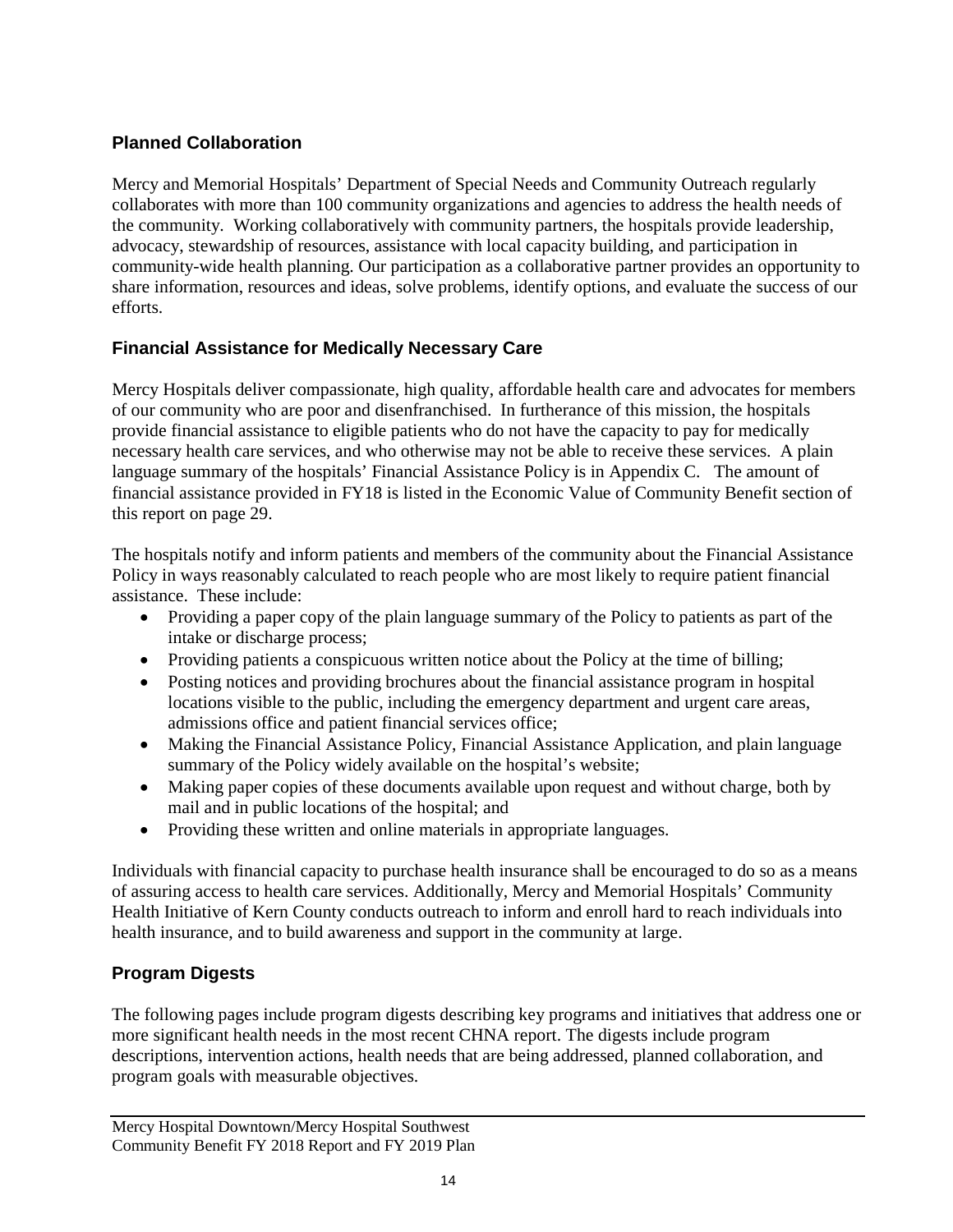### **Planned Collaboration**

Mercy and Memorial Hospitals' Department of Special Needs and Community Outreach regularly collaborates with more than 100 community organizations and agencies to address the health needs of the community. Working collaboratively with community partners, the hospitals provide leadership, advocacy, stewardship of resources, assistance with local capacity building, and participation in community-wide health planning. Our participation as a collaborative partner provides an opportunity to share information, resources and ideas, solve problems, identify options, and evaluate the success of our efforts.

#### **Financial Assistance for Medically Necessary Care**

Mercy Hospitals deliver compassionate, high quality, affordable health care and advocates for members of our community who are poor and disenfranchised. In furtherance of this mission, the hospitals provide financial assistance to eligible patients who do not have the capacity to pay for medically necessary health care services, and who otherwise may not be able to receive these services. A plain language summary of the hospitals' Financial Assistance Policy is in Appendix C. The amount of financial assistance provided in FY18 is listed in the Economic Value of Community Benefit section of this report on page 29.

The hospitals notify and inform patients and members of the community about the Financial Assistance Policy in ways reasonably calculated to reach people who are most likely to require patient financial assistance. These include:

- Providing a paper copy of the plain language summary of the Policy to patients as part of the intake or discharge process;
- Providing patients a conspicuous written notice about the Policy at the time of billing;
- Posting notices and providing brochures about the financial assistance program in hospital locations visible to the public, including the emergency department and urgent care areas, admissions office and patient financial services office;
- Making the Financial Assistance Policy, Financial Assistance Application, and plain language summary of the Policy widely available on the hospital's website;
- Making paper copies of these documents available upon request and without charge, both by mail and in public locations of the hospital; and
- Providing these written and online materials in appropriate languages.

Individuals with financial capacity to purchase health insurance shall be encouraged to do so as a means of assuring access to health care services. Additionally, Mercy and Memorial Hospitals' Community Health Initiative of Kern County conducts outreach to inform and enroll hard to reach individuals into health insurance, and to build awareness and support in the community at large.

### **Program Digests**

The following pages include program digests describing key programs and initiatives that address one or more significant health needs in the most recent CHNA report. The digests include program descriptions, intervention actions, health needs that are being addressed, planned collaboration, and program goals with measurable objectives.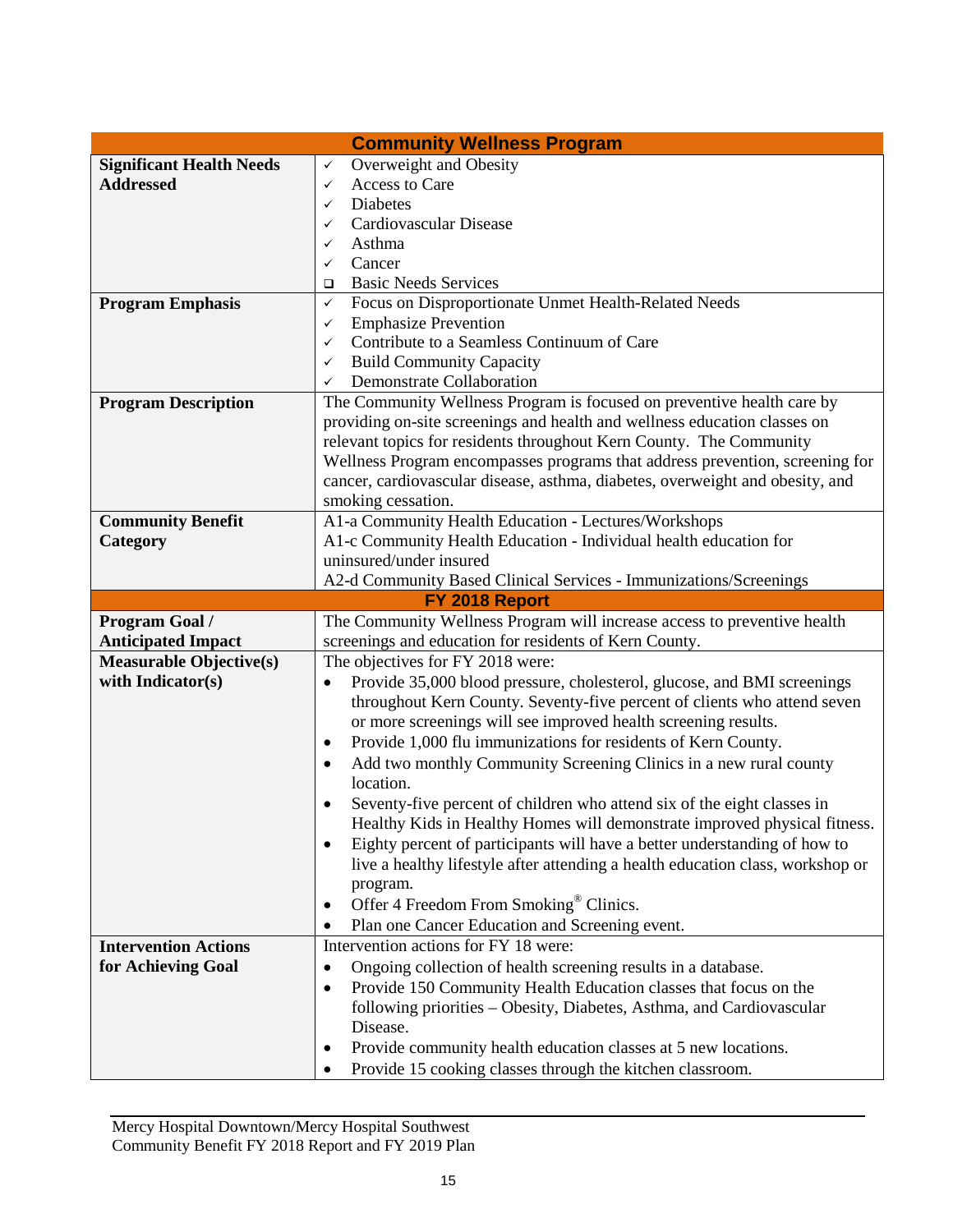|                                 | <b>Community Wellness Program</b>                                                                                                |
|---------------------------------|----------------------------------------------------------------------------------------------------------------------------------|
| <b>Significant Health Needs</b> | Overweight and Obesity<br>$\checkmark$                                                                                           |
| <b>Addressed</b>                | <b>Access to Care</b><br>$\checkmark$                                                                                            |
|                                 | Diabetes<br>✓                                                                                                                    |
|                                 | Cardiovascular Disease<br>✓                                                                                                      |
|                                 | Asthma<br>✓                                                                                                                      |
|                                 | Cancer<br>✓                                                                                                                      |
|                                 | <b>Basic Needs Services</b><br>□                                                                                                 |
| <b>Program Emphasis</b>         | Focus on Disproportionate Unmet Health-Related Needs<br>$\checkmark$                                                             |
|                                 | <b>Emphasize Prevention</b><br>✓                                                                                                 |
|                                 | Contribute to a Seamless Continuum of Care<br>✓                                                                                  |
|                                 | <b>Build Community Capacity</b><br>✓                                                                                             |
|                                 | Demonstrate Collaboration<br>✓                                                                                                   |
| <b>Program Description</b>      | The Community Wellness Program is focused on preventive health care by                                                           |
|                                 | providing on-site screenings and health and wellness education classes on                                                        |
|                                 | relevant topics for residents throughout Kern County. The Community                                                              |
|                                 | Wellness Program encompasses programs that address prevention, screening for                                                     |
|                                 | cancer, cardiovascular disease, asthma, diabetes, overweight and obesity, and                                                    |
|                                 | smoking cessation.                                                                                                               |
| <b>Community Benefit</b>        | A1-a Community Health Education - Lectures/Workshops                                                                             |
| Category                        | A1-c Community Health Education - Individual health education for                                                                |
|                                 | uninsured/under insured                                                                                                          |
|                                 | A2-d Community Based Clinical Services - Immunizations/Screenings                                                                |
|                                 | FY 2018 Report                                                                                                                   |
|                                 |                                                                                                                                  |
| Program Goal /                  | The Community Wellness Program will increase access to preventive health                                                         |
| <b>Anticipated Impact</b>       | screenings and education for residents of Kern County.                                                                           |
| <b>Measurable Objective(s)</b>  | The objectives for FY 2018 were:                                                                                                 |
| with Indicator(s)               | Provide 35,000 blood pressure, cholesterol, glucose, and BMI screenings<br>$\bullet$                                             |
|                                 | throughout Kern County. Seventy-five percent of clients who attend seven                                                         |
|                                 | or more screenings will see improved health screening results.                                                                   |
|                                 | Provide 1,000 flu immunizations for residents of Kern County.<br>$\bullet$                                                       |
|                                 | Add two monthly Community Screening Clinics in a new rural county<br>٠                                                           |
|                                 | location.                                                                                                                        |
|                                 | Seventy-five percent of children who attend six of the eight classes in                                                          |
|                                 | Healthy Kids in Healthy Homes will demonstrate improved physical fitness.                                                        |
|                                 | Eighty percent of participants will have a better understanding of how to<br>٠                                                   |
|                                 | live a healthy lifestyle after attending a health education class, workshop or                                                   |
|                                 | program.                                                                                                                         |
|                                 | Offer 4 Freedom From Smoking® Clinics.<br>$\bullet$                                                                              |
|                                 | Plan one Cancer Education and Screening event.                                                                                   |
| <b>Intervention Actions</b>     | Intervention actions for FY 18 were:                                                                                             |
| for Achieving Goal              | Ongoing collection of health screening results in a database.<br>$\bullet$                                                       |
|                                 | Provide 150 Community Health Education classes that focus on the<br>$\bullet$                                                    |
|                                 | following priorities - Obesity, Diabetes, Asthma, and Cardiovascular                                                             |
|                                 | Disease.                                                                                                                         |
|                                 | Provide community health education classes at 5 new locations.<br>٠<br>Provide 15 cooking classes through the kitchen classroom. |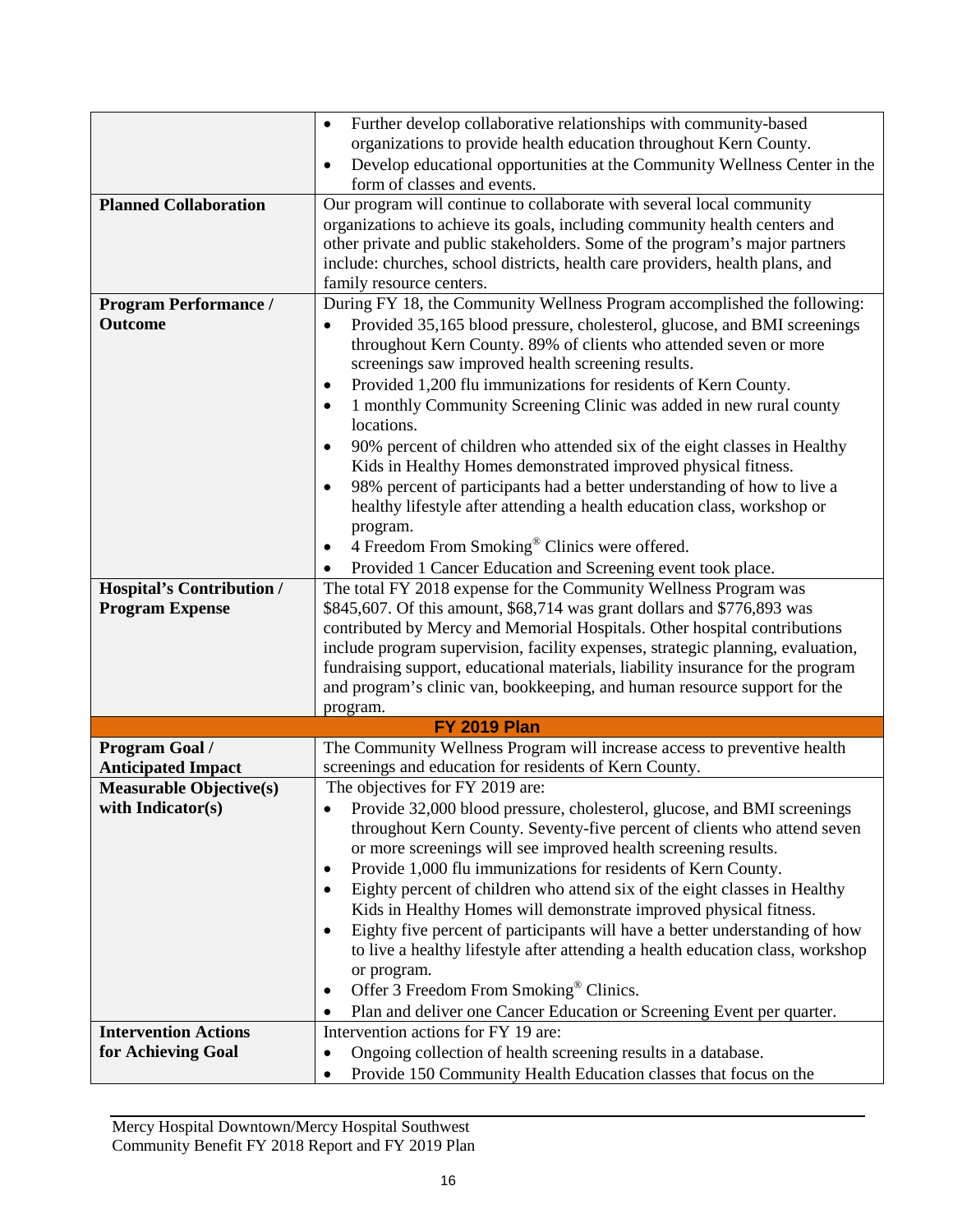|                                  | Further develop collaborative relationships with community-based<br>$\bullet$            |
|----------------------------------|------------------------------------------------------------------------------------------|
|                                  | organizations to provide health education throughout Kern County.                        |
|                                  | Develop educational opportunities at the Community Wellness Center in the<br>$\bullet$   |
|                                  | form of classes and events.                                                              |
| <b>Planned Collaboration</b>     | Our program will continue to collaborate with several local community                    |
|                                  | organizations to achieve its goals, including community health centers and               |
|                                  | other private and public stakeholders. Some of the program's major partners              |
|                                  | include: churches, school districts, health care providers, health plans, and            |
|                                  | family resource centers.                                                                 |
| <b>Program Performance /</b>     | During FY 18, the Community Wellness Program accomplished the following:                 |
| Outcome                          | Provided 35,165 blood pressure, cholesterol, glucose, and BMI screenings                 |
|                                  | throughout Kern County. 89% of clients who attended seven or more                        |
|                                  | screenings saw improved health screening results.                                        |
|                                  |                                                                                          |
|                                  | Provided 1,200 flu immunizations for residents of Kern County.<br>$\bullet$              |
|                                  | 1 monthly Community Screening Clinic was added in new rural county<br>$\bullet$          |
|                                  | locations.                                                                               |
|                                  | 90% percent of children who attended six of the eight classes in Healthy<br>$\bullet$    |
|                                  | Kids in Healthy Homes demonstrated improved physical fitness.                            |
|                                  | 98% percent of participants had a better understanding of how to live a<br>$\bullet$     |
|                                  | healthy lifestyle after attending a health education class, workshop or                  |
|                                  | program.                                                                                 |
|                                  | 4 Freedom From Smoking® Clinics were offered.<br>٠                                       |
|                                  | Provided 1 Cancer Education and Screening event took place.                              |
| <b>Hospital's Contribution /</b> | The total FY 2018 expense for the Community Wellness Program was                         |
| <b>Program Expense</b>           | \$845,607. Of this amount, \$68,714 was grant dollars and \$776,893 was                  |
|                                  | contributed by Mercy and Memorial Hospitals. Other hospital contributions                |
|                                  | include program supervision, facility expenses, strategic planning, evaluation,          |
|                                  | fundraising support, educational materials, liability insurance for the program          |
|                                  | and program's clinic van, bookkeeping, and human resource support for the                |
|                                  | program.                                                                                 |
|                                  | <b>FY 2019 Plan</b>                                                                      |
| <b>Program Goal /</b>            | The Community Wellness Program will increase access to preventive health                 |
| <b>Anticipated Impact</b>        | screenings and education for residents of Kern County.                                   |
| <b>Measurable Objective(s)</b>   | The objectives for FY 2019 are:                                                          |
| with Indicator(s)                | Provide 32,000 blood pressure, cholesterol, glucose, and BMI screenings                  |
|                                  |                                                                                          |
|                                  | throughout Kern County. Seventy-five percent of clients who attend seven                 |
|                                  | or more screenings will see improved health screening results.                           |
|                                  | Provide 1,000 flu immunizations for residents of Kern County.<br>٠                       |
|                                  | Eighty percent of children who attend six of the eight classes in Healthy<br>$\bullet$   |
|                                  | Kids in Healthy Homes will demonstrate improved physical fitness.                        |
|                                  | Eighty five percent of participants will have a better understanding of how<br>$\bullet$ |
|                                  | to live a healthy lifestyle after attending a health education class, workshop           |
|                                  | or program.                                                                              |
|                                  | Offer 3 Freedom From Smoking <sup>®</sup> Clinics.<br>٠                                  |
|                                  | Plan and deliver one Cancer Education or Screening Event per quarter.<br>٠               |
| <b>Intervention Actions</b>      | Intervention actions for FY 19 are:                                                      |
| for Achieving Goal               | Ongoing collection of health screening results in a database.<br>٠                       |
|                                  | Provide 150 Community Health Education classes that focus on the<br>$\bullet$            |
|                                  |                                                                                          |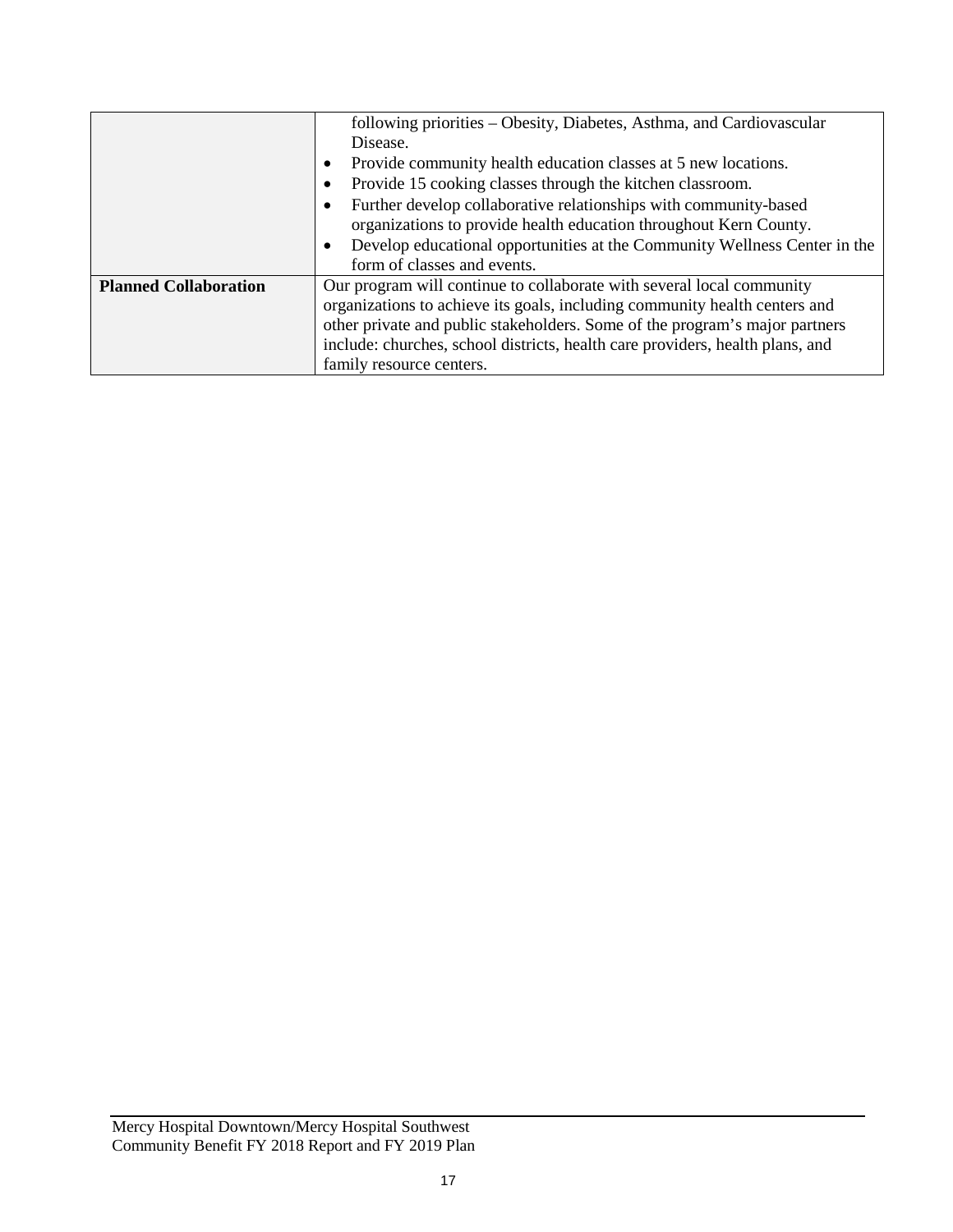|                              | following priorities – Obesity, Diabetes, Asthma, and Cardiovascular                   |
|------------------------------|----------------------------------------------------------------------------------------|
|                              | Disease.                                                                               |
|                              | Provide community health education classes at 5 new locations.<br>$\bullet$            |
|                              | Provide 15 cooking classes through the kitchen classroom.<br>٠                         |
|                              | Further develop collaborative relationships with community-based<br>٠                  |
|                              | organizations to provide health education throughout Kern County.                      |
|                              | Develop educational opportunities at the Community Wellness Center in the<br>$\bullet$ |
|                              | form of classes and events.                                                            |
| <b>Planned Collaboration</b> | Our program will continue to collaborate with several local community                  |
|                              | organizations to achieve its goals, including community health centers and             |
|                              | other private and public stakeholders. Some of the program's major partners            |
|                              | include: churches, school districts, health care providers, health plans, and          |
|                              | family resource centers.                                                               |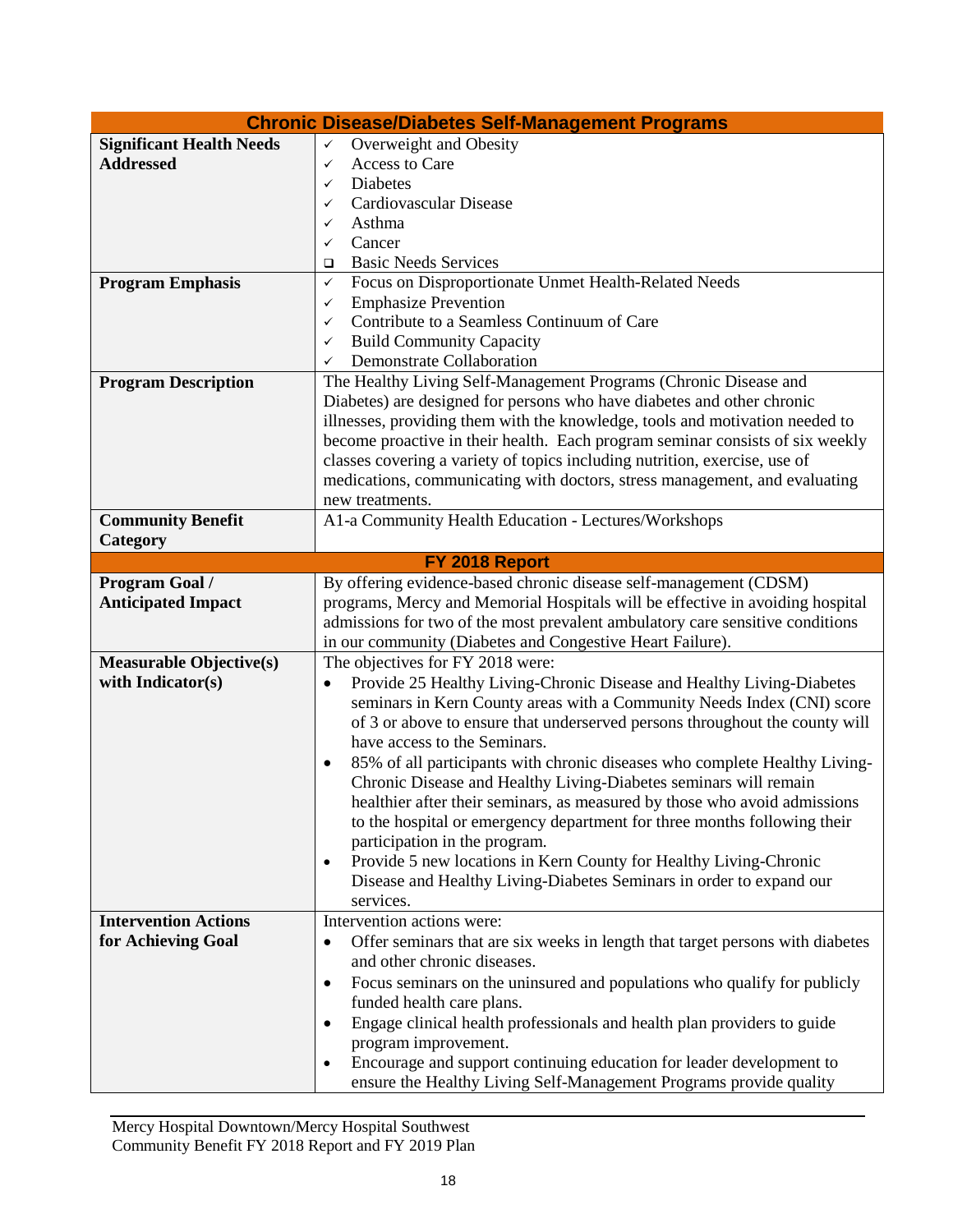| <b>Chronic Disease/Diabetes Self-Management Programs</b> |                                                                                            |  |  |  |  |  |
|----------------------------------------------------------|--------------------------------------------------------------------------------------------|--|--|--|--|--|
| <b>Significant Health Needs</b>                          | Overweight and Obesity<br>$\checkmark$                                                     |  |  |  |  |  |
| <b>Addressed</b>                                         | Access to Care<br>✓                                                                        |  |  |  |  |  |
|                                                          | <b>Diabetes</b><br>✓                                                                       |  |  |  |  |  |
|                                                          | Cardiovascular Disease<br>✓                                                                |  |  |  |  |  |
|                                                          | Asthma<br>✓                                                                                |  |  |  |  |  |
|                                                          | Cancer<br>✓                                                                                |  |  |  |  |  |
|                                                          | <b>Basic Needs Services</b>                                                                |  |  |  |  |  |
| <b>Program Emphasis</b>                                  | Focus on Disproportionate Unmet Health-Related Needs<br>✓                                  |  |  |  |  |  |
|                                                          | <b>Emphasize Prevention</b><br>✓                                                           |  |  |  |  |  |
|                                                          | Contribute to a Seamless Continuum of Care<br>✓                                            |  |  |  |  |  |
|                                                          | <b>Build Community Capacity</b><br>✓                                                       |  |  |  |  |  |
|                                                          | Demonstrate Collaboration<br>✓                                                             |  |  |  |  |  |
| <b>Program Description</b>                               | The Healthy Living Self-Management Programs (Chronic Disease and                           |  |  |  |  |  |
|                                                          | Diabetes) are designed for persons who have diabetes and other chronic                     |  |  |  |  |  |
|                                                          | illnesses, providing them with the knowledge, tools and motivation needed to               |  |  |  |  |  |
|                                                          | become proactive in their health. Each program seminar consists of six weekly              |  |  |  |  |  |
|                                                          | classes covering a variety of topics including nutrition, exercise, use of                 |  |  |  |  |  |
|                                                          | medications, communicating with doctors, stress management, and evaluating                 |  |  |  |  |  |
|                                                          | new treatments.                                                                            |  |  |  |  |  |
| <b>Community Benefit</b>                                 | A1-a Community Health Education - Lectures/Workshops                                       |  |  |  |  |  |
| Category                                                 |                                                                                            |  |  |  |  |  |
|                                                          | FY 2018 Report                                                                             |  |  |  |  |  |
| Program Goal /                                           | By offering evidence-based chronic disease self-management (CDSM)                          |  |  |  |  |  |
| <b>Anticipated Impact</b>                                | programs, Mercy and Memorial Hospitals will be effective in avoiding hospital              |  |  |  |  |  |
|                                                          | admissions for two of the most prevalent ambulatory care sensitive conditions              |  |  |  |  |  |
|                                                          | in our community (Diabetes and Congestive Heart Failure).                                  |  |  |  |  |  |
| <b>Measurable Objective(s)</b>                           | The objectives for FY 2018 were:                                                           |  |  |  |  |  |
| with Indicator(s)                                        | Provide 25 Healthy Living-Chronic Disease and Healthy Living-Diabetes<br>$\bullet$         |  |  |  |  |  |
|                                                          | seminars in Kern County areas with a Community Needs Index (CNI) score                     |  |  |  |  |  |
|                                                          | of 3 or above to ensure that underserved persons throughout the county will                |  |  |  |  |  |
|                                                          | have access to the Seminars.                                                               |  |  |  |  |  |
|                                                          | 85% of all participants with chronic diseases who complete Healthy Living-                 |  |  |  |  |  |
|                                                          | Chronic Disease and Healthy Living-Diabetes seminars will remain                           |  |  |  |  |  |
|                                                          | healthier after their seminars, as measured by those who avoid admissions                  |  |  |  |  |  |
|                                                          | to the hospital or emergency department for three months following their                   |  |  |  |  |  |
|                                                          | participation in the program.                                                              |  |  |  |  |  |
|                                                          | Provide 5 new locations in Kern County for Healthy Living-Chronic<br>$\bullet$             |  |  |  |  |  |
|                                                          | Disease and Healthy Living-Diabetes Seminars in order to expand our                        |  |  |  |  |  |
|                                                          | services.                                                                                  |  |  |  |  |  |
| <b>Intervention Actions</b>                              | Intervention actions were:                                                                 |  |  |  |  |  |
| for Achieving Goal                                       | Offer seminars that are six weeks in length that target persons with diabetes<br>$\bullet$ |  |  |  |  |  |
|                                                          | and other chronic diseases.                                                                |  |  |  |  |  |
|                                                          | Focus seminars on the uninsured and populations who qualify for publicly<br>٠              |  |  |  |  |  |
|                                                          | funded health care plans.                                                                  |  |  |  |  |  |
|                                                          | Engage clinical health professionals and health plan providers to guide<br>$\bullet$       |  |  |  |  |  |
|                                                          | program improvement.                                                                       |  |  |  |  |  |
|                                                          | Encourage and support continuing education for leader development to                       |  |  |  |  |  |
|                                                          | ensure the Healthy Living Self-Management Programs provide quality                         |  |  |  |  |  |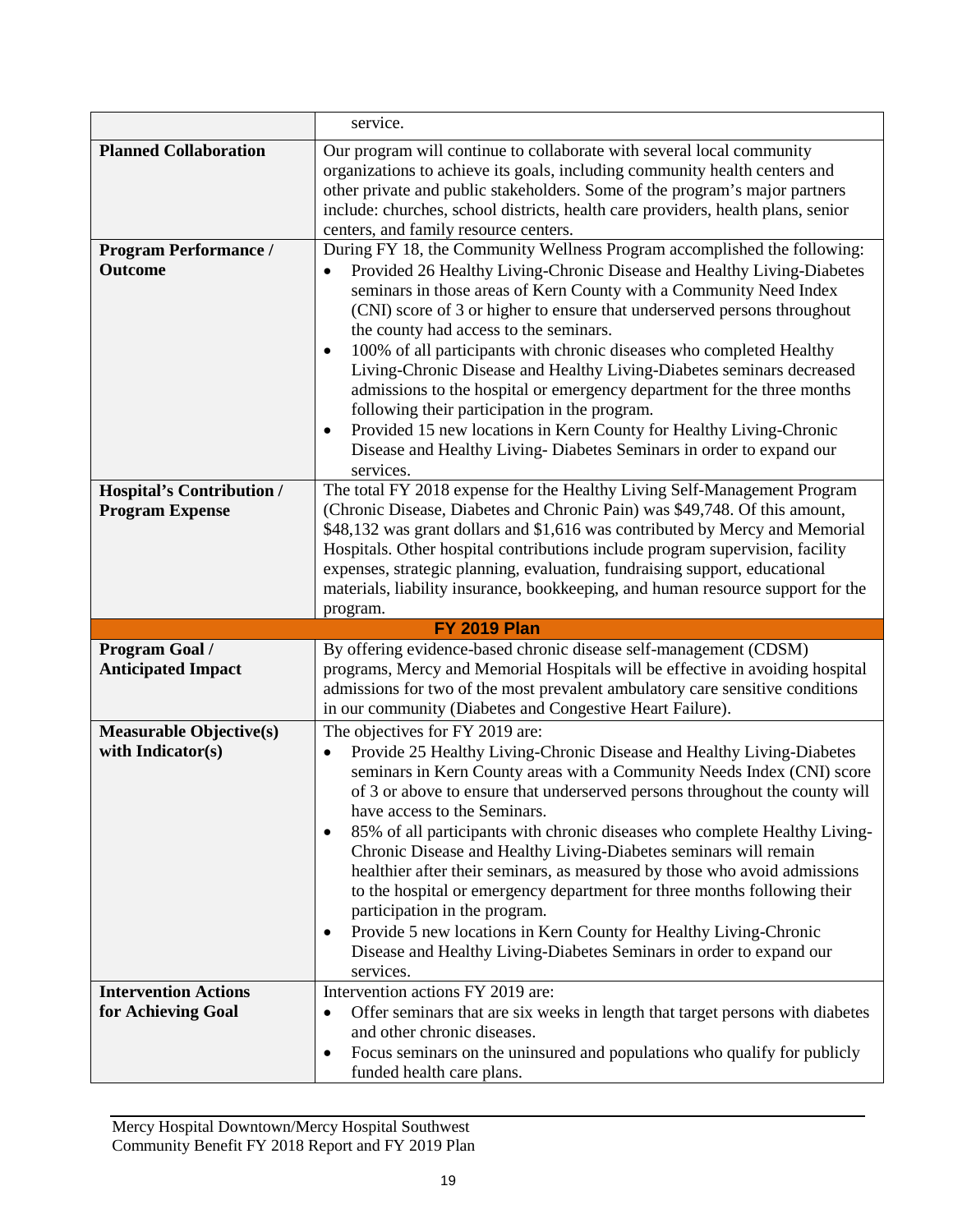|                                  | service.                                                                                                                                                                                                                                                                                                                                                                                                                |  |  |  |  |
|----------------------------------|-------------------------------------------------------------------------------------------------------------------------------------------------------------------------------------------------------------------------------------------------------------------------------------------------------------------------------------------------------------------------------------------------------------------------|--|--|--|--|
| <b>Planned Collaboration</b>     | Our program will continue to collaborate with several local community                                                                                                                                                                                                                                                                                                                                                   |  |  |  |  |
|                                  | organizations to achieve its goals, including community health centers and                                                                                                                                                                                                                                                                                                                                              |  |  |  |  |
|                                  | other private and public stakeholders. Some of the program's major partners                                                                                                                                                                                                                                                                                                                                             |  |  |  |  |
|                                  | include: churches, school districts, health care providers, health plans, senior                                                                                                                                                                                                                                                                                                                                        |  |  |  |  |
|                                  | centers, and family resource centers.                                                                                                                                                                                                                                                                                                                                                                                   |  |  |  |  |
| <b>Program Performance /</b>     | During FY 18, the Community Wellness Program accomplished the following:                                                                                                                                                                                                                                                                                                                                                |  |  |  |  |
| <b>Outcome</b>                   | Provided 26 Healthy Living-Chronic Disease and Healthy Living-Diabetes<br>seminars in those areas of Kern County with a Community Need Index<br>(CNI) score of 3 or higher to ensure that underserved persons throughout                                                                                                                                                                                                |  |  |  |  |
|                                  | the county had access to the seminars.                                                                                                                                                                                                                                                                                                                                                                                  |  |  |  |  |
|                                  | 100% of all participants with chronic diseases who completed Healthy<br>$\bullet$<br>Living-Chronic Disease and Healthy Living-Diabetes seminars decreased<br>admissions to the hospital or emergency department for the three months<br>following their participation in the program.                                                                                                                                  |  |  |  |  |
|                                  | Provided 15 new locations in Kern County for Healthy Living-Chronic<br>٠<br>Disease and Healthy Living- Diabetes Seminars in order to expand our<br>services.                                                                                                                                                                                                                                                           |  |  |  |  |
| <b>Hospital's Contribution /</b> | The total FY 2018 expense for the Healthy Living Self-Management Program                                                                                                                                                                                                                                                                                                                                                |  |  |  |  |
| <b>Program Expense</b>           | (Chronic Disease, Diabetes and Chronic Pain) was \$49,748. Of this amount,                                                                                                                                                                                                                                                                                                                                              |  |  |  |  |
|                                  | \$48,132 was grant dollars and \$1,616 was contributed by Mercy and Memorial                                                                                                                                                                                                                                                                                                                                            |  |  |  |  |
|                                  | Hospitals. Other hospital contributions include program supervision, facility                                                                                                                                                                                                                                                                                                                                           |  |  |  |  |
|                                  | expenses, strategic planning, evaluation, fundraising support, educational                                                                                                                                                                                                                                                                                                                                              |  |  |  |  |
|                                  | materials, liability insurance, bookkeeping, and human resource support for the                                                                                                                                                                                                                                                                                                                                         |  |  |  |  |
|                                  | program.<br><b>FY 2019 Plan</b>                                                                                                                                                                                                                                                                                                                                                                                         |  |  |  |  |
| Program Goal /                   | By offering evidence-based chronic disease self-management (CDSM)                                                                                                                                                                                                                                                                                                                                                       |  |  |  |  |
| <b>Anticipated Impact</b>        | programs, Mercy and Memorial Hospitals will be effective in avoiding hospital                                                                                                                                                                                                                                                                                                                                           |  |  |  |  |
|                                  | admissions for two of the most prevalent ambulatory care sensitive conditions                                                                                                                                                                                                                                                                                                                                           |  |  |  |  |
|                                  | in our community (Diabetes and Congestive Heart Failure).                                                                                                                                                                                                                                                                                                                                                               |  |  |  |  |
| <b>Measurable Objective(s)</b>   | The objectives for FY 2019 are:                                                                                                                                                                                                                                                                                                                                                                                         |  |  |  |  |
| with Indicator(s)                | Provide 25 Healthy Living-Chronic Disease and Healthy Living-Diabetes<br>$\bullet$                                                                                                                                                                                                                                                                                                                                      |  |  |  |  |
|                                  | seminars in Kern County areas with a Community Needs Index (CNI) score<br>of 3 or above to ensure that underserved persons throughout the county will<br>have access to the Seminars.                                                                                                                                                                                                                                   |  |  |  |  |
|                                  | 85% of all participants with chronic diseases who complete Healthy Living-<br>٠<br>Chronic Disease and Healthy Living-Diabetes seminars will remain<br>healthier after their seminars, as measured by those who avoid admissions<br>to the hospital or emergency department for three months following their<br>participation in the program.<br>Provide 5 new locations in Kern County for Healthy Living-Chronic<br>٠ |  |  |  |  |
|                                  | Disease and Healthy Living-Diabetes Seminars in order to expand our<br>services.                                                                                                                                                                                                                                                                                                                                        |  |  |  |  |
| <b>Intervention Actions</b>      | Intervention actions FY 2019 are:                                                                                                                                                                                                                                                                                                                                                                                       |  |  |  |  |
| for Achieving Goal               | Offer seminars that are six weeks in length that target persons with diabetes<br>$\bullet$<br>and other chronic diseases.                                                                                                                                                                                                                                                                                               |  |  |  |  |
|                                  | Focus seminars on the uninsured and populations who qualify for publicly                                                                                                                                                                                                                                                                                                                                                |  |  |  |  |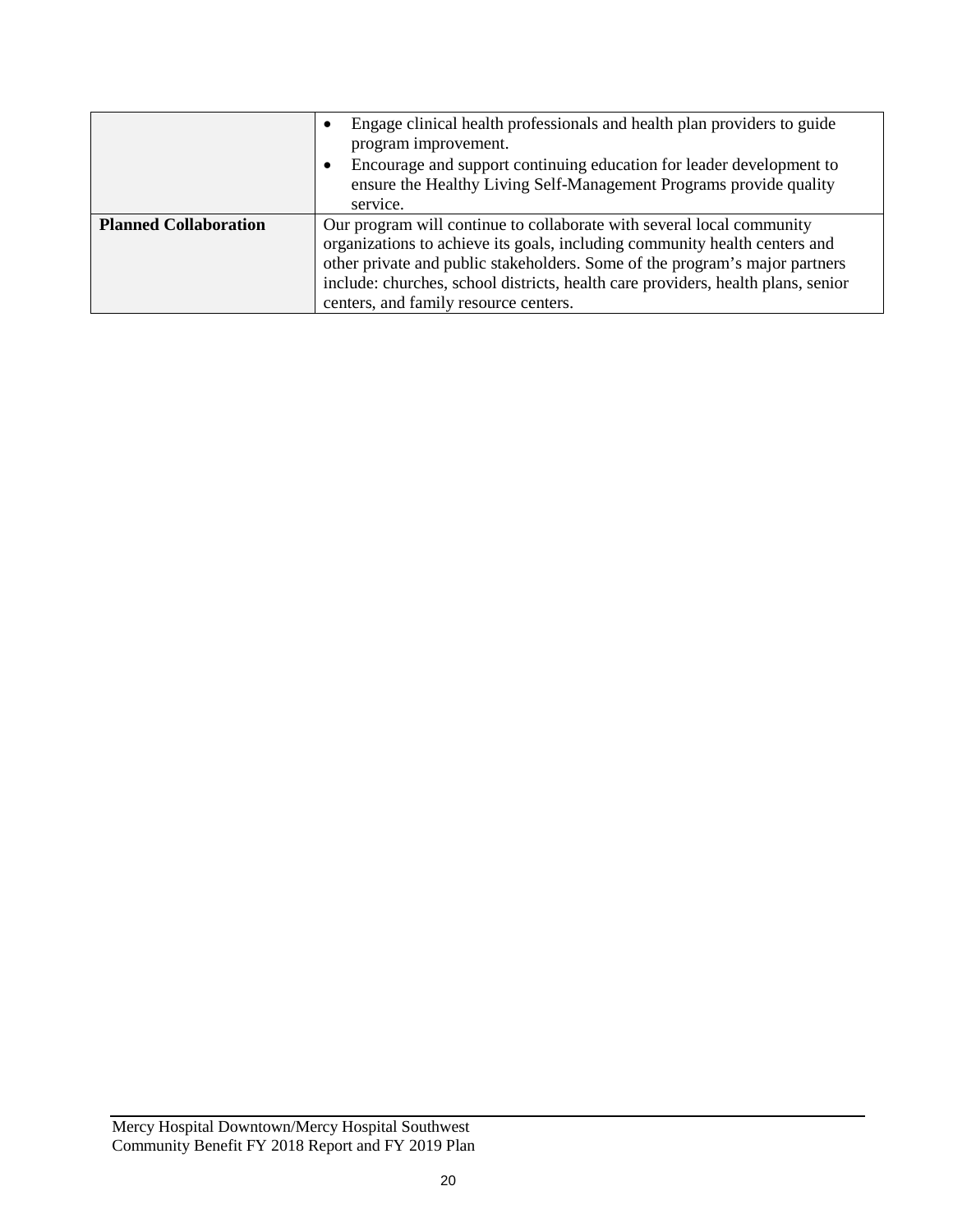|                              | Engage clinical health professionals and health plan providers to guide<br>$\bullet$<br>program improvement.<br>Encourage and support continuing education for leader development to<br>$\bullet$<br>ensure the Healthy Living Self-Management Programs provide quality<br>service.                                                                             |
|------------------------------|-----------------------------------------------------------------------------------------------------------------------------------------------------------------------------------------------------------------------------------------------------------------------------------------------------------------------------------------------------------------|
| <b>Planned Collaboration</b> | Our program will continue to collaborate with several local community<br>organizations to achieve its goals, including community health centers and<br>other private and public stakeholders. Some of the program's major partners<br>include: churches, school districts, health care providers, health plans, senior<br>centers, and family resource centers. |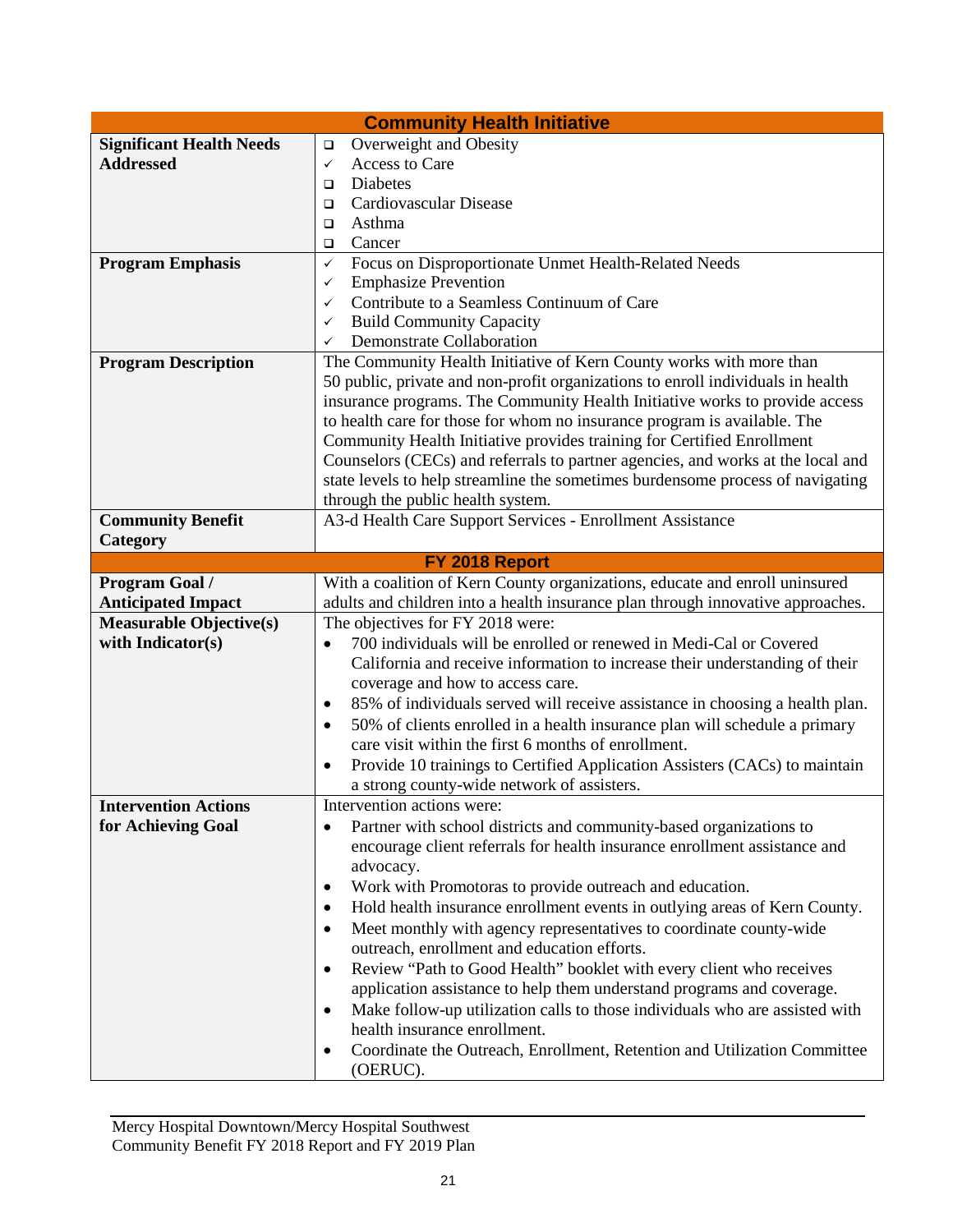| <b>Community Health Initiative</b>                 |                                                                                                                                                                   |  |  |  |  |  |
|----------------------------------------------------|-------------------------------------------------------------------------------------------------------------------------------------------------------------------|--|--|--|--|--|
| <b>Significant Health Needs</b>                    | Overweight and Obesity<br>❏                                                                                                                                       |  |  |  |  |  |
| <b>Addressed</b>                                   | Access to Care<br>$\checkmark$                                                                                                                                    |  |  |  |  |  |
|                                                    | Diabetes<br>□                                                                                                                                                     |  |  |  |  |  |
|                                                    | Cardiovascular Disease<br>□                                                                                                                                       |  |  |  |  |  |
|                                                    | Asthma                                                                                                                                                            |  |  |  |  |  |
|                                                    | Cancer<br>□<br>$\checkmark$                                                                                                                                       |  |  |  |  |  |
| <b>Program Emphasis</b>                            | Focus on Disproportionate Unmet Health-Related Needs                                                                                                              |  |  |  |  |  |
|                                                    | <b>Emphasize Prevention</b><br>✓                                                                                                                                  |  |  |  |  |  |
|                                                    | Contribute to a Seamless Continuum of Care<br>✓                                                                                                                   |  |  |  |  |  |
|                                                    | <b>Build Community Capacity</b><br>$\checkmark$                                                                                                                   |  |  |  |  |  |
|                                                    | Demonstrate Collaboration<br>$\checkmark$                                                                                                                         |  |  |  |  |  |
| <b>Program Description</b>                         | The Community Health Initiative of Kern County works with more than                                                                                               |  |  |  |  |  |
|                                                    | 50 public, private and non-profit organizations to enroll individuals in health                                                                                   |  |  |  |  |  |
|                                                    | insurance programs. The Community Health Initiative works to provide access                                                                                       |  |  |  |  |  |
|                                                    | to health care for those for whom no insurance program is available. The                                                                                          |  |  |  |  |  |
|                                                    | Community Health Initiative provides training for Certified Enrollment                                                                                            |  |  |  |  |  |
|                                                    | Counselors (CECs) and referrals to partner agencies, and works at the local and                                                                                   |  |  |  |  |  |
|                                                    | state levels to help streamline the sometimes burdensome process of navigating                                                                                    |  |  |  |  |  |
| <b>Community Benefit</b>                           | through the public health system.<br>A3-d Health Care Support Services - Enrollment Assistance                                                                    |  |  |  |  |  |
| Category                                           |                                                                                                                                                                   |  |  |  |  |  |
|                                                    |                                                                                                                                                                   |  |  |  |  |  |
|                                                    | FY 2018 Report<br>With a coalition of Kern County organizations, educate and enroll uninsured                                                                     |  |  |  |  |  |
| <b>Program Goal /</b><br><b>Anticipated Impact</b> | adults and children into a health insurance plan through innovative approaches.                                                                                   |  |  |  |  |  |
| <b>Measurable Objective(s)</b>                     | The objectives for FY 2018 were:                                                                                                                                  |  |  |  |  |  |
| with Indicator(s)                                  |                                                                                                                                                                   |  |  |  |  |  |
|                                                    | 700 individuals will be enrolled or renewed in Medi-Cal or Covered                                                                                                |  |  |  |  |  |
|                                                    | California and receive information to increase their understanding of their                                                                                       |  |  |  |  |  |
|                                                    | coverage and how to access care.                                                                                                                                  |  |  |  |  |  |
|                                                    | 85% of individuals served will receive assistance in choosing a health plan.<br>٠                                                                                 |  |  |  |  |  |
|                                                    | 50% of clients enrolled in a health insurance plan will schedule a primary<br>$\bullet$<br>care visit within the first 6 months of enrollment.                    |  |  |  |  |  |
|                                                    | Provide 10 trainings to Certified Application Assisters (CACs) to maintain                                                                                        |  |  |  |  |  |
|                                                    | ٠<br>a strong county-wide network of assisters.                                                                                                                   |  |  |  |  |  |
| <b>Intervention Actions</b>                        | Intervention actions were:                                                                                                                                        |  |  |  |  |  |
| for Achieving Goal                                 | Partner with school districts and community-based organizations to<br>$\bullet$                                                                                   |  |  |  |  |  |
|                                                    | encourage client referrals for health insurance enrollment assistance and                                                                                         |  |  |  |  |  |
|                                                    | advocacy.                                                                                                                                                         |  |  |  |  |  |
|                                                    | Work with Promotoras to provide outreach and education.<br>٠                                                                                                      |  |  |  |  |  |
|                                                    |                                                                                                                                                                   |  |  |  |  |  |
|                                                    | Hold health insurance enrollment events in outlying areas of Kern County.<br>٠<br>Meet monthly with agency representatives to coordinate county-wide<br>$\bullet$ |  |  |  |  |  |
|                                                    | outreach, enrollment and education efforts.                                                                                                                       |  |  |  |  |  |
|                                                    | Review "Path to Good Health" booklet with every client who receives<br>$\bullet$                                                                                  |  |  |  |  |  |
|                                                    | application assistance to help them understand programs and coverage.                                                                                             |  |  |  |  |  |
|                                                    | Make follow-up utilization calls to those individuals who are assisted with<br>$\bullet$                                                                          |  |  |  |  |  |
|                                                    | health insurance enrollment.                                                                                                                                      |  |  |  |  |  |
|                                                    |                                                                                                                                                                   |  |  |  |  |  |
|                                                    | Coordinate the Outreach, Enrollment, Retention and Utilization Committee<br>٠                                                                                     |  |  |  |  |  |
|                                                    | (OERUC).                                                                                                                                                          |  |  |  |  |  |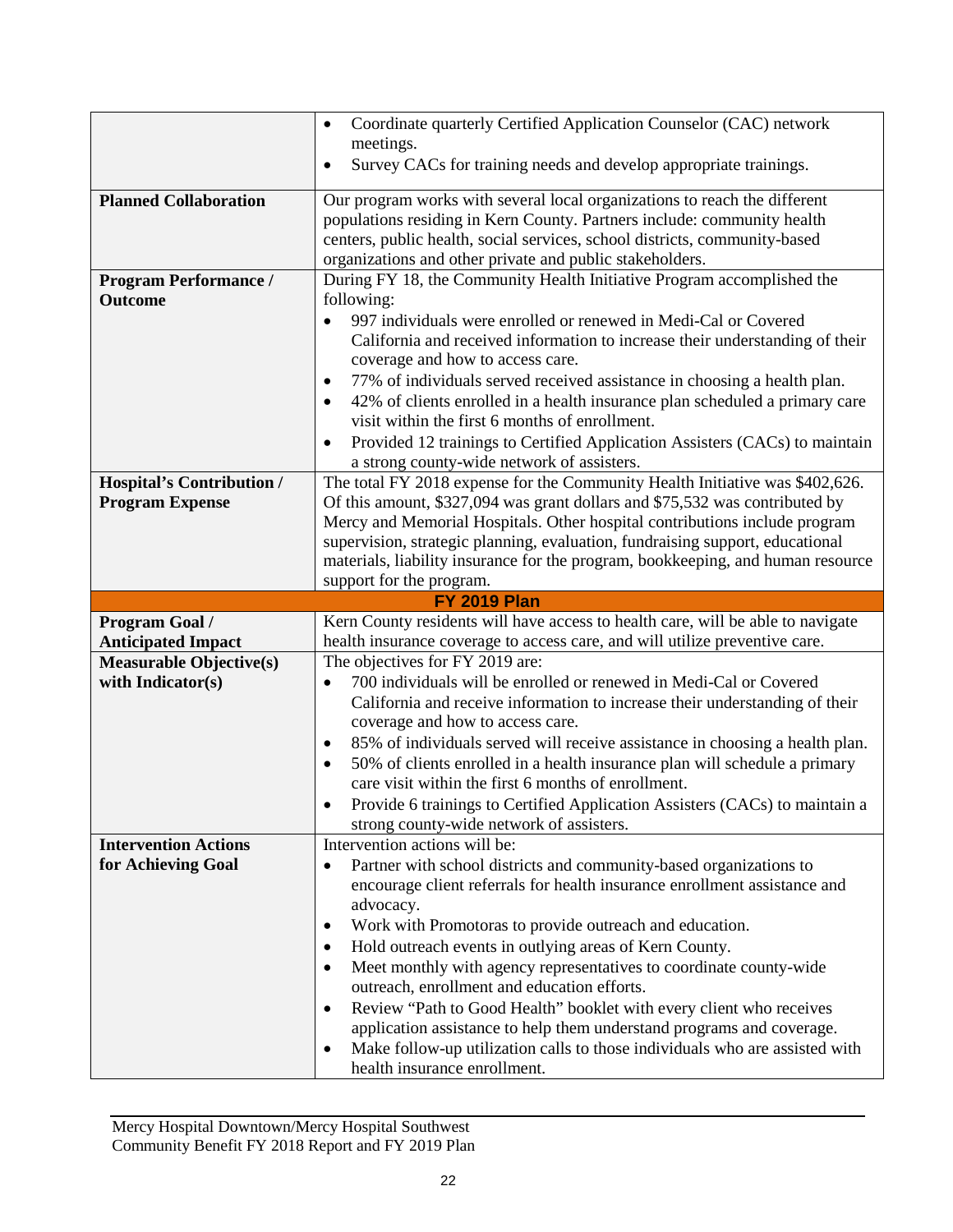|                                                | Coordinate quarterly Certified Application Counselor (CAC) network<br>$\bullet$                                         |  |  |  |  |
|------------------------------------------------|-------------------------------------------------------------------------------------------------------------------------|--|--|--|--|
|                                                | meetings.                                                                                                               |  |  |  |  |
|                                                | Survey CACs for training needs and develop appropriate trainings.<br>٠                                                  |  |  |  |  |
| <b>Planned Collaboration</b>                   | Our program works with several local organizations to reach the different                                               |  |  |  |  |
|                                                | populations residing in Kern County. Partners include: community health                                                 |  |  |  |  |
|                                                | centers, public health, social services, school districts, community-based                                              |  |  |  |  |
|                                                | organizations and other private and public stakeholders.                                                                |  |  |  |  |
| <b>Program Performance /</b><br><b>Outcome</b> | During FY 18, the Community Health Initiative Program accomplished the<br>following:                                    |  |  |  |  |
|                                                | 997 individuals were enrolled or renewed in Medi-Cal or Covered<br>$\bullet$                                            |  |  |  |  |
|                                                | California and received information to increase their understanding of their                                            |  |  |  |  |
|                                                | coverage and how to access care.                                                                                        |  |  |  |  |
|                                                | 77% of individuals served received assistance in choosing a health plan.<br>٠                                           |  |  |  |  |
|                                                | 42% of clients enrolled in a health insurance plan scheduled a primary care<br>٠                                        |  |  |  |  |
|                                                | visit within the first 6 months of enrollment.                                                                          |  |  |  |  |
|                                                | Provided 12 trainings to Certified Application Assisters (CACs) to maintain<br>$\bullet$                                |  |  |  |  |
|                                                | a strong county-wide network of assisters.                                                                              |  |  |  |  |
| Hospital's Contribution /                      | The total FY 2018 expense for the Community Health Initiative was \$402,626.                                            |  |  |  |  |
| <b>Program Expense</b>                         | Of this amount, \$327,094 was grant dollars and \$75,532 was contributed by                                             |  |  |  |  |
|                                                | Mercy and Memorial Hospitals. Other hospital contributions include program                                              |  |  |  |  |
|                                                | supervision, strategic planning, evaluation, fundraising support, educational                                           |  |  |  |  |
|                                                | materials, liability insurance for the program, bookkeeping, and human resource                                         |  |  |  |  |
|                                                | support for the program.                                                                                                |  |  |  |  |
|                                                |                                                                                                                         |  |  |  |  |
|                                                | <b>FY 2019 Plan</b>                                                                                                     |  |  |  |  |
| Program Goal /                                 | Kern County residents will have access to health care, will be able to navigate                                         |  |  |  |  |
| <b>Anticipated Impact</b>                      | health insurance coverage to access care, and will utilize preventive care.                                             |  |  |  |  |
| <b>Measurable Objective(s)</b>                 | The objectives for FY 2019 are:                                                                                         |  |  |  |  |
| with Indicator(s)                              | 700 individuals will be enrolled or renewed in Medi-Cal or Covered<br>$\bullet$                                         |  |  |  |  |
|                                                | California and receive information to increase their understanding of their                                             |  |  |  |  |
|                                                | coverage and how to access care.                                                                                        |  |  |  |  |
|                                                | 85% of individuals served will receive assistance in choosing a health plan.<br>٠                                       |  |  |  |  |
|                                                | 50% of clients enrolled in a health insurance plan will schedule a primary<br>٠                                         |  |  |  |  |
|                                                | care visit within the first 6 months of enrollment.<br>٠                                                                |  |  |  |  |
|                                                | Provide 6 trainings to Certified Application Assisters (CACs) to maintain a<br>strong county-wide network of assisters. |  |  |  |  |
| <b>Intervention Actions</b>                    | Intervention actions will be:                                                                                           |  |  |  |  |
| for Achieving Goal                             | Partner with school districts and community-based organizations to<br>$\bullet$                                         |  |  |  |  |
|                                                | encourage client referrals for health insurance enrollment assistance and                                               |  |  |  |  |
|                                                | advocacy.                                                                                                               |  |  |  |  |
|                                                | Work with Promotoras to provide outreach and education.<br>٠                                                            |  |  |  |  |
|                                                | Hold outreach events in outlying areas of Kern County.<br>٠                                                             |  |  |  |  |
|                                                | Meet monthly with agency representatives to coordinate county-wide<br>٠                                                 |  |  |  |  |
|                                                | outreach, enrollment and education efforts.                                                                             |  |  |  |  |
|                                                | Review "Path to Good Health" booklet with every client who receives<br>٠                                                |  |  |  |  |
|                                                | application assistance to help them understand programs and coverage.                                                   |  |  |  |  |
|                                                | Make follow-up utilization calls to those individuals who are assisted with<br>٠<br>health insurance enrollment.        |  |  |  |  |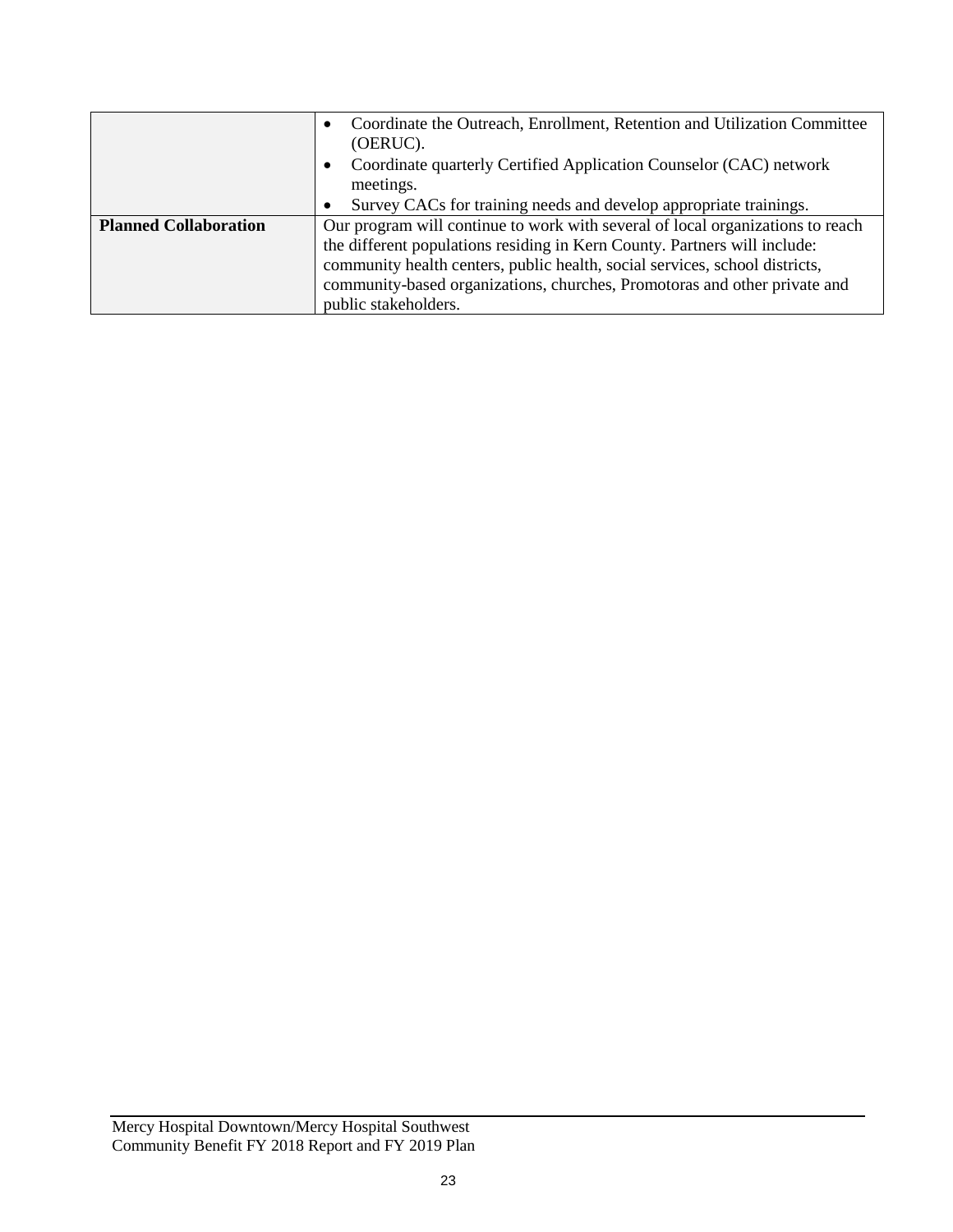|                              | Coordinate the Outreach, Enrollment, Retention and Utilization Committee<br>(OERUC). |  |  |  |  |  |
|------------------------------|--------------------------------------------------------------------------------------|--|--|--|--|--|
|                              | Coordinate quarterly Certified Application Counselor (CAC) network<br>meetings.      |  |  |  |  |  |
|                              | Survey CACs for training needs and develop appropriate trainings.                    |  |  |  |  |  |
| <b>Planned Collaboration</b> | Our program will continue to work with several of local organizations to reach       |  |  |  |  |  |
|                              | the different populations residing in Kern County. Partners will include:            |  |  |  |  |  |
|                              | community health centers, public health, social services, school districts,          |  |  |  |  |  |
|                              | community-based organizations, churches, Promotoras and other private and            |  |  |  |  |  |
|                              | public stakeholders.                                                                 |  |  |  |  |  |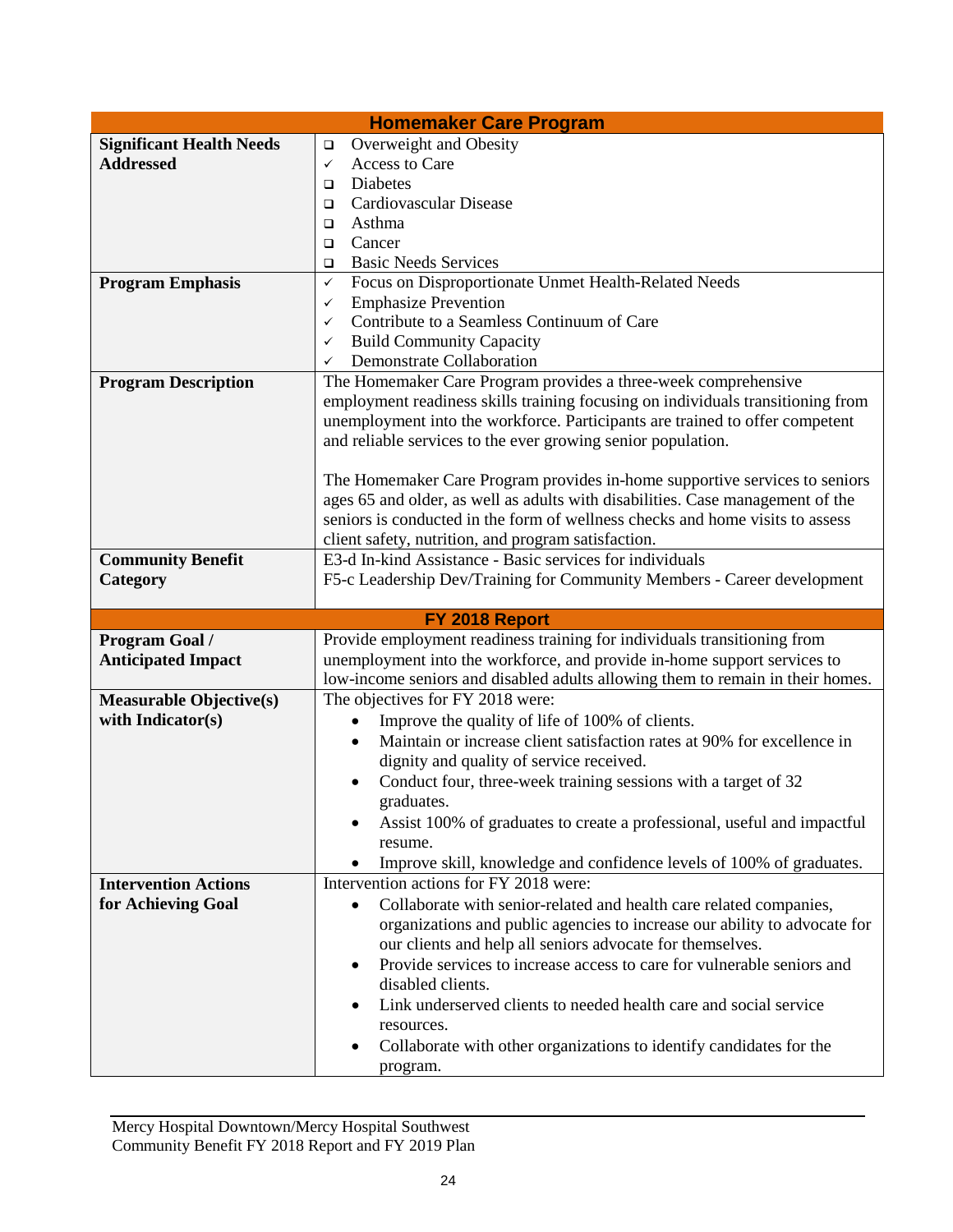| <b>Homemaker Care Program</b>   |                                                                                                                                                            |  |  |  |  |  |
|---------------------------------|------------------------------------------------------------------------------------------------------------------------------------------------------------|--|--|--|--|--|
| <b>Significant Health Needs</b> | Overweight and Obesity<br>$\Box$                                                                                                                           |  |  |  |  |  |
| <b>Addressed</b>                | Access to Care<br>$\checkmark$                                                                                                                             |  |  |  |  |  |
|                                 | Diabetes<br>$\Box$                                                                                                                                         |  |  |  |  |  |
|                                 | Cardiovascular Disease<br>$\Box$                                                                                                                           |  |  |  |  |  |
|                                 | Asthma<br>$\Box$                                                                                                                                           |  |  |  |  |  |
|                                 | Cancer<br>$\Box$                                                                                                                                           |  |  |  |  |  |
|                                 | <b>Basic Needs Services</b><br>$\Box$                                                                                                                      |  |  |  |  |  |
| <b>Program Emphasis</b>         | Focus on Disproportionate Unmet Health-Related Needs<br>$\checkmark$                                                                                       |  |  |  |  |  |
|                                 | <b>Emphasize Prevention</b><br>✓                                                                                                                           |  |  |  |  |  |
|                                 | Contribute to a Seamless Continuum of Care<br>✓                                                                                                            |  |  |  |  |  |
|                                 | <b>Build Community Capacity</b><br>✓                                                                                                                       |  |  |  |  |  |
|                                 | <b>Demonstrate Collaboration</b><br>✓                                                                                                                      |  |  |  |  |  |
| <b>Program Description</b>      | The Homemaker Care Program provides a three-week comprehensive                                                                                             |  |  |  |  |  |
|                                 | employment readiness skills training focusing on individuals transitioning from                                                                            |  |  |  |  |  |
|                                 | unemployment into the workforce. Participants are trained to offer competent                                                                               |  |  |  |  |  |
|                                 | and reliable services to the ever growing senior population.                                                                                               |  |  |  |  |  |
|                                 |                                                                                                                                                            |  |  |  |  |  |
|                                 | The Homemaker Care Program provides in-home supportive services to seniors                                                                                 |  |  |  |  |  |
|                                 | ages 65 and older, as well as adults with disabilities. Case management of the                                                                             |  |  |  |  |  |
|                                 | seniors is conducted in the form of wellness checks and home visits to assess                                                                              |  |  |  |  |  |
|                                 | client safety, nutrition, and program satisfaction.                                                                                                        |  |  |  |  |  |
| <b>Community Benefit</b>        | E3-d In-kind Assistance - Basic services for individuals                                                                                                   |  |  |  |  |  |
| Category                        | F5-c Leadership Dev/Training for Community Members - Career development                                                                                    |  |  |  |  |  |
|                                 |                                                                                                                                                            |  |  |  |  |  |
|                                 | FY 2018 Report                                                                                                                                             |  |  |  |  |  |
| Program Goal /                  |                                                                                                                                                            |  |  |  |  |  |
|                                 | Provide employment readiness training for individuals transitioning from                                                                                   |  |  |  |  |  |
| <b>Anticipated Impact</b>       |                                                                                                                                                            |  |  |  |  |  |
|                                 | unemployment into the workforce, and provide in-home support services to<br>low-income seniors and disabled adults allowing them to remain in their homes. |  |  |  |  |  |
|                                 |                                                                                                                                                            |  |  |  |  |  |
| <b>Measurable Objective(s)</b>  | The objectives for FY 2018 were:                                                                                                                           |  |  |  |  |  |
| with Indicator(s)               | Improve the quality of life of 100% of clients.<br>$\bullet$                                                                                               |  |  |  |  |  |
|                                 | Maintain or increase client satisfaction rates at 90% for excellence in                                                                                    |  |  |  |  |  |
|                                 | dignity and quality of service received.                                                                                                                   |  |  |  |  |  |
|                                 | Conduct four, three-week training sessions with a target of 32                                                                                             |  |  |  |  |  |
|                                 | graduates.                                                                                                                                                 |  |  |  |  |  |
|                                 | Assist 100% of graduates to create a professional, useful and impactful                                                                                    |  |  |  |  |  |
|                                 | resume.                                                                                                                                                    |  |  |  |  |  |
|                                 | Improve skill, knowledge and confidence levels of 100% of graduates.                                                                                       |  |  |  |  |  |
| <b>Intervention Actions</b>     | Intervention actions for FY 2018 were:                                                                                                                     |  |  |  |  |  |
| for Achieving Goal              | Collaborate with senior-related and health care related companies,                                                                                         |  |  |  |  |  |
|                                 | organizations and public agencies to increase our ability to advocate for                                                                                  |  |  |  |  |  |
|                                 | our clients and help all seniors advocate for themselves.                                                                                                  |  |  |  |  |  |
|                                 | Provide services to increase access to care for vulnerable seniors and<br>$\bullet$                                                                        |  |  |  |  |  |
|                                 | disabled clients.                                                                                                                                          |  |  |  |  |  |
|                                 | Link underserved clients to needed health care and social service                                                                                          |  |  |  |  |  |
|                                 | resources.                                                                                                                                                 |  |  |  |  |  |
|                                 | Collaborate with other organizations to identify candidates for the                                                                                        |  |  |  |  |  |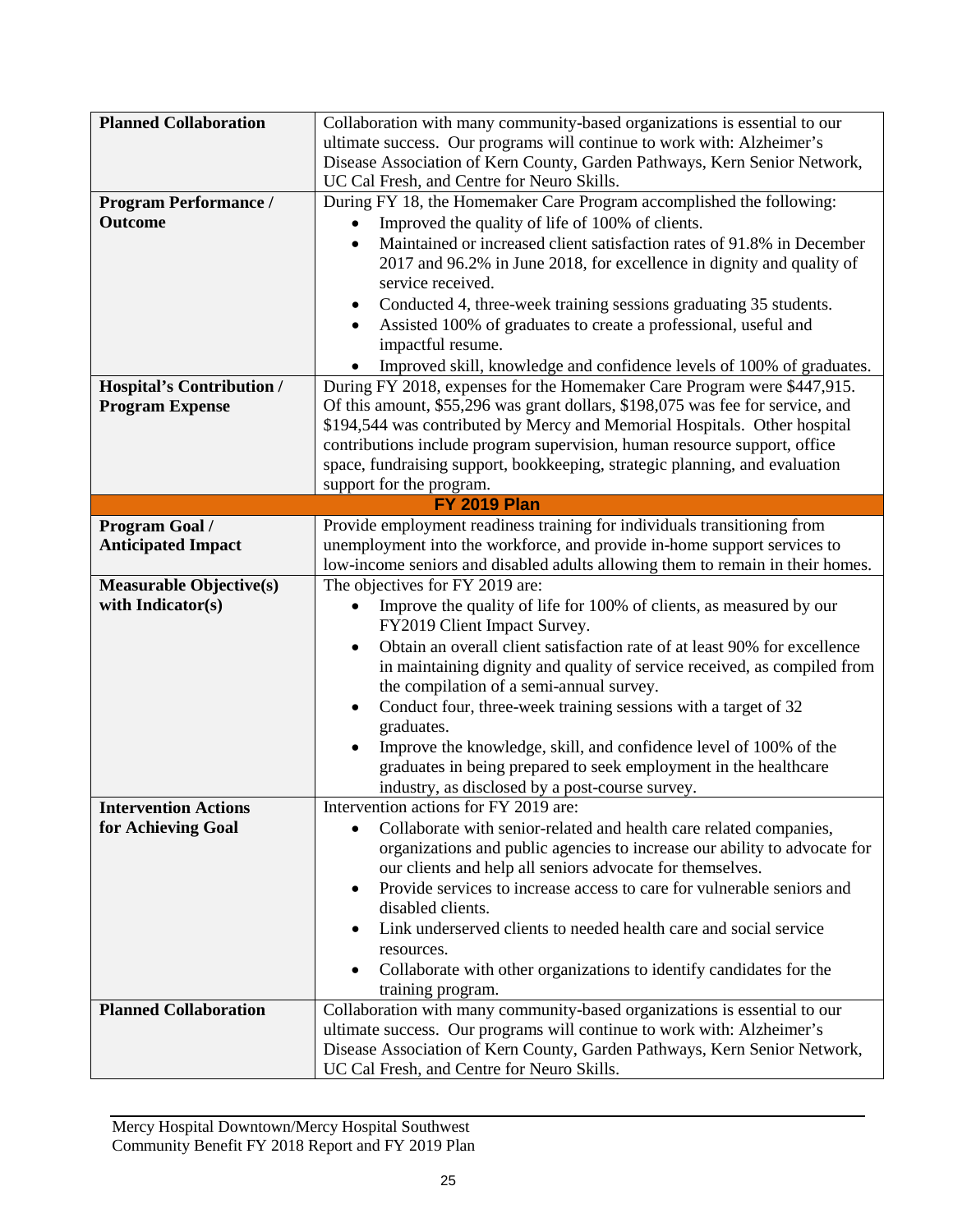| <b>Planned Collaboration</b>     | Collaboration with many community-based organizations is essential to our                           |  |  |  |  |  |
|----------------------------------|-----------------------------------------------------------------------------------------------------|--|--|--|--|--|
|                                  | ultimate success. Our programs will continue to work with: Alzheimer's                              |  |  |  |  |  |
|                                  | Disease Association of Kern County, Garden Pathways, Kern Senior Network,                           |  |  |  |  |  |
|                                  | UC Cal Fresh, and Centre for Neuro Skills.                                                          |  |  |  |  |  |
| <b>Program Performance /</b>     | During FY 18, the Homemaker Care Program accomplished the following:                                |  |  |  |  |  |
| <b>Outcome</b>                   | Improved the quality of life of 100% of clients.                                                    |  |  |  |  |  |
|                                  | Maintained or increased client satisfaction rates of 91.8% in December<br>$\bullet$                 |  |  |  |  |  |
|                                  | 2017 and 96.2% in June 2018, for excellence in dignity and quality of                               |  |  |  |  |  |
|                                  | service received.                                                                                   |  |  |  |  |  |
|                                  | Conducted 4, three-week training sessions graduating 35 students.<br>٠                              |  |  |  |  |  |
|                                  | Assisted 100% of graduates to create a professional, useful and                                     |  |  |  |  |  |
|                                  | impactful resume.                                                                                   |  |  |  |  |  |
|                                  | Improved skill, knowledge and confidence levels of 100% of graduates.                               |  |  |  |  |  |
| <b>Hospital's Contribution /</b> | During FY 2018, expenses for the Homemaker Care Program were \$447,915.                             |  |  |  |  |  |
| <b>Program Expense</b>           | Of this amount, \$55,296 was grant dollars, \$198,075 was fee for service, and                      |  |  |  |  |  |
|                                  | \$194,544 was contributed by Mercy and Memorial Hospitals. Other hospital                           |  |  |  |  |  |
|                                  | contributions include program supervision, human resource support, office                           |  |  |  |  |  |
|                                  | space, fundraising support, bookkeeping, strategic planning, and evaluation                         |  |  |  |  |  |
|                                  | support for the program.                                                                            |  |  |  |  |  |
|                                  | <b>FY 2019 Plan</b>                                                                                 |  |  |  |  |  |
| Program Goal /                   | Provide employment readiness training for individuals transitioning from                            |  |  |  |  |  |
| <b>Anticipated Impact</b>        | unemployment into the workforce, and provide in-home support services to                            |  |  |  |  |  |
| <b>Measurable Objective(s)</b>   | low-income seniors and disabled adults allowing them to remain in their homes.                      |  |  |  |  |  |
| with Indicator(s)                | The objectives for FY 2019 are:                                                                     |  |  |  |  |  |
|                                  | Improve the quality of life for 100% of clients, as measured by our<br>FY2019 Client Impact Survey. |  |  |  |  |  |
|                                  | Obtain an overall client satisfaction rate of at least 90% for excellence                           |  |  |  |  |  |
|                                  | in maintaining dignity and quality of service received, as compiled from                            |  |  |  |  |  |
|                                  | the compilation of a semi-annual survey.                                                            |  |  |  |  |  |
|                                  | Conduct four, three-week training sessions with a target of 32                                      |  |  |  |  |  |
|                                  | graduates.                                                                                          |  |  |  |  |  |
|                                  | Improve the knowledge, skill, and confidence level of 100% of the                                   |  |  |  |  |  |
|                                  | graduates in being prepared to seek employment in the healthcare                                    |  |  |  |  |  |
|                                  | industry, as disclosed by a post-course survey.                                                     |  |  |  |  |  |
| <b>Intervention Actions</b>      | Intervention actions for FY 2019 are:                                                               |  |  |  |  |  |
| for Achieving Goal               | Collaborate with senior-related and health care related companies,                                  |  |  |  |  |  |
|                                  | organizations and public agencies to increase our ability to advocate for                           |  |  |  |  |  |
|                                  | our clients and help all seniors advocate for themselves.                                           |  |  |  |  |  |
|                                  | Provide services to increase access to care for vulnerable seniors and<br>٠                         |  |  |  |  |  |
|                                  | disabled clients.                                                                                   |  |  |  |  |  |
|                                  | Link underserved clients to needed health care and social service                                   |  |  |  |  |  |
|                                  | resources.                                                                                          |  |  |  |  |  |
|                                  | Collaborate with other organizations to identify candidates for the                                 |  |  |  |  |  |
|                                  | training program.                                                                                   |  |  |  |  |  |
| <b>Planned Collaboration</b>     | Collaboration with many community-based organizations is essential to our                           |  |  |  |  |  |
|                                  | ultimate success. Our programs will continue to work with: Alzheimer's                              |  |  |  |  |  |
|                                  | Disease Association of Kern County, Garden Pathways, Kern Senior Network,                           |  |  |  |  |  |
|                                  | UC Cal Fresh, and Centre for Neuro Skills.                                                          |  |  |  |  |  |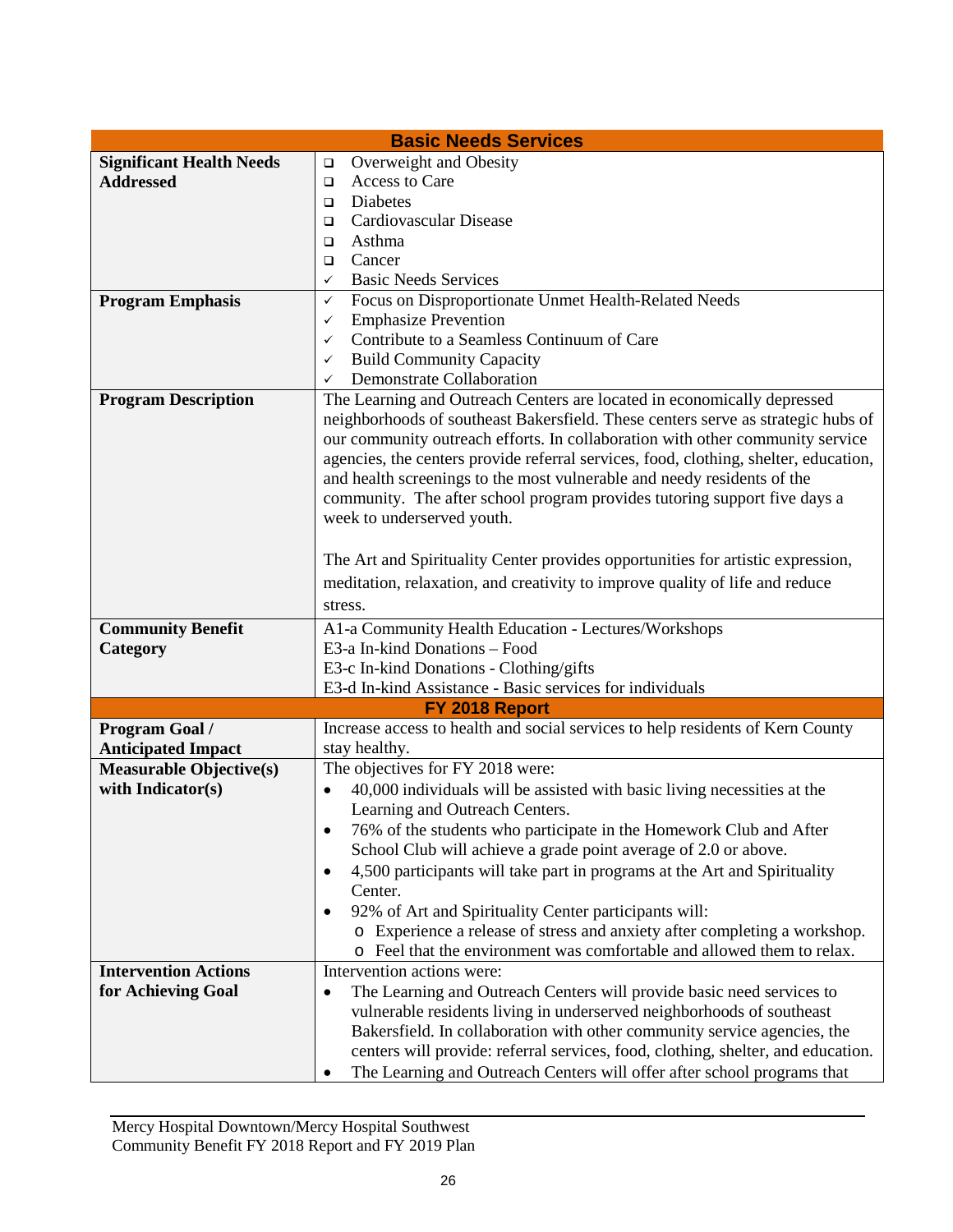| <b>Basic Needs Services</b>                                 |                                                                                                            |  |  |  |  |
|-------------------------------------------------------------|------------------------------------------------------------------------------------------------------------|--|--|--|--|
| <b>Significant Health Needs</b>                             | Overweight and Obesity<br>$\Box$                                                                           |  |  |  |  |
| <b>Addressed</b>                                            | Access to Care<br>$\Box$                                                                                   |  |  |  |  |
|                                                             | Diabetes<br>$\Box$                                                                                         |  |  |  |  |
|                                                             | Cardiovascular Disease<br>□                                                                                |  |  |  |  |
|                                                             | Asthma<br>$\Box$                                                                                           |  |  |  |  |
|                                                             | Cancer<br>□                                                                                                |  |  |  |  |
|                                                             | <b>Basic Needs Services</b><br>$\checkmark$                                                                |  |  |  |  |
| <b>Program Emphasis</b>                                     | Focus on Disproportionate Unmet Health-Related Needs<br>✓                                                  |  |  |  |  |
|                                                             | <b>Emphasize Prevention</b><br>✓                                                                           |  |  |  |  |
|                                                             | Contribute to a Seamless Continuum of Care<br>✓                                                            |  |  |  |  |
|                                                             | <b>Build Community Capacity</b><br>$\checkmark$                                                            |  |  |  |  |
|                                                             | Demonstrate Collaboration<br>$\checkmark$                                                                  |  |  |  |  |
| <b>Program Description</b>                                  | The Learning and Outreach Centers are located in economically depressed                                    |  |  |  |  |
|                                                             | neighborhoods of southeast Bakersfield. These centers serve as strategic hubs of                           |  |  |  |  |
|                                                             | our community outreach efforts. In collaboration with other community service                              |  |  |  |  |
|                                                             | agencies, the centers provide referral services, food, clothing, shelter, education,                       |  |  |  |  |
|                                                             | and health screenings to the most vulnerable and needy residents of the                                    |  |  |  |  |
|                                                             | community. The after school program provides tutoring support five days a                                  |  |  |  |  |
|                                                             | week to underserved youth.                                                                                 |  |  |  |  |
|                                                             |                                                                                                            |  |  |  |  |
|                                                             | The Art and Spirituality Center provides opportunities for artistic expression,                            |  |  |  |  |
|                                                             | meditation, relaxation, and creativity to improve quality of life and reduce                               |  |  |  |  |
|                                                             | stress.                                                                                                    |  |  |  |  |
|                                                             |                                                                                                            |  |  |  |  |
| <b>Community Benefit</b>                                    | A1-a Community Health Education - Lectures/Workshops<br>E3-a In-kind Donations - Food                      |  |  |  |  |
| Category                                                    |                                                                                                            |  |  |  |  |
|                                                             | E3-c In-kind Donations - Clothing/gifts                                                                    |  |  |  |  |
|                                                             | E3-d In-kind Assistance - Basic services for individuals                                                   |  |  |  |  |
| <b>Program Goal /</b>                                       | FY 2018 Report<br>Increase access to health and social services to help residents of Kern County           |  |  |  |  |
|                                                             | stay healthy.                                                                                              |  |  |  |  |
| <b>Anticipated Impact</b><br><b>Measurable Objective(s)</b> | The objectives for FY 2018 were:                                                                           |  |  |  |  |
| with Indicator(s)                                           | $\bullet$                                                                                                  |  |  |  |  |
|                                                             | 40,000 individuals will be assisted with basic living necessities at the<br>Learning and Outreach Centers. |  |  |  |  |
|                                                             |                                                                                                            |  |  |  |  |
|                                                             | 76% of the students who participate in the Homework Club and After                                         |  |  |  |  |
|                                                             | School Club will achieve a grade point average of 2.0 or above.                                            |  |  |  |  |
|                                                             | 4,500 participants will take part in programs at the Art and Spirituality<br>$\bullet$                     |  |  |  |  |
|                                                             | Center.                                                                                                    |  |  |  |  |
|                                                             | 92% of Art and Spirituality Center participants will:                                                      |  |  |  |  |
|                                                             | o Experience a release of stress and anxiety after completing a workshop.                                  |  |  |  |  |
|                                                             | o Feel that the environment was comfortable and allowed them to relax.                                     |  |  |  |  |
| <b>Intervention Actions</b>                                 | Intervention actions were:                                                                                 |  |  |  |  |
| for Achieving Goal                                          | The Learning and Outreach Centers will provide basic need services to<br>$\bullet$                         |  |  |  |  |
|                                                             | vulnerable residents living in underserved neighborhoods of southeast                                      |  |  |  |  |
|                                                             | Bakersfield. In collaboration with other community service agencies, the                                   |  |  |  |  |
|                                                             | centers will provide: referral services, food, clothing, shelter, and education.                           |  |  |  |  |
|                                                             | The Learning and Outreach Centers will offer after school programs that<br>٠                               |  |  |  |  |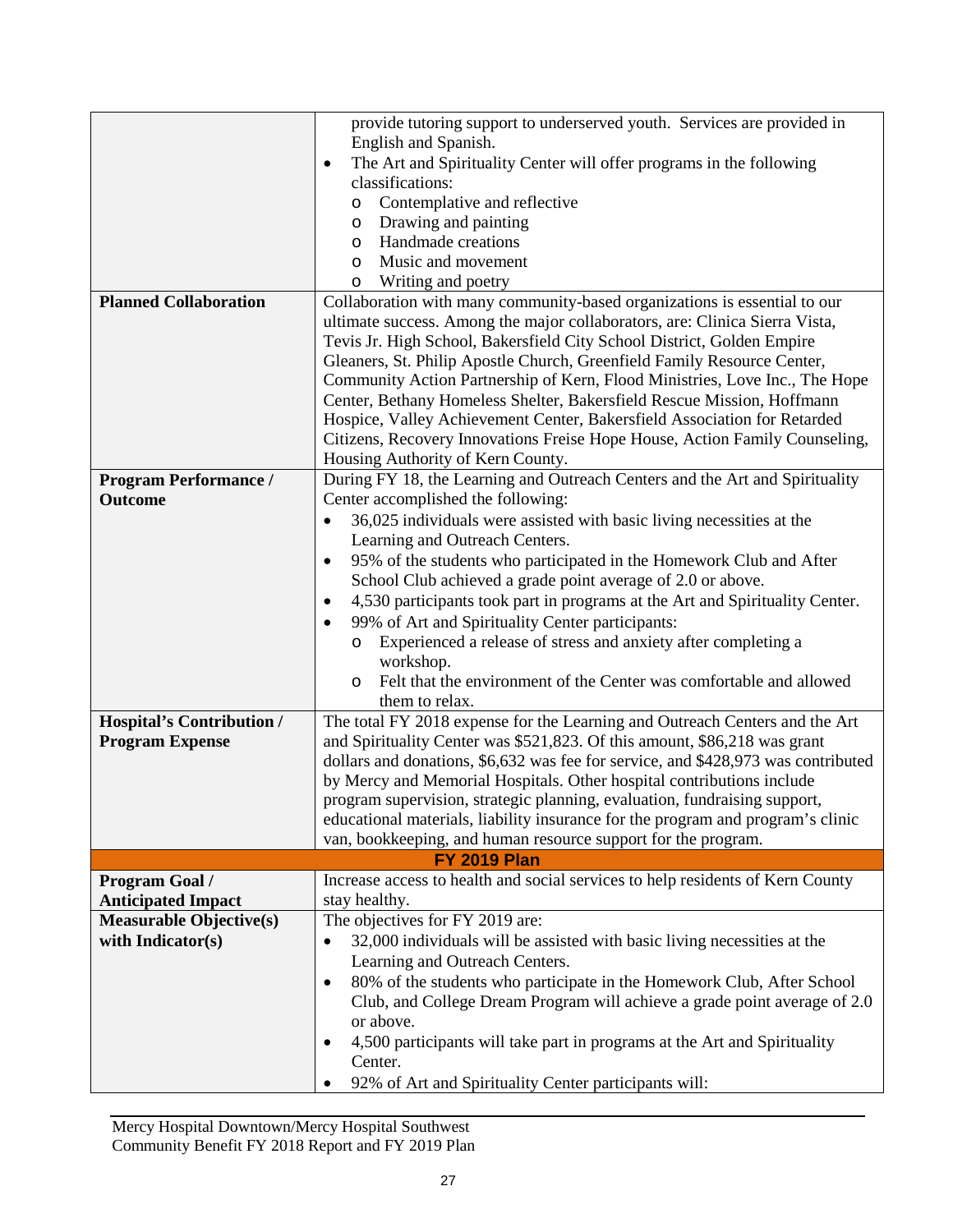|                                  | provide tutoring support to underserved youth. Services are provided in<br>English and Spanish.                  |  |  |  |  |  |
|----------------------------------|------------------------------------------------------------------------------------------------------------------|--|--|--|--|--|
|                                  | The Art and Spirituality Center will offer programs in the following<br>$\bullet$                                |  |  |  |  |  |
|                                  | classifications:                                                                                                 |  |  |  |  |  |
|                                  | Contemplative and reflective                                                                                     |  |  |  |  |  |
|                                  | $\circ$<br>Drawing and painting                                                                                  |  |  |  |  |  |
|                                  | O<br>Handmade creations<br>$\circ$                                                                               |  |  |  |  |  |
|                                  | Music and movement<br>$\circ$                                                                                    |  |  |  |  |  |
|                                  | Writing and poetry<br>$\circ$                                                                                    |  |  |  |  |  |
| <b>Planned Collaboration</b>     | Collaboration with many community-based organizations is essential to our                                        |  |  |  |  |  |
|                                  | ultimate success. Among the major collaborators, are: Clinica Sierra Vista,                                      |  |  |  |  |  |
|                                  | Tevis Jr. High School, Bakersfield City School District, Golden Empire                                           |  |  |  |  |  |
|                                  |                                                                                                                  |  |  |  |  |  |
|                                  | Gleaners, St. Philip Apostle Church, Greenfield Family Resource Center,                                          |  |  |  |  |  |
|                                  | Community Action Partnership of Kern, Flood Ministries, Love Inc., The Hope                                      |  |  |  |  |  |
|                                  | Center, Bethany Homeless Shelter, Bakersfield Rescue Mission, Hoffmann                                           |  |  |  |  |  |
|                                  | Hospice, Valley Achievement Center, Bakersfield Association for Retarded                                         |  |  |  |  |  |
|                                  | Citizens, Recovery Innovations Freise Hope House, Action Family Counseling,<br>Housing Authority of Kern County. |  |  |  |  |  |
| <b>Program Performance /</b>     | During FY 18, the Learning and Outreach Centers and the Art and Spirituality                                     |  |  |  |  |  |
| <b>Outcome</b>                   | Center accomplished the following:                                                                               |  |  |  |  |  |
|                                  | 36,025 individuals were assisted with basic living necessities at the<br>$\bullet$                               |  |  |  |  |  |
|                                  | Learning and Outreach Centers.                                                                                   |  |  |  |  |  |
|                                  | 95% of the students who participated in the Homework Club and After<br>$\bullet$                                 |  |  |  |  |  |
|                                  | School Club achieved a grade point average of 2.0 or above.                                                      |  |  |  |  |  |
|                                  | 4,530 participants took part in programs at the Art and Spirituality Center.<br>$\bullet$                        |  |  |  |  |  |
|                                  | 99% of Art and Spirituality Center participants:                                                                 |  |  |  |  |  |
|                                  | Experienced a release of stress and anxiety after completing a                                                   |  |  |  |  |  |
|                                  | workshop.                                                                                                        |  |  |  |  |  |
|                                  | Felt that the environment of the Center was comfortable and allowed<br>$\circ$                                   |  |  |  |  |  |
|                                  | them to relax.                                                                                                   |  |  |  |  |  |
| <b>Hospital's Contribution /</b> | The total FY 2018 expense for the Learning and Outreach Centers and the Art                                      |  |  |  |  |  |
| <b>Program Expense</b>           | and Spirituality Center was \$521,823. Of this amount, \$86,218 was grant                                        |  |  |  |  |  |
|                                  | dollars and donations, \$6,632 was fee for service, and \$428,973 was contributed                                |  |  |  |  |  |
|                                  | by Mercy and Memorial Hospitals. Other hospital contributions include                                            |  |  |  |  |  |
|                                  | program supervision, strategic planning, evaluation, fundraising support,                                        |  |  |  |  |  |
|                                  | educational materials, liability insurance for the program and program's clinic                                  |  |  |  |  |  |
|                                  | van, bookkeeping, and human resource support for the program.                                                    |  |  |  |  |  |
| <b>FY 2019 Plan</b>              |                                                                                                                  |  |  |  |  |  |
| Program Goal /                   | Increase access to health and social services to help residents of Kern County                                   |  |  |  |  |  |
| <b>Anticipated Impact</b>        | stay healthy.                                                                                                    |  |  |  |  |  |
| <b>Measurable Objective(s)</b>   | The objectives for FY 2019 are:                                                                                  |  |  |  |  |  |
| with Indicator(s)                | 32,000 individuals will be assisted with basic living necessities at the<br>$\bullet$                            |  |  |  |  |  |
|                                  | Learning and Outreach Centers.                                                                                   |  |  |  |  |  |
|                                  | 80% of the students who participate in the Homework Club, After School<br>$\bullet$                              |  |  |  |  |  |
|                                  | Club, and College Dream Program will achieve a grade point average of 2.0                                        |  |  |  |  |  |
|                                  | or above.                                                                                                        |  |  |  |  |  |
|                                  | 4,500 participants will take part in programs at the Art and Spirituality                                        |  |  |  |  |  |
|                                  | Center.                                                                                                          |  |  |  |  |  |
|                                  | 92% of Art and Spirituality Center participants will:                                                            |  |  |  |  |  |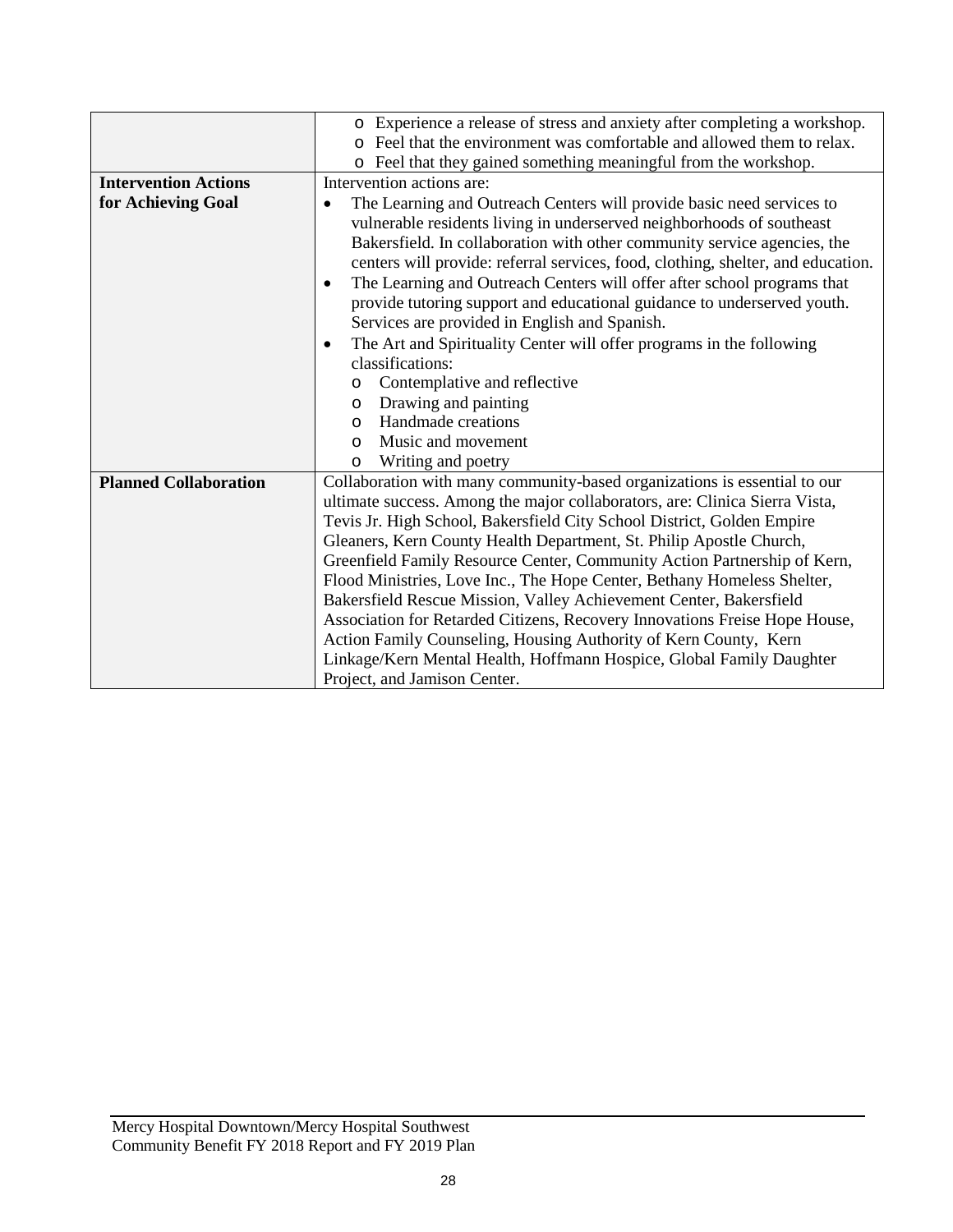|                              | o Experience a release of stress and anxiety after completing a workshop.            |  |  |  |  |
|------------------------------|--------------------------------------------------------------------------------------|--|--|--|--|
|                              | Feel that the environment was comfortable and allowed them to relax.                 |  |  |  |  |
|                              | o Feel that they gained something meaningful from the workshop.                      |  |  |  |  |
| <b>Intervention Actions</b>  | Intervention actions are:                                                            |  |  |  |  |
| for Achieving Goal           | The Learning and Outreach Centers will provide basic need services to                |  |  |  |  |
|                              | vulnerable residents living in underserved neighborhoods of southeast                |  |  |  |  |
|                              | Bakersfield. In collaboration with other community service agencies, the             |  |  |  |  |
|                              | centers will provide: referral services, food, clothing, shelter, and education.     |  |  |  |  |
|                              | The Learning and Outreach Centers will offer after school programs that<br>$\bullet$ |  |  |  |  |
|                              | provide tutoring support and educational guidance to underserved youth.              |  |  |  |  |
|                              | Services are provided in English and Spanish.                                        |  |  |  |  |
|                              | The Art and Spirituality Center will offer programs in the following<br>$\bullet$    |  |  |  |  |
|                              | classifications:                                                                     |  |  |  |  |
|                              | Contemplative and reflective<br>$\circ$                                              |  |  |  |  |
|                              | Drawing and painting<br>$\circ$                                                      |  |  |  |  |
|                              | Handmade creations<br>$\circ$                                                        |  |  |  |  |
|                              | Music and movement<br>$\Omega$                                                       |  |  |  |  |
|                              | Writing and poetry<br>$\circ$                                                        |  |  |  |  |
| <b>Planned Collaboration</b> | Collaboration with many community-based organizations is essential to our            |  |  |  |  |
|                              | ultimate success. Among the major collaborators, are: Clinica Sierra Vista,          |  |  |  |  |
|                              | Tevis Jr. High School, Bakersfield City School District, Golden Empire               |  |  |  |  |
|                              | Gleaners, Kern County Health Department, St. Philip Apostle Church,                  |  |  |  |  |
|                              | Greenfield Family Resource Center, Community Action Partnership of Kern,             |  |  |  |  |
|                              | Flood Ministries, Love Inc., The Hope Center, Bethany Homeless Shelter,              |  |  |  |  |
|                              | Bakersfield Rescue Mission, Valley Achievement Center, Bakersfield                   |  |  |  |  |
|                              | Association for Retarded Citizens, Recovery Innovations Freise Hope House,           |  |  |  |  |
|                              | Action Family Counseling, Housing Authority of Kern County, Kern                     |  |  |  |  |
|                              | Linkage/Kern Mental Health, Hoffmann Hospice, Global Family Daughter                 |  |  |  |  |
|                              | Project, and Jamison Center.                                                         |  |  |  |  |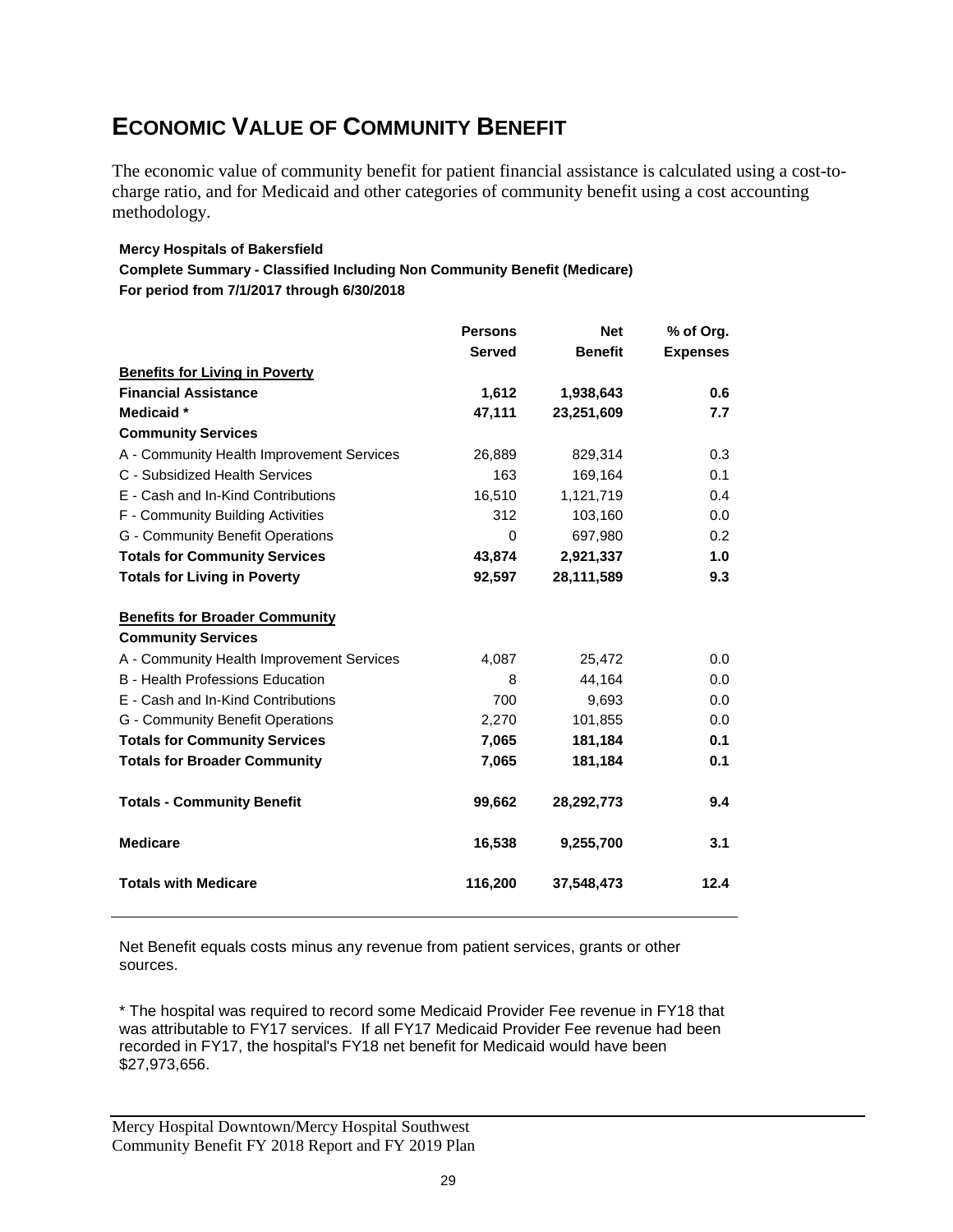# **ECONOMIC VALUE OF COMMUNITY BENEFIT**

The economic value of community benefit for patient financial assistance is calculated using a cost-tocharge ratio, and for Medicaid and other categories of community benefit using a cost accounting methodology.

#### **Mercy Hospitals of Bakersfield**

**Complete Summary - Classified Including Non Community Benefit (Medicare) For period from 7/1/2017 through 6/30/2018**

|                                           | <b>Persons</b> | <b>Net</b>     | % of Org.       |
|-------------------------------------------|----------------|----------------|-----------------|
|                                           | <b>Served</b>  | <b>Benefit</b> | <b>Expenses</b> |
| <b>Benefits for Living in Poverty</b>     |                |                |                 |
| <b>Financial Assistance</b>               | 1,612          | 1,938,643      | 0.6             |
| Medicaid *                                | 47,111         | 23,251,609     | 7.7             |
| <b>Community Services</b>                 |                |                |                 |
| A - Community Health Improvement Services | 26,889         | 829,314        | 0.3             |
| C - Subsidized Health Services            | 163            | 169,164        | 0.1             |
| E - Cash and In-Kind Contributions        | 16,510         | 1,121,719      | 0.4             |
| F - Community Building Activities         | 312            | 103,160        | 0.0             |
| G - Community Benefit Operations          | $\Omega$       | 697,980        | 0.2             |
| <b>Totals for Community Services</b>      | 43,874         | 2,921,337      | 1.0             |
| <b>Totals for Living in Poverty</b>       | 92,597         | 28,111,589     | 9.3             |
| <b>Benefits for Broader Community</b>     |                |                |                 |
| <b>Community Services</b>                 |                |                |                 |
| A - Community Health Improvement Services | 4,087          | 25,472         | 0.0             |
| <b>B</b> - Health Professions Education   | 8              | 44,164         | 0.0             |
| E - Cash and In-Kind Contributions        | 700            | 9,693          | 0.0             |
| G - Community Benefit Operations          | 2,270          | 101,855        | 0.0             |
| <b>Totals for Community Services</b>      | 7,065          | 181,184        | 0.1             |
| <b>Totals for Broader Community</b>       | 7,065          | 181,184        | 0.1             |
| <b>Totals - Community Benefit</b>         | 99,662         | 28,292,773     | 9.4             |
| <b>Medicare</b>                           | 16,538         | 9,255,700      | 3.1             |
| <b>Totals with Medicare</b>               | 116,200        | 37,548,473     | 12.4            |

Net Benefit equals costs minus any revenue from patient services, grants or other sources.

\* The hospital was required to record some Medicaid Provider Fee revenue in FY18 that was attributable to FY17 services. If all FY17 Medicaid Provider Fee revenue had been recorded in FY17, the hospital's FY18 net benefit for Medicaid would have been \$27,973,656.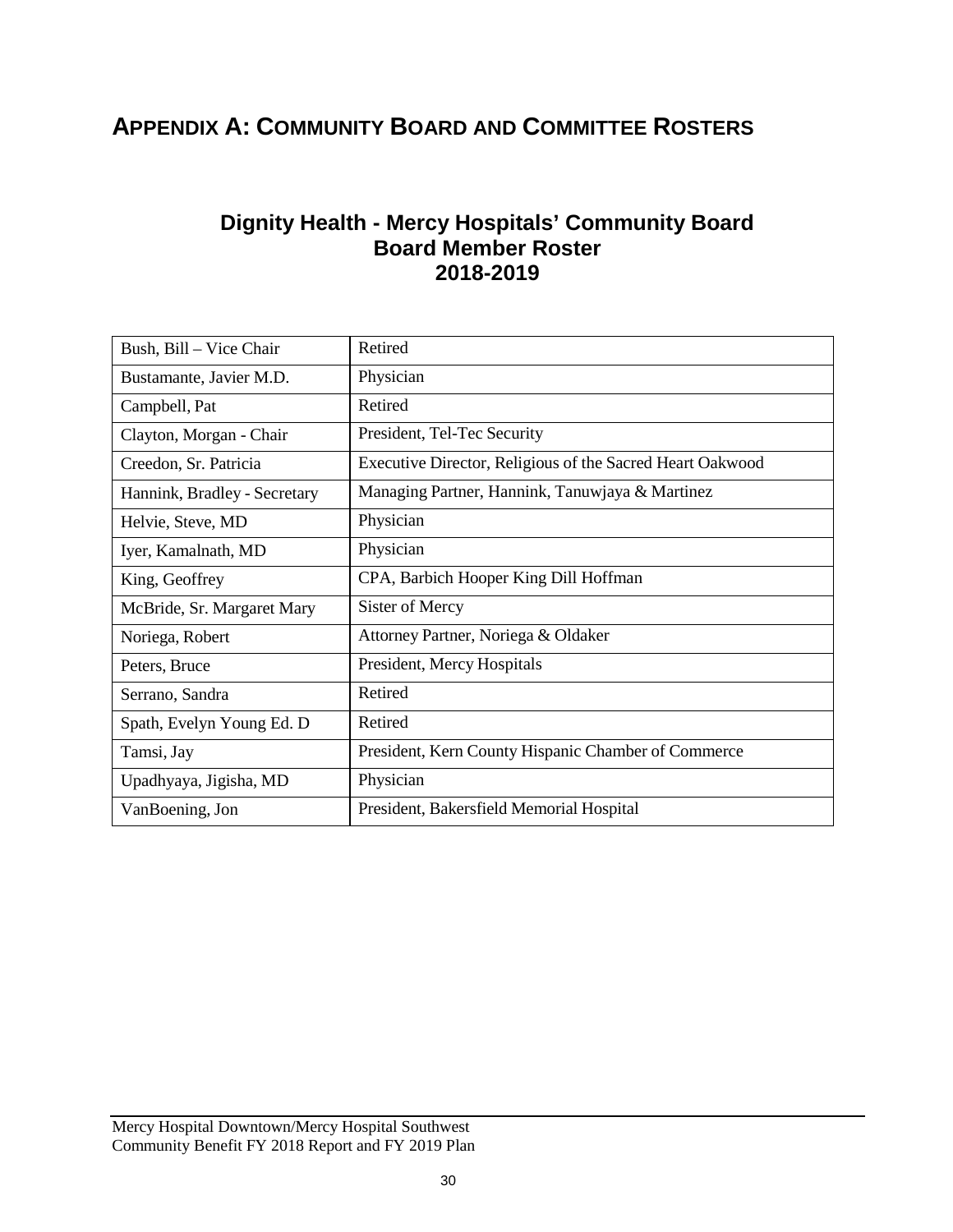# **APPENDIX A: COMMUNITY BOARD AND COMMITTEE ROSTERS**

### **Dignity Health - Mercy Hospitals' Community Board Board Member Roster 2018-2019**

| Bush, Bill - Vice Chair      | Retired                                                   |
|------------------------------|-----------------------------------------------------------|
| Bustamante, Javier M.D.      | Physician                                                 |
| Campbell, Pat                | Retired                                                   |
| Clayton, Morgan - Chair      | President, Tel-Tec Security                               |
| Creedon, Sr. Patricia        | Executive Director, Religious of the Sacred Heart Oakwood |
| Hannink, Bradley - Secretary | Managing Partner, Hannink, Tanuwjaya & Martinez           |
| Helvie, Steve, MD            | Physician                                                 |
| Iyer, Kamalnath, MD          | Physician                                                 |
| King, Geoffrey               | CPA, Barbich Hooper King Dill Hoffman                     |
| McBride, Sr. Margaret Mary   | Sister of Mercy                                           |
| Noriega, Robert              | Attorney Partner, Noriega & Oldaker                       |
| Peters, Bruce                | President, Mercy Hospitals                                |
| Serrano, Sandra              | Retired                                                   |
| Spath, Evelyn Young Ed. D    | Retired                                                   |
| Tamsi, Jay                   | President, Kern County Hispanic Chamber of Commerce       |
| Upadhyaya, Jigisha, MD       | Physician                                                 |
| VanBoening, Jon              | President, Bakersfield Memorial Hospital                  |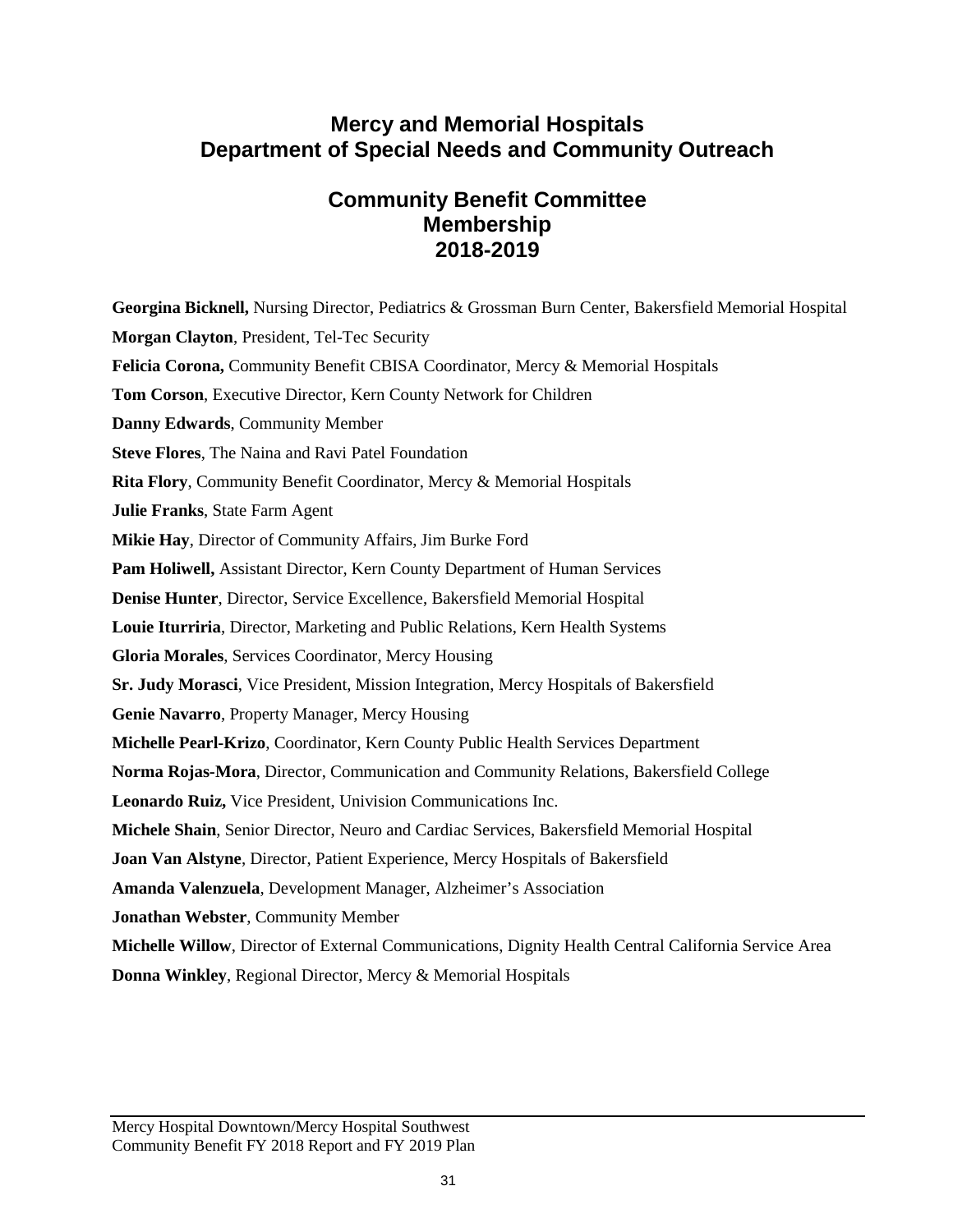### **Mercy and Memorial Hospitals Department of Special Needs and Community Outreach**

### **Community Benefit Committee Membership 2018-2019**

**Georgina Bicknell,** Nursing Director, Pediatrics & Grossman Burn Center, Bakersfield Memorial Hospital **Morgan Clayton**, President, Tel-Tec Security **Felicia Corona,** Community Benefit CBISA Coordinator, Mercy & Memorial Hospitals **Tom Corson**, Executive Director, Kern County Network for Children **Danny Edwards**, Community Member **Steve Flores**, The Naina and Ravi Patel Foundation **Rita Flory**, Community Benefit Coordinator, Mercy & Memorial Hospitals **Julie Franks**, State Farm Agent **Mikie Hay**, Director of Community Affairs, Jim Burke Ford **Pam Holiwell,** Assistant Director, Kern County Department of Human Services **Denise Hunter**, Director, Service Excellence, Bakersfield Memorial Hospital **Louie Iturriria**, Director, Marketing and Public Relations, Kern Health Systems **Gloria Morales**, Services Coordinator, Mercy Housing **Sr. Judy Morasci**, Vice President, Mission Integration, Mercy Hospitals of Bakersfield **Genie Navarro**, Property Manager, Mercy Housing **Michelle Pearl-Krizo**, Coordinator, Kern County Public Health Services Department **Norma Rojas-Mora**, Director, Communication and Community Relations, Bakersfield College **Leonardo Ruiz,** Vice President, Univision Communications Inc. **Michele Shain**, Senior Director, Neuro and Cardiac Services, Bakersfield Memorial Hospital **Joan Van Alstyne**, Director, Patient Experience, Mercy Hospitals of Bakersfield **Amanda Valenzuela**, Development Manager, Alzheimer's Association **Jonathan Webster**, Community Member **Michelle Willow**, Director of External Communications, Dignity Health Central California Service Area **Donna Winkley**, Regional Director, Mercy & Memorial Hospitals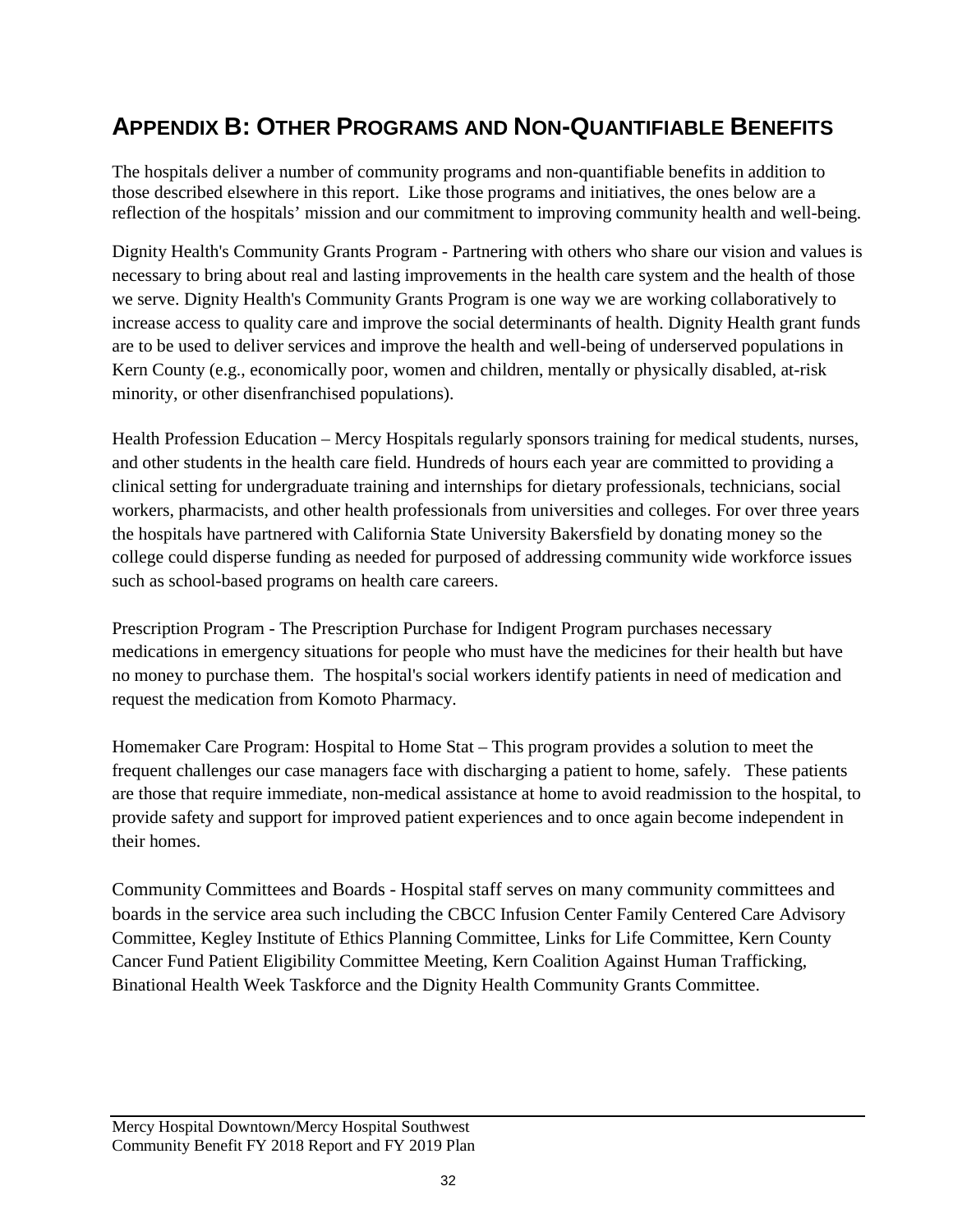# **APPENDIX B: OTHER PROGRAMS AND NON-QUANTIFIABLE BENEFITS**

The hospitals deliver a number of community programs and non-quantifiable benefits in addition to those described elsewhere in this report. Like those programs and initiatives, the ones below are a reflection of the hospitals' mission and our commitment to improving community health and well-being.

Dignity Health's Community Grants Program - Partnering with others who share our vision and values is necessary to bring about real and lasting improvements in the health care system and the health of those we serve. Dignity Health's Community Grants Program is one way we are working collaboratively to increase access to quality care and improve the social determinants of health. Dignity Health grant funds are to be used to deliver services and improve the health and well-being of underserved populations in Kern County (e.g., economically poor, women and children, mentally or physically disabled, at-risk minority, or other disenfranchised populations).

Health Profession Education – Mercy Hospitals regularly sponsors training for medical students, nurses, and other students in the health care field. Hundreds of hours each year are committed to providing a clinical setting for undergraduate training and internships for dietary professionals, technicians, social workers, pharmacists, and other health professionals from universities and colleges. For over three years the hospitals have partnered with California State University Bakersfield by donating money so the college could disperse funding as needed for purposed of addressing community wide workforce issues such as school-based programs on health care careers.

Prescription Program - The Prescription Purchase for Indigent Program purchases necessary medications in emergency situations for people who must have the medicines for their health but have no money to purchase them. The hospital's social workers identify patients in need of medication and request the medication from Komoto Pharmacy.

Homemaker Care Program: Hospital to Home Stat – This program provides a solution to meet the frequent challenges our case managers face with discharging a patient to home, safely. These patients are those that require immediate, non-medical assistance at home to avoid readmission to the hospital, to provide safety and support for improved patient experiences and to once again become independent in their homes.

Community Committees and Boards - Hospital staff serves on many community committees and boards in the service area such including the CBCC Infusion Center Family Centered Care Advisory Committee, Kegley Institute of Ethics Planning Committee, Links for Life Committee, Kern County Cancer Fund Patient Eligibility Committee Meeting, Kern Coalition Against Human Trafficking, Binational Health Week Taskforce and the Dignity Health Community Grants Committee.